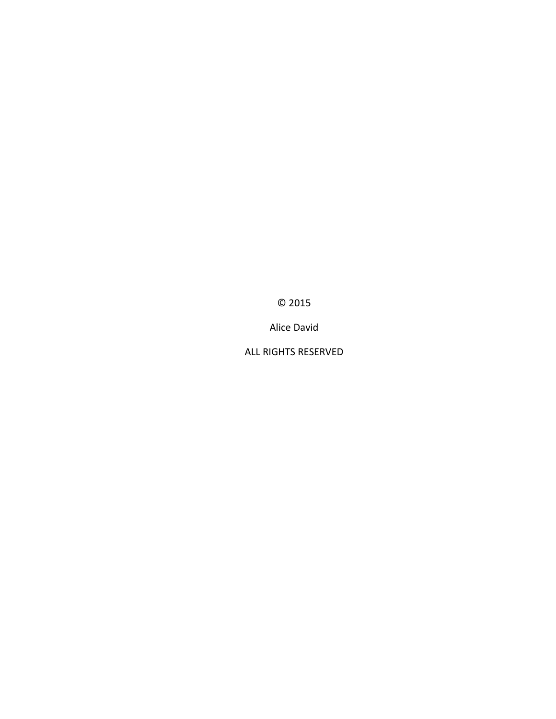© 2015

Alice David

ALL RIGHTS RESERVED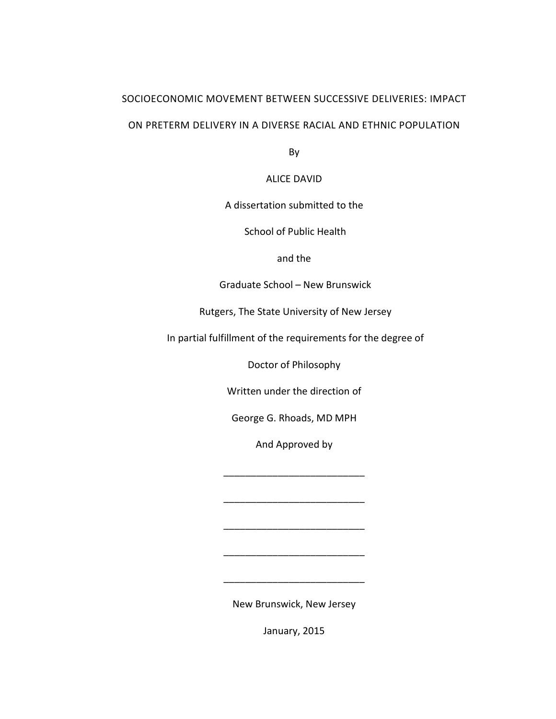# SOCIOECONOMIC MOVEMENT BETWEEN SUCCESSIVE DELIVERIES: IMPACT

## ON PRETERM DELIVERY IN A DIVERSE RACIAL AND ETHNIC POPULATION

By

ALICE DAVID

A dissertation submitted to the

School of Public Health

and the

Graduate School – New Brunswick

Rutgers, The State University of New Jersey

In partial fulfillment of the requirements for the degree of

Doctor of Philosophy

Written under the direction of

George G. Rhoads, MD MPH

And Approved by

\_\_\_\_\_\_\_\_\_\_\_\_\_\_\_\_\_\_\_\_\_\_\_\_\_\_

\_\_\_\_\_\_\_\_\_\_\_\_\_\_\_\_\_\_\_\_\_\_\_\_\_\_

\_\_\_\_\_\_\_\_\_\_\_\_\_\_\_\_\_\_\_\_\_\_\_\_\_\_

\_\_\_\_\_\_\_\_\_\_\_\_\_\_\_\_\_\_\_\_\_\_\_\_\_\_

New Brunswick, New Jersey

 $\overline{\phantom{a}}$  ,  $\overline{\phantom{a}}$  ,  $\overline{\phantom{a}}$  ,  $\overline{\phantom{a}}$  ,  $\overline{\phantom{a}}$  ,  $\overline{\phantom{a}}$  ,  $\overline{\phantom{a}}$  ,  $\overline{\phantom{a}}$  ,  $\overline{\phantom{a}}$  ,  $\overline{\phantom{a}}$  ,  $\overline{\phantom{a}}$  ,  $\overline{\phantom{a}}$  ,  $\overline{\phantom{a}}$  ,  $\overline{\phantom{a}}$  ,  $\overline{\phantom{a}}$  ,  $\overline{\phantom{a}}$ 

January, 2015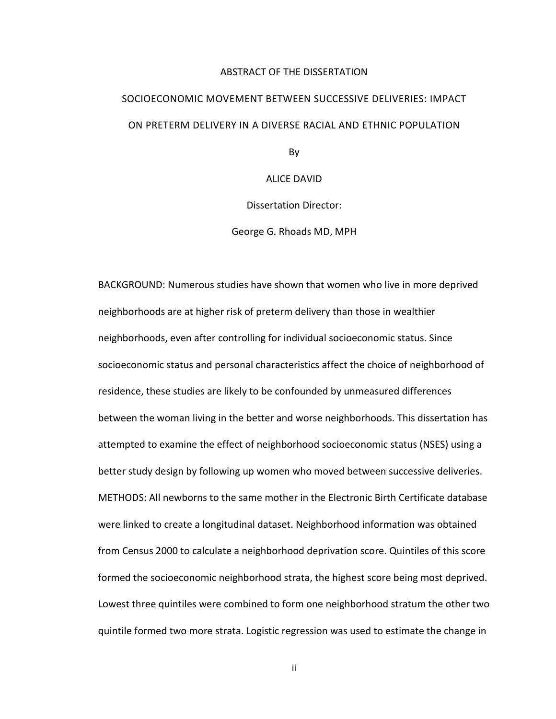#### ABSTRACT OF THE DISSERTATION

# SOCIOECONOMIC MOVEMENT BETWEEN SUCCESSIVE DELIVERIES: IMPACT ON PRETERM DELIVERY IN A DIVERSE RACIAL AND ETHNIC POPULATION

By

ALICE DAVID

Dissertation Director:

George G. Rhoads MD, MPH

BACKGROUND: Numerous studies have shown that women who live in more deprived neighborhoods are at higher risk of preterm delivery than those in wealthier neighborhoods, even after controlling for individual socioeconomic status. Since socioeconomic status and personal characteristics affect the choice of neighborhood of residence, these studies are likely to be confounded by unmeasured differences between the woman living in the better and worse neighborhoods. This dissertation has attempted to examine the effect of neighborhood socioeconomic status (NSES) using a better study design by following up women who moved between successive deliveries. METHODS: All newborns to the same mother in the Electronic Birth Certificate database were linked to create a longitudinal dataset. Neighborhood information was obtained from Census 2000 to calculate a neighborhood deprivation score. Quintiles of this score formed the socioeconomic neighborhood strata, the highest score being most deprived. Lowest three quintiles were combined to form one neighborhood stratum the other two quintile formed two more strata. Logistic regression was used to estimate the change in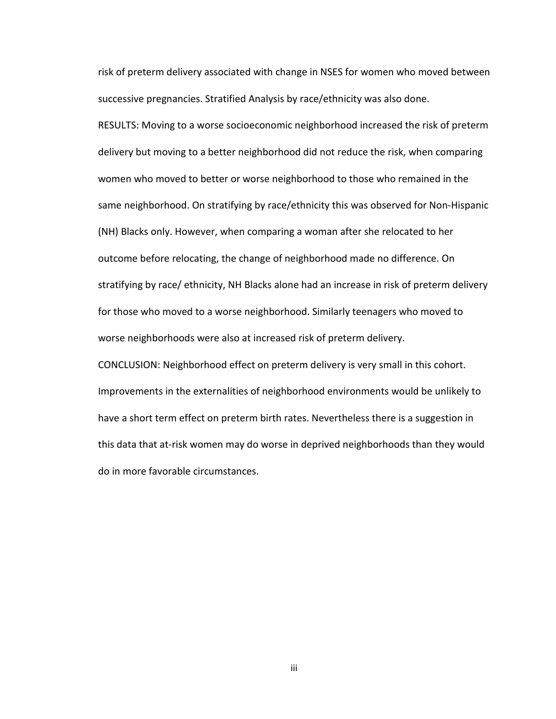risk of preterm delivery associated with change in NSES for women who moved between successive pregnancies. Stratified Analysis by race/ethnicity was also done.

RESULTS: Moving to a worse socioeconomic neighborhood increased the risk of preterm delivery but moving to a better neighborhood did not reduce the risk, when comparing women who moved to better or worse neighborhood to those who remained in the same neighborhood. On stratifying by race/ethnicity this was observed for Non-Hispanic (NH) Blacks only. However, when comparing a woman after she relocated to her outcome before relocating, the change of neighborhood made no difference. On stratifying by race/ ethnicity, NH Blacks alone had an increase in risk of preterm delivery for those who moved to a worse neighborhood. Similarly teenagers who moved to worse neighborhoods were also at increased risk of preterm delivery.

CONCLUSION: Neighborhood effect on preterm delivery is very small in this cohort. Improvements in the externalities of neighborhood environments would be unlikely to have a short term effect on preterm birth rates. Nevertheless there is a suggestion in this data that at-risk women may do worse in deprived neighborhoods than they would do in more favorable circumstances.

iii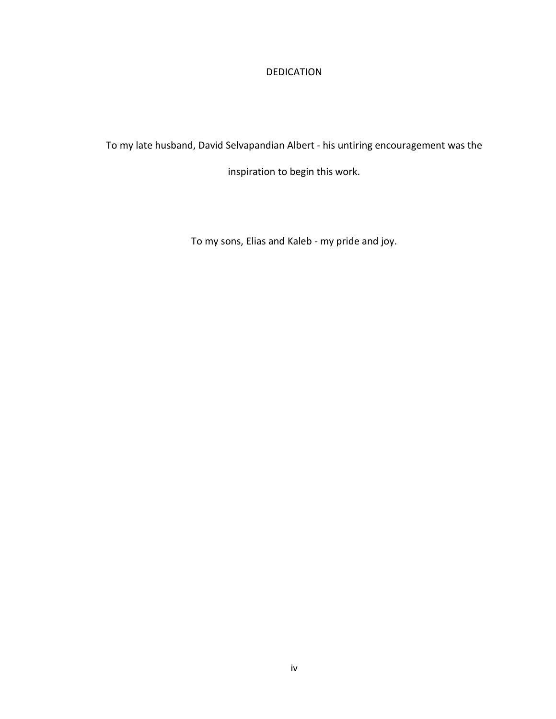# DEDICATION

To my late husband, David Selvapandian Albert - his untiring encouragement was the

inspiration to begin this work.

To my sons, Elias and Kaleb - my pride and joy.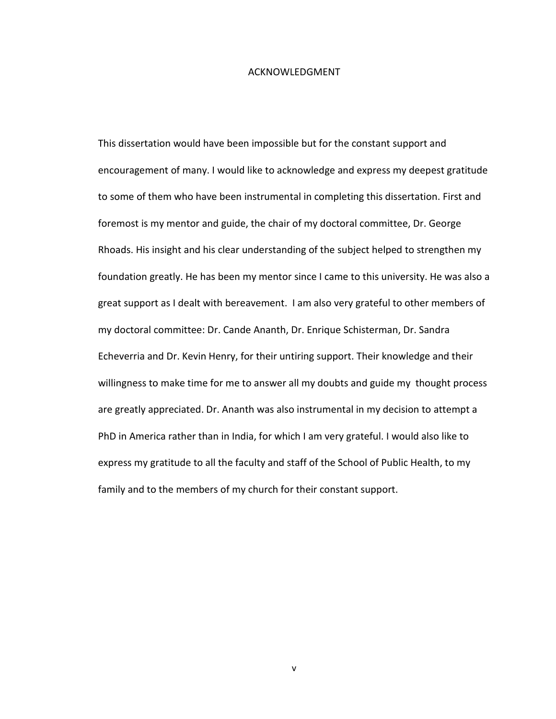#### ACKNOWLEDGMENT

This dissertation would have been impossible but for the constant support and encouragement of many. I would like to acknowledge and express my deepest gratitude to some of them who have been instrumental in completing this dissertation. First and foremost is my mentor and guide, the chair of my doctoral committee, Dr. George Rhoads. His insight and his clear understanding of the subject helped to strengthen my foundation greatly. He has been my mentor since I came to this university. He was also a great support as I dealt with bereavement. I am also very grateful to other members of my doctoral committee: Dr. Cande Ananth, Dr. Enrique Schisterman, Dr. Sandra Echeverria and Dr. Kevin Henry, for their untiring support. Their knowledge and their willingness to make time for me to answer all my doubts and guide my thought process are greatly appreciated. Dr. Ananth was also instrumental in my decision to attempt a PhD in America rather than in India, for which I am very grateful. I would also like to express my gratitude to all the faculty and staff of the School of Public Health, to my family and to the members of my church for their constant support.

v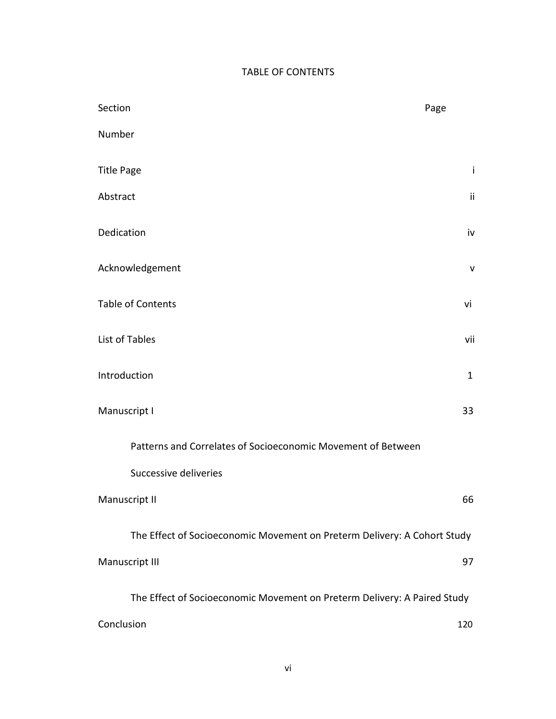# TABLE OF CONTENTS

| Section                                                                  | Page         |
|--------------------------------------------------------------------------|--------------|
| Number                                                                   |              |
| <b>Title Page</b>                                                        | j            |
| Abstract                                                                 | ii.          |
| Dedication                                                               | iv           |
| Acknowledgement                                                          | $\mathsf{V}$ |
| <b>Table of Contents</b>                                                 | vi           |
| List of Tables                                                           | vii          |
| Introduction                                                             | $\mathbf{1}$ |
| Manuscript I                                                             | 33           |
| Patterns and Correlates of Socioeconomic Movement of Between             |              |
| Successive deliveries                                                    |              |
| Manuscript II                                                            | 66           |
| The Effect of Socioeconomic Movement on Preterm Delivery: A Cohort Study |              |
| Manuscript III                                                           | 97           |
| The Effect of Socioeconomic Movement on Preterm Delivery: A Paired Study |              |
| Conclusion<br>120                                                        |              |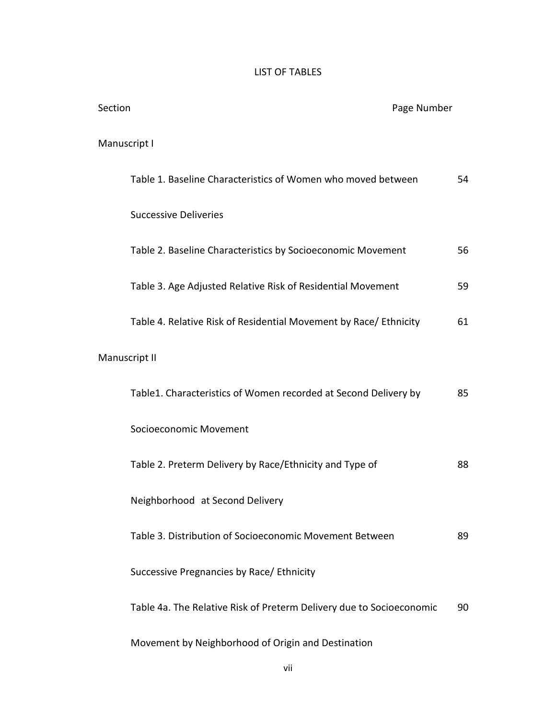# LIST OF TABLES

| Section |                                                                      | Page Number |    |
|---------|----------------------------------------------------------------------|-------------|----|
|         | Manuscript I                                                         |             |    |
|         | Table 1. Baseline Characteristics of Women who moved between         |             | 54 |
|         | <b>Successive Deliveries</b>                                         |             |    |
|         | Table 2. Baseline Characteristics by Socioeconomic Movement          |             | 56 |
|         | Table 3. Age Adjusted Relative Risk of Residential Movement          |             | 59 |
|         | Table 4. Relative Risk of Residential Movement by Race/ Ethnicity    |             | 61 |
|         | Manuscript II                                                        |             |    |
|         | Table1. Characteristics of Women recorded at Second Delivery by      |             | 85 |
|         | Socioeconomic Movement                                               |             |    |
|         | Table 2. Preterm Delivery by Race/Ethnicity and Type of              |             | 88 |
|         | Neighborhood at Second Delivery                                      |             |    |
|         | Table 3. Distribution of Socioeconomic Movement Between              |             | 89 |
|         | Successive Pregnancies by Race/ Ethnicity                            |             |    |
|         | Table 4a. The Relative Risk of Preterm Delivery due to Socioeconomic |             | 90 |
|         | Movement by Neighborhood of Origin and Destination                   |             |    |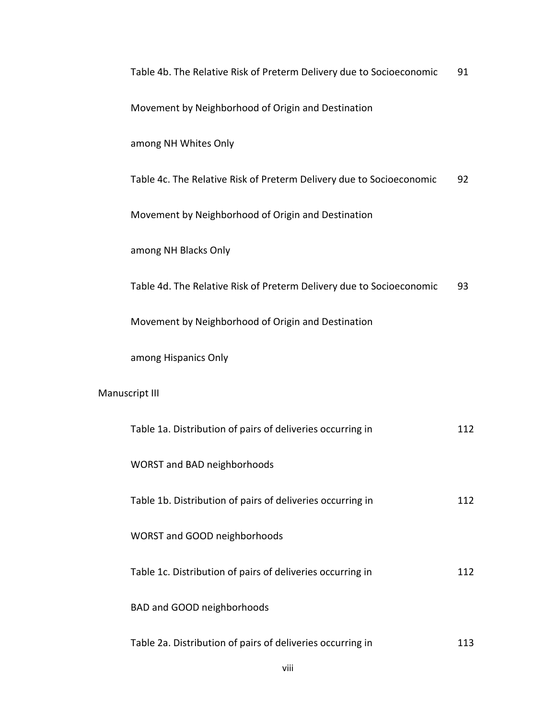| Table 4b. The Relative Risk of Preterm Delivery due to Socioeconomic | 91  |
|----------------------------------------------------------------------|-----|
| Movement by Neighborhood of Origin and Destination                   |     |
| among NH Whites Only                                                 |     |
| Table 4c. The Relative Risk of Preterm Delivery due to Socioeconomic | 92  |
| Movement by Neighborhood of Origin and Destination                   |     |
| among NH Blacks Only                                                 |     |
| Table 4d. The Relative Risk of Preterm Delivery due to Socioeconomic | 93  |
| Movement by Neighborhood of Origin and Destination                   |     |
| among Hispanics Only                                                 |     |
| Manuscript III                                                       |     |
| Table 1a. Distribution of pairs of deliveries occurring in           | 112 |
| <b>WORST and BAD neighborhoods</b>                                   |     |
| Table 1b. Distribution of pairs of deliveries occurring in           | 112 |
| WORST and GOOD neighborhoods                                         |     |
| Table 1c. Distribution of pairs of deliveries occurring in           | 112 |
| BAD and GOOD neighborhoods                                           |     |

Table 2a. Distribution of pairs of deliveries occurring in 113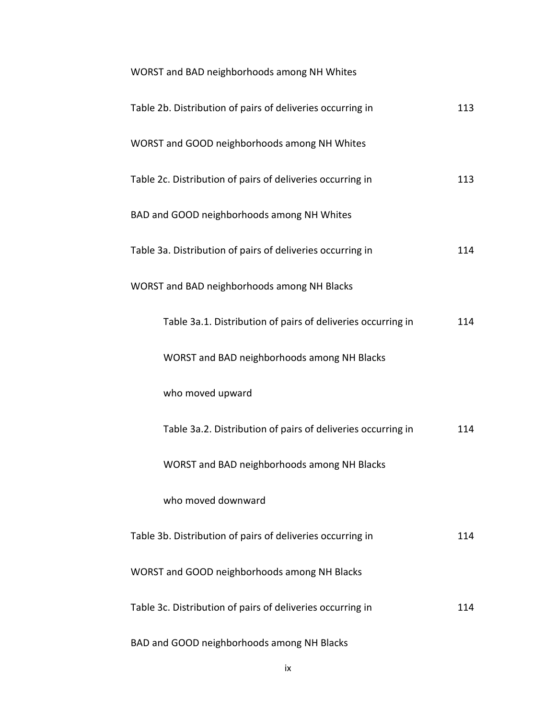| WORST and BAD neighborhoods among NH Whites                  |     |
|--------------------------------------------------------------|-----|
| Table 2b. Distribution of pairs of deliveries occurring in   | 113 |
| WORST and GOOD neighborhoods among NH Whites                 |     |
| Table 2c. Distribution of pairs of deliveries occurring in   | 113 |
| BAD and GOOD neighborhoods among NH Whites                   |     |
| Table 3a. Distribution of pairs of deliveries occurring in   | 114 |
| WORST and BAD neighborhoods among NH Blacks                  |     |
| Table 3a.1. Distribution of pairs of deliveries occurring in | 114 |
| WORST and BAD neighborhoods among NH Blacks                  |     |
| who moved upward                                             |     |
| Table 3a.2. Distribution of pairs of deliveries occurring in | 114 |
| WORST and BAD neighborhoods among NH Blacks                  |     |
| who moved downward                                           |     |
| Table 3b. Distribution of pairs of deliveries occurring in   | 114 |
| WORST and GOOD neighborhoods among NH Blacks                 |     |
| Table 3c. Distribution of pairs of deliveries occurring in   | 114 |
| BAD and GOOD neighborhoods among NH Blacks                   |     |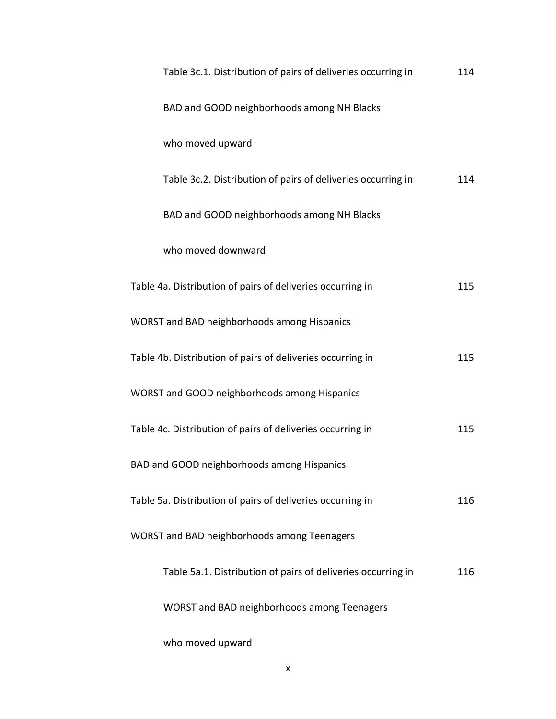| Table 3c.1. Distribution of pairs of deliveries occurring in | 114 |
|--------------------------------------------------------------|-----|
| BAD and GOOD neighborhoods among NH Blacks                   |     |
| who moved upward                                             |     |
| Table 3c.2. Distribution of pairs of deliveries occurring in | 114 |
| BAD and GOOD neighborhoods among NH Blacks                   |     |
| who moved downward                                           |     |
| Table 4a. Distribution of pairs of deliveries occurring in   | 115 |
| WORST and BAD neighborhoods among Hispanics                  |     |
| Table 4b. Distribution of pairs of deliveries occurring in   | 115 |
| WORST and GOOD neighborhoods among Hispanics                 |     |
| Table 4c. Distribution of pairs of deliveries occurring in   | 115 |
| BAD and GOOD neighborhoods among Hispanics                   |     |
| Table 5a. Distribution of pairs of deliveries occurring in   | 116 |
| WORST and BAD neighborhoods among Teenagers                  |     |
| Table 5a.1. Distribution of pairs of deliveries occurring in | 116 |
| WORST and BAD neighborhoods among Teenagers                  |     |
| who moved upward                                             |     |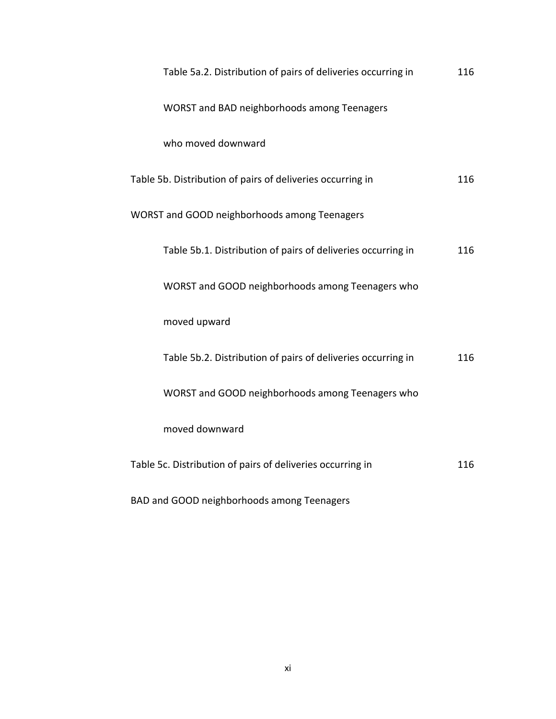| WORST and BAD neighborhoods among Teenagers                  |     |
|--------------------------------------------------------------|-----|
| who moved downward                                           |     |
| Table 5b. Distribution of pairs of deliveries occurring in   | 116 |
| WORST and GOOD neighborhoods among Teenagers                 |     |
| Table 5b.1. Distribution of pairs of deliveries occurring in | 116 |
| WORST and GOOD neighborhoods among Teenagers who             |     |
| moved upward                                                 |     |
| Table 5b.2. Distribution of pairs of deliveries occurring in | 116 |
| WORST and GOOD neighborhoods among Teenagers who             |     |
| moved downward                                               |     |
| Table 5c. Distribution of pairs of deliveries occurring in   | 116 |
|                                                              |     |

Table 5a.2. Distribution of pairs of deliveries occurring in 116

BAD and GOOD neighborhoods among Teenagers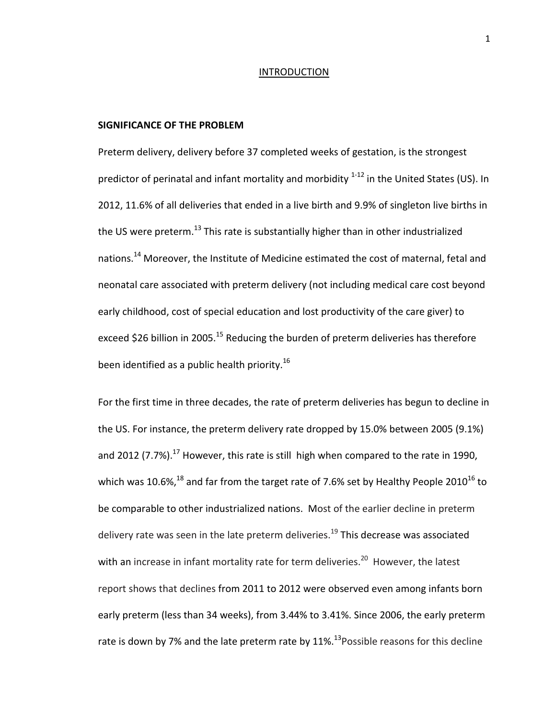#### INTRODUCTION

#### **SIGNIFICANCE OF THE PROBLEM**

Preterm delivery, delivery before 37 completed weeks of gestation, is the strongest predictor of perinatal and infant mortality and morbidity  $1-12$  in the United States (US). In 2012, 11.6% of all deliveries that ended in a live birth and 9.9% of singleton live births in the US were preterm.<sup>13</sup> This rate is substantially higher than in other industrialized nations.<sup>14</sup> Moreover, the Institute of Medicine estimated the cost of maternal, fetal and neonatal care associated with preterm delivery (not including medical care cost beyond early childhood, cost of special education and lost productivity of the care giver) to exceed \$26 billion in 2005.<sup>[15](#page-37-3)</sup> Reducing the burden of preterm deliveries has therefore been identified as a public health priority.<sup>[16](#page-37-4)</sup>

For the first time in three decades, the rate of preterm deliveries has begun to decline in the US. For instance, the preterm delivery rate dropped by 15.0% between 2005 (9.1%) and 2012 (7.7%).<sup>17</sup> However, this rate is still high when compared to the rate in 1990, which was 10.6%, $^{18}$  and far from the target rate of 7.6% set by Healthy People 2010<sup>[16](#page-37-4)</sup> to be comparable to other industrialized nations. Most of the earlier decline in preterm delivery rate was seen in the late preterm deliveries.<sup>[19](#page-38-2)</sup> This decrease was associated with an increase in infant mortality rate for term deliveries.<sup>20</sup> However, the latest report shows that declines from 2011 to 2012 were observed even among infants born early preterm (less than 34 weeks), from 3.44% to 3.41%. Since 2006, the early preterm rate is down by 7% and the late preterm rate by  $11\%$ .<sup>13</sup> Possible reasons for this decline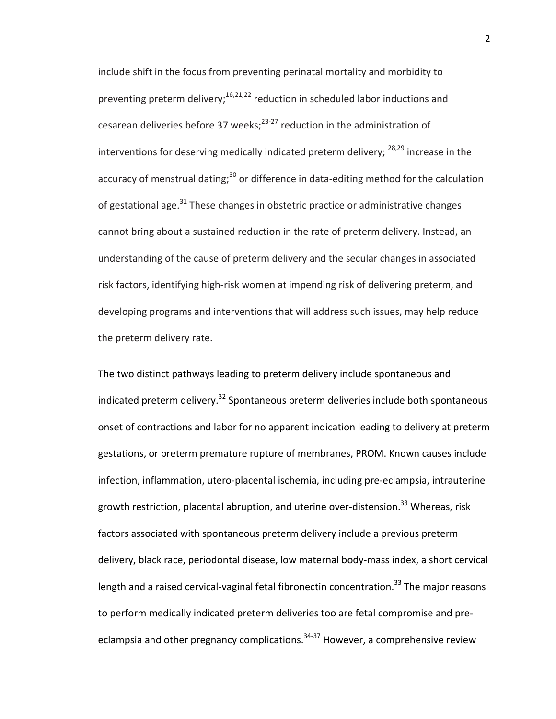include shift in the focus from preventing perinatal mortality and morbidity to preventing preterm delivery;<sup>[16,](#page-37-4)[21,](#page-38-4)[22](#page-38-5)</sup> reduction in scheduled labor inductions and cesarean deliveries before 37 weeks; $^{23-27}$  $^{23-27}$  $^{23-27}$  reduction in the administration of interventions for deserving medically indicated preterm delivery;  $28,29$  $28,29$  increase in the accuracy of menstrual dating; $30$  or difference in data-editing method for the calculation of gestational age. $31$  These changes in obstetric practice or administrative changes cannot bring about a sustained reduction in the rate of preterm delivery. Instead, an understanding of the cause of preterm delivery and the secular changes in associated risk factors, identifying high-risk women at impending risk of delivering preterm, and developing programs and interventions that will address such issues, may help reduce the preterm delivery rate.

The two distinct pathways leading to preterm delivery include spontaneous and indicated preterm delivery.<sup>[32](#page-38-11)</sup> Spontaneous preterm deliveries include both spontaneous onset of contractions and labor for no apparent indication leading to delivery at preterm gestations, or preterm premature rupture of membranes, PROM. Known causes include infection, inflammation, utero-placental ischemia, including pre-eclampsia, intrauterine growth restriction, placental abruption, and uterine over-distension.<sup>33</sup> Whereas, risk factors associated with spontaneous preterm delivery include a previous preterm delivery, black race, periodontal disease, low maternal body-mass index, a short cervical length and a raised cervical-vaginal fetal fibronectin concentration.<sup>33</sup> The major reasons to perform medically indicated preterm deliveries too are fetal compromise and preeclampsia and other pregnancy complications. $34-37$  However, a comprehensive review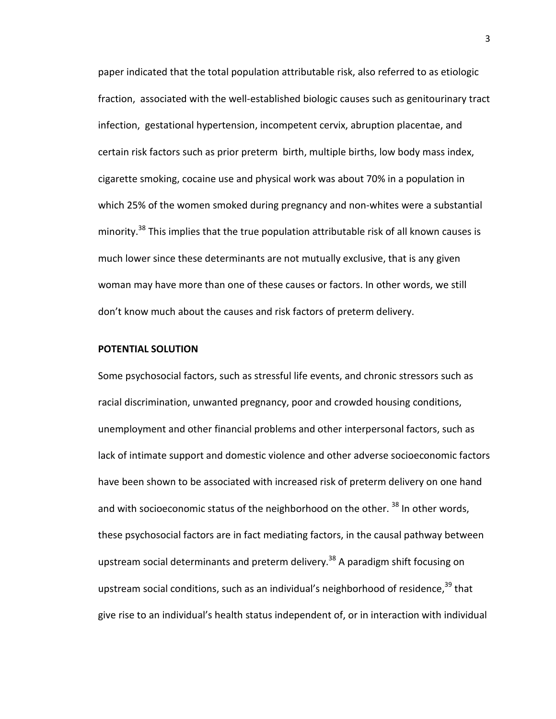paper indicated that the total population attributable risk, also referred to as etiologic fraction, associated with the well-established biologic causes such as genitourinary tract infection, gestational hypertension, incompetent cervix, abruption placentae, and certain risk factors such as prior preterm birth, multiple births, low body mass index, cigarette smoking, cocaine use and physical work was about 70% in a population in which 25% of the women smoked during pregnancy and non-whites were a substantial minority.<sup>38</sup> This implies that the true population attributable risk of all known causes is much lower since these determinants are not mutually exclusive, that is any given woman may have more than one of these causes or factors. In other words, we still don't know much about the causes and risk factors of preterm delivery.

#### **POTENTIAL SOLUTION**

Some psychosocial factors, such as stressful life events, and chronic stressors such as racial discrimination, unwanted pregnancy, poor and crowded housing conditions, unemployment and other financial problems and other interpersonal factors, such as lack of intimate support and domestic violence and other adverse socioeconomic factors have been shown to be associated with increased risk of preterm delivery on one hand and with socioeconomic status of the neighborhood on the other.  $^{38}$  $^{38}$  $^{38}$  In other words, these psychosocial factors are in fact mediating factors, in the causal pathway between upstream social determinants and preterm delivery.<sup>38</sup> A paradigm shift focusing on upstream social conditions, such as an individual's neighborhood of residence,  $39$  that give rise to an individual's health status independent of, or in interaction with individual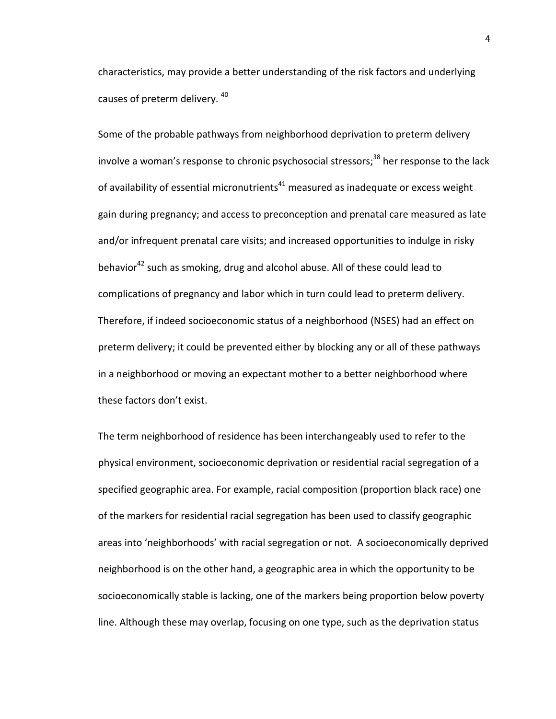characteristics, may provide a better understanding of the risk factors and underlying causes of preterm delivery. [40](#page-39-2)

Some of the probable pathways from neighborhood deprivation to preterm delivery involve a woman's response to chronic psychosocial stressors; $38$  her response to the lack of availability of essential micronutrients $41$  measured as inadequate or excess weight gain during pregnancy; and access to preconception and prenatal care measured as late and/or infrequent prenatal care visits; and increased opportunities to indulge in risky behavior<sup>[42](#page-39-4)</sup> such as smoking, drug and alcohol abuse. All of these could lead to complications of pregnancy and labor which in turn could lead to preterm delivery. Therefore, if indeed socioeconomic status of a neighborhood (NSES) had an effect on preterm delivery; it could be prevented either by blocking any or all of these pathways in a neighborhood or moving an expectant mother to a better neighborhood where these factors don't exist.

The term neighborhood of residence has been interchangeably used to refer to the physical environment, socioeconomic deprivation or residential racial segregation of a specified geographic area. For example, racial composition (proportion black race) one of the markers for residential racial segregation has been used to classify geographic areas into 'neighborhoods' with racial segregation or not. A socioeconomically deprived neighborhood is on the other hand, a geographic area in which the opportunity to be socioeconomically stable is lacking, one of the markers being proportion below poverty line. Although these may overlap, focusing on one type, such as the deprivation status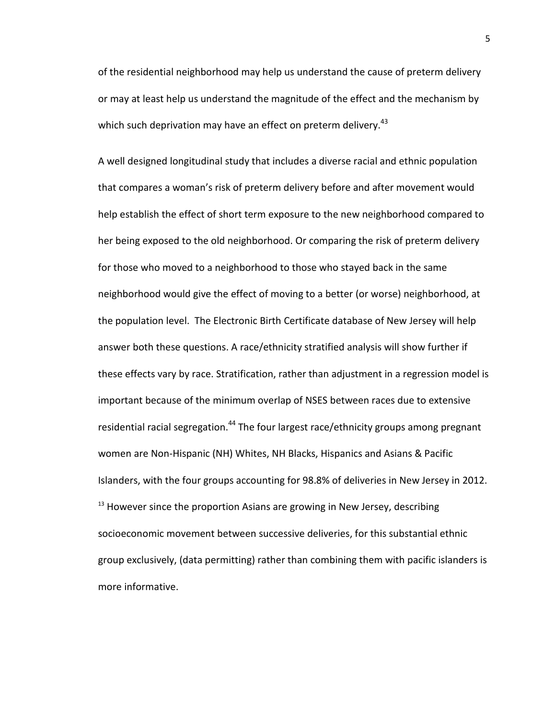of the residential neighborhood may help us understand the cause of preterm delivery or may at least help us understand the magnitude of the effect and the mechanism by which such deprivation may have an effect on preterm delivery.<sup>43</sup>

A well designed longitudinal study that includes a diverse racial and ethnic population that compares a woman's risk of preterm delivery before and after movement would help establish the effect of short term exposure to the new neighborhood compared to her being exposed to the old neighborhood. Or comparing the risk of preterm delivery for those who moved to a neighborhood to those who stayed back in the same neighborhood would give the effect of moving to a better (or worse) neighborhood, at the population level. The Electronic Birth Certificate database of New Jersey will help answer both these questions. A race/ethnicity stratified analysis will show further if these effects vary by race. Stratification, rather than adjustment in a regression model is important because of the minimum overlap of NSES between races due to extensive residential racial segregation.<sup>[44](#page-39-6)</sup> The four largest race/ethnicity groups among pregnant women are Non-Hispanic (NH) Whites, NH Blacks, Hispanics and Asians & Pacific Islanders, with the four groups accounting for 98.8% of deliveries in New Jersey in 2012.  $13$  However since the proportion Asians are growing in New Jersey, describing socioeconomic movement between successive deliveries, for this substantial ethnic group exclusively, (data permitting) rather than combining them with pacific islanders is more informative.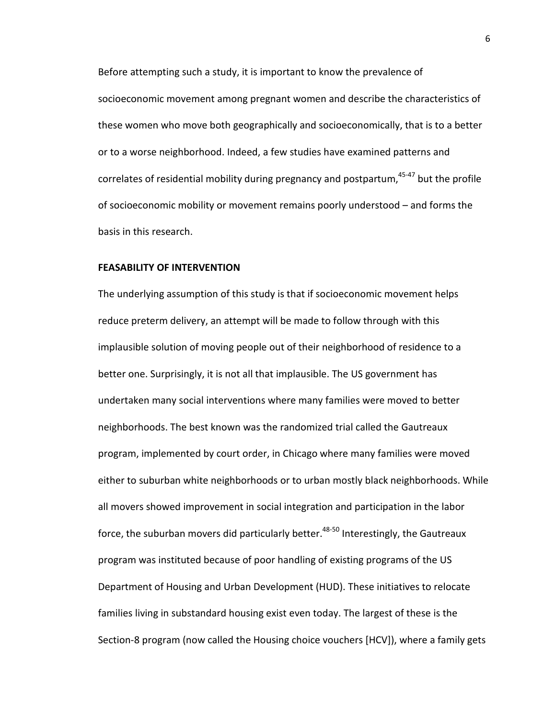Before attempting such a study, it is important to know the prevalence of socioeconomic movement among pregnant women and describe the characteristics of these women who move both geographically and socioeconomically, that is to a better or to a worse neighborhood. Indeed, a few studies have examined patterns and correlates of residential mobility during pregnancy and postpartum,  $45-47$  but the profile of socioeconomic mobility or movement remains poorly understood – and forms the basis in this research.

#### **FEASABILITY OF INTERVENTION**

The underlying assumption of this study is that if socioeconomic movement helps reduce preterm delivery, an attempt will be made to follow through with this implausible solution of moving people out of their neighborhood of residence to a better one. Surprisingly, it is not all that implausible. The US government has undertaken many social interventions where many families were moved to better neighborhoods. The best known was the randomized trial called the Gautreaux program, implemented by court order, in Chicago where many families were moved either to suburban white neighborhoods or to urban mostly black neighborhoods. While all movers showed improvement in social integration and participation in the labor force, the suburban movers did particularly better. $48-50$  Interestingly, the Gautreaux program was instituted because of poor handling of existing programs of the US Department of Housing and Urban Development (HUD). These initiatives to relocate families living in substandard housing exist even today. The largest of these is the Section-8 program (now called the Housing choice vouchers [HCV]), where a family gets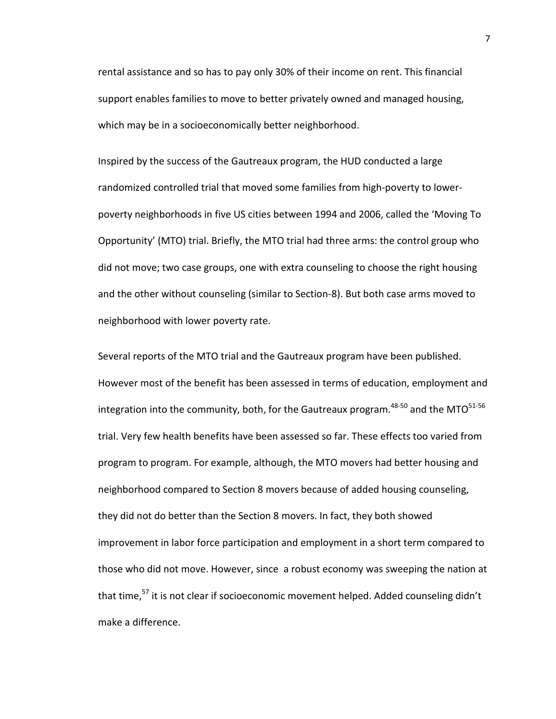rental assistance and so has to pay only 30% of their income on rent. This financial support enables families to move to better privately owned and managed housing, which may be in a socioeconomically better neighborhood.

Inspired by the success of the Gautreaux program, the HUD conducted a large randomized controlled trial that moved some families from high-poverty to lowerpoverty neighborhoods in five US cities between 1994 and 2006, called the 'Moving To Opportunity' (MTO) trial. Briefly, the MTO trial had three arms: the control group who did not move; two case groups, one with extra counseling to choose the right housing and the other without counseling (similar to Section-8). But both case arms moved to neighborhood with lower poverty rate.

Several reports of the MTO trial and the Gautreaux program have been published. However most of the benefit has been assessed in terms of education, employment and integration into the community, both, for the Gautreaux program.<sup>48-50</sup> and the MTO<sup>51-56</sup> trial. Very few health benefits have been assessed so far. These effects too varied from program to program. For example, although, the MTO movers had better housing and neighborhood compared to Section 8 movers because of added housing counseling, they did not do better than the Section 8 movers. In fact, they both showed improvement in labor force participation and employment in a short term compared to those who did not move. However, since a robust economy was sweeping the nation at that time,<sup>[57](#page-40-0)</sup> it is not clear if socioeconomic movement helped. Added counseling didn't make a difference.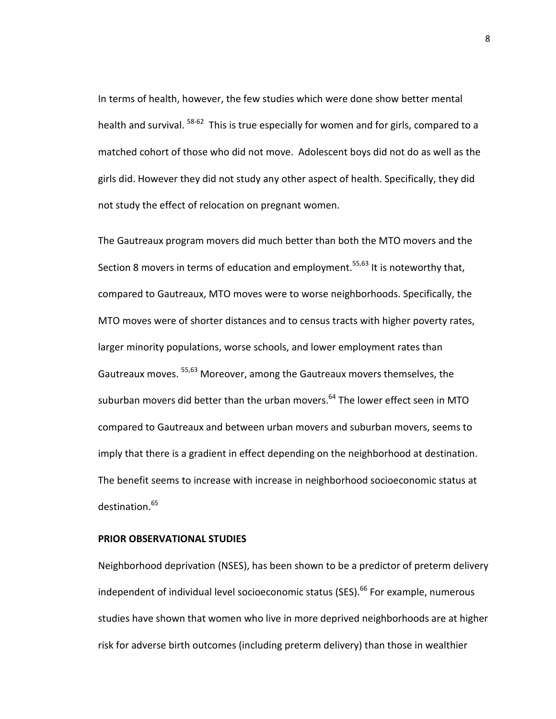In terms of health, however, the few studies which were done show better mental health and survival. <sup>58-62</sup> This is true especially for women and for girls, compared to a matched cohort of those who did not move. Adolescent boys did not do as well as the girls did. However they did not study any other aspect of health. Specifically, they did not study the effect of relocation on pregnant women.

The Gautreaux program movers did much better than both the MTO movers and the Section 8 movers in terms of education and employment.<sup>55[,63](#page-40-3)</sup> It is noteworthy that, compared to Gautreaux, MTO moves were to worse neighborhoods. Specifically, the MTO moves were of shorter distances and to census tracts with higher poverty rates, larger minority populations, worse schools, and lower employment rates than Gautreaux moves. [55,](#page-40-2)[63](#page-40-3) Moreover, among the Gautreaux movers themselves, the suburban movers did better than the urban movers.<sup>64</sup> The lower effect seen in MTO compared to Gautreaux and between urban movers and suburban movers, seems to imply that there is a gradient in effect depending on the neighborhood at destination. The benefit seems to increase with increase in neighborhood socioeconomic status at destination.<sup>65</sup>

## **PRIOR OBSERVATIONAL STUDIES**

Neighborhood deprivation (NSES), has been shown to be a predictor of preterm delivery independent of individual level socioeconomic status (SES).<sup>66</sup> For example, numerous studies have shown that women who live in more deprived neighborhoods are at higher risk for adverse birth outcomes (including preterm delivery) than those in wealthier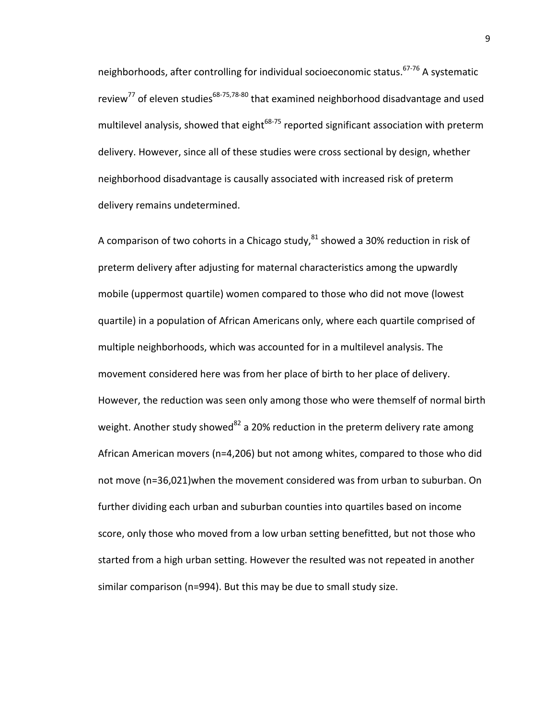neighborhoods, after controlling for individual socioeconomic status.<sup>67-76</sup> A systematic review<sup>77</sup> of eleven studies<sup>68-75,[78-80](#page-41-1)</sup> that examined neighborhood disadvantage and used multilevel analysis, showed that eight $^{68-75}$  $^{68-75}$  $^{68-75}$  reported significant association with preterm delivery. However, since all of these studies were cross sectional by design, whether neighborhood disadvantage is causally associated with increased risk of preterm delivery remains undetermined.

A comparison of two cohorts in a Chicago study,  $81$  showed a 30% reduction in risk of preterm delivery after adjusting for maternal characteristics among the upwardly mobile (uppermost quartile) women compared to those who did not move (lowest quartile) in a population of African Americans only, where each quartile comprised of multiple neighborhoods, which was accounted for in a multilevel analysis. The movement considered here was from her place of birth to her place of delivery. However, the reduction was seen only among those who were themself of normal birth weight. Another study showed<sup>[82](#page-41-3)</sup> a 20% reduction in the preterm delivery rate among African American movers (n=4,206) but not among whites, compared to those who did not move (n=36,021)when the movement considered was from urban to suburban. On further dividing each urban and suburban counties into quartiles based on income score, only those who moved from a low urban setting benefitted, but not those who started from a high urban setting. However the resulted was not repeated in another similar comparison (n=994). But this may be due to small study size.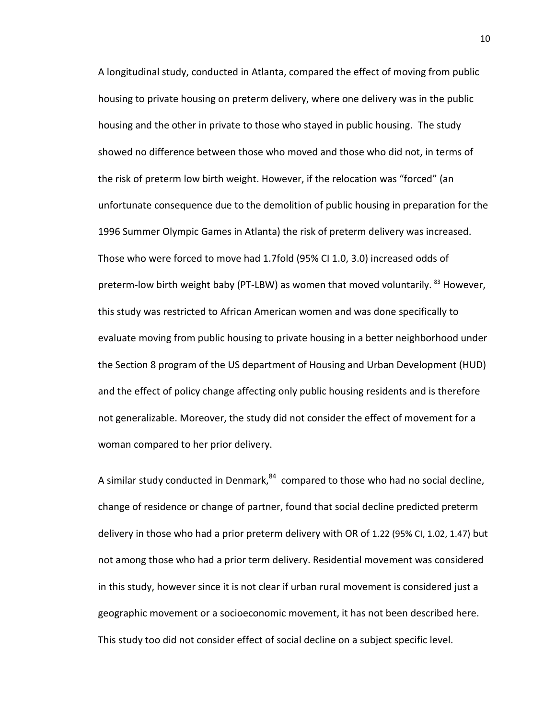A longitudinal study, conducted in Atlanta, compared the effect of moving from public housing to private housing on preterm delivery, where one delivery was in the public housing and the other in private to those who stayed in public housing. The study showed no difference between those who moved and those who did not, in terms of the risk of preterm low birth weight. However, if the relocation was "forced" (an unfortunate consequence due to the demolition of public housing in preparation for the 1996 Summer Olympic Games in Atlanta) the risk of preterm delivery was increased. Those who were forced to move had 1.7fold (95% CI 1.0, 3.0) increased odds of preterm-low birth weight baby (PT-LBW) as women that moved voluntarily. <sup>[83](#page-41-4)</sup> However, this study was restricted to African American women and was done specifically to evaluate moving from public housing to private housing in a better neighborhood under the Section 8 program of the US department of Housing and Urban Development (HUD) and the effect of policy change affecting only public housing residents and is therefore not generalizable. Moreover, the study did not consider the effect of movement for a woman compared to her prior delivery.

A similar study conducted in Denmark, $84$  compared to those who had no social decline, change of residence or change of partner, found that social decline predicted preterm delivery in those who had a prior preterm delivery with OR of 1.22 (95% CI, 1.02, 1.47) but not among those who had a prior term delivery. Residential movement was considered in this study, however since it is not clear if urban rural movement is considered just a geographic movement or a socioeconomic movement, it has not been described here. This study too did not consider effect of social decline on a subject specific level.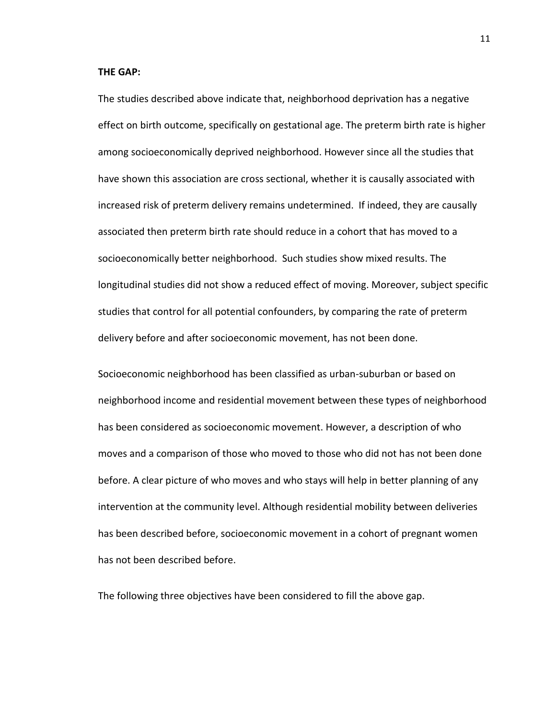#### **THE GAP:**

The studies described above indicate that, neighborhood deprivation has a negative effect on birth outcome, specifically on gestational age. The preterm birth rate is higher among socioeconomically deprived neighborhood. However since all the studies that have shown this association are cross sectional, whether it is causally associated with increased risk of preterm delivery remains undetermined. If indeed, they are causally associated then preterm birth rate should reduce in a cohort that has moved to a socioeconomically better neighborhood. Such studies show mixed results. The longitudinal studies did not show a reduced effect of moving. Moreover, subject specific studies that control for all potential confounders, by comparing the rate of preterm delivery before and after socioeconomic movement, has not been done.

Socioeconomic neighborhood has been classified as urban-suburban or based on neighborhood income and residential movement between these types of neighborhood has been considered as socioeconomic movement. However, a description of who moves and a comparison of those who moved to those who did not has not been done before. A clear picture of who moves and who stays will help in better planning of any intervention at the community level. Although residential mobility between deliveries has been described before, socioeconomic movement in a cohort of pregnant women has not been described before.

The following three objectives have been considered to fill the above gap.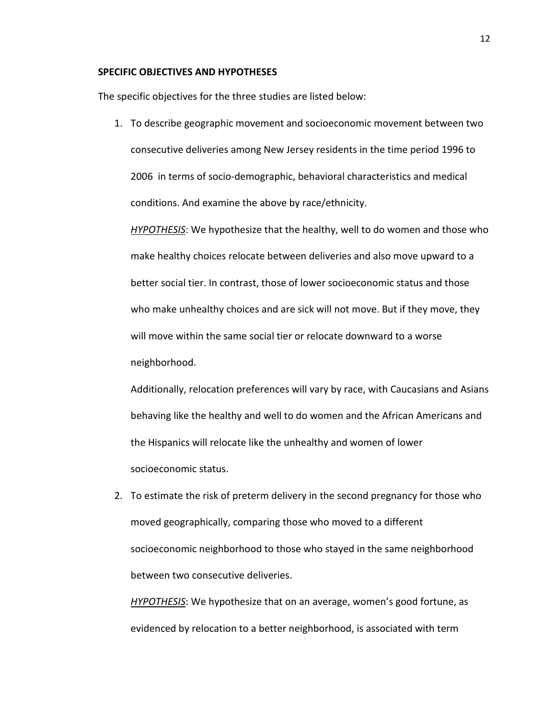#### **SPECIFIC OBJECTIVES AND HYPOTHESES**

The specific objectives for the three studies are listed below:

1. To describe geographic movement and socioeconomic movement between two consecutive deliveries among New Jersey residents in the time period 1996 to 2006 in terms of socio-demographic, behavioral characteristics and medical conditions. And examine the above by race/ethnicity.

*HYPOTHESIS*: We hypothesize that the healthy, well to do women and those who make healthy choices relocate between deliveries and also move upward to a better social tier. In contrast, those of lower socioeconomic status and those who make unhealthy choices and are sick will not move. But if they move, they will move within the same social tier or relocate downward to a worse neighborhood.

Additionally, relocation preferences will vary by race, with Caucasians and Asians behaving like the healthy and well to do women and the African Americans and the Hispanics will relocate like the unhealthy and women of lower socioeconomic status.

2. To estimate the risk of preterm delivery in the second pregnancy for those who moved geographically, comparing those who moved to a different socioeconomic neighborhood to those who stayed in the same neighborhood between two consecutive deliveries.

*HYPOTHESIS*: We hypothesize that on an average, women's good fortune, as evidenced by relocation to a better neighborhood, is associated with term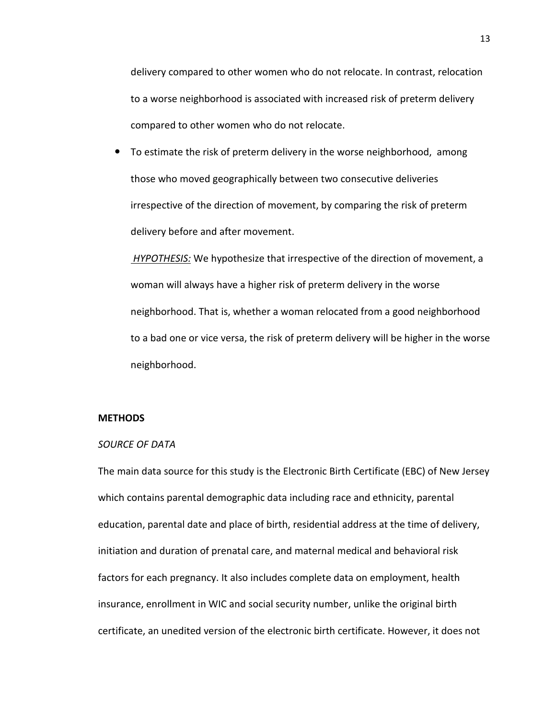delivery compared to other women who do not relocate. In contrast, relocation to a worse neighborhood is associated with increased risk of preterm delivery compared to other women who do not relocate.

 To estimate the risk of preterm delivery in the worse neighborhood, among those who moved geographically between two consecutive deliveries irrespective of the direction of movement, by comparing the risk of preterm delivery before and after movement.

*HYPOTHESIS:* We hypothesize that irrespective of the direction of movement, a woman will always have a higher risk of preterm delivery in the worse neighborhood. That is, whether a woman relocated from a good neighborhood to a bad one or vice versa, the risk of preterm delivery will be higher in the worse neighborhood.

#### **METHODS**

#### *SOURCE OF DATA*

The main data source for this study is the Electronic Birth Certificate (EBC) of New Jersey which contains parental demographic data including race and ethnicity, parental education, parental date and place of birth, residential address at the time of delivery, initiation and duration of prenatal care, and maternal medical and behavioral risk factors for each pregnancy. It also includes complete data on employment, health insurance, enrollment in WIC and social security number, unlike the original birth certificate, an unedited version of the electronic birth certificate. However, it does not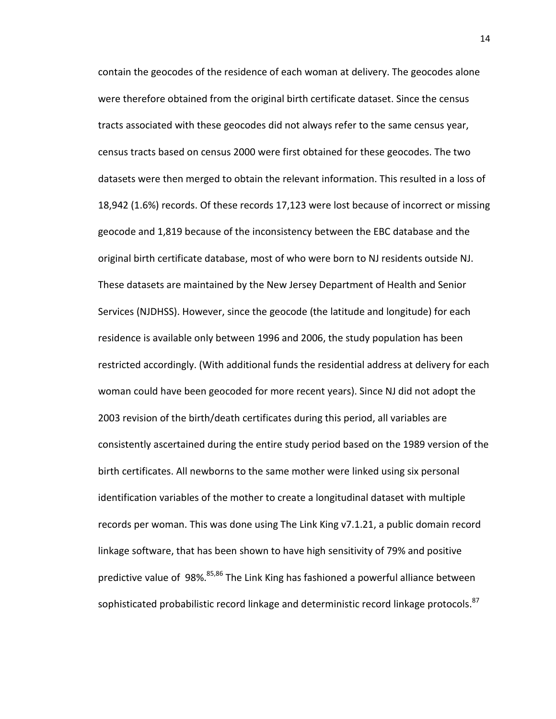contain the geocodes of the residence of each woman at delivery. The geocodes alone were therefore obtained from the original birth certificate dataset. Since the census tracts associated with these geocodes did not always refer to the same census year, census tracts based on census 2000 were first obtained for these geocodes. The two datasets were then merged to obtain the relevant information. This resulted in a loss of 18,942 (1.6%) records. Of these records 17,123 were lost because of incorrect or missing geocode and 1,819 because of the inconsistency between the EBC database and the original birth certificate database, most of who were born to NJ residents outside NJ. These datasets are maintained by the New Jersey Department of Health and Senior Services (NJDHSS). However, since the geocode (the latitude and longitude) for each residence is available only between 1996 and 2006, the study population has been restricted accordingly. (With additional funds the residential address at delivery for each woman could have been geocoded for more recent years). Since NJ did not adopt the 2003 revision of the birth/death certificates during this period, all variables are consistently ascertained during the entire study period based on the 1989 version of the birth certificates. All newborns to the same mother were linked using six personal identification variables of the mother to create a longitudinal dataset with multiple records per woman. This was done using The Link King v7.1.21, a public domain record linkage software, that has been shown to have high sensitivity of 79% and positive predictive value of 98%.<sup>[85,](#page-41-6)[86](#page-41-7)</sup> The Link King has fashioned a powerful alliance between sophisticated probabilistic record linkage and deterministic record linkage protocols.<sup>87</sup>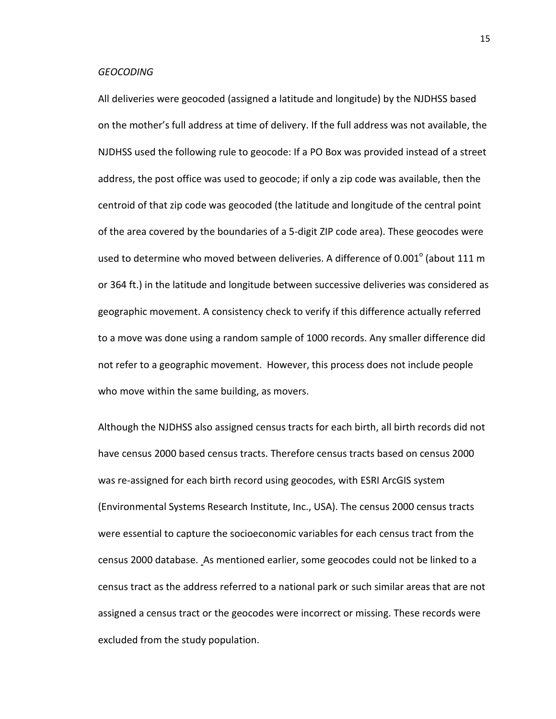#### *GEOCODING*

All deliveries were geocoded (assigned a latitude and longitude) by the NJDHSS based on the mother's full address at time of delivery. If the full address was not available, the NJDHSS used the following rule to geocode: If a PO Box was provided instead of a street address, the post office was used to geocode; if only a zip code was available, then the centroid of that zip code was geocoded (the latitude and longitude of the central point of the area covered by the boundaries of a 5-digit ZIP code area). These geocodes were used to determine who moved between deliveries. A difference of 0.001 $^{\circ}$  (about 111 m or 364 ft.) in the latitude and longitude between successive deliveries was considered as geographic movement. A consistency check to verify if this difference actually referred to a move was done using a random sample of 1000 records. Any smaller difference did not refer to a geographic movement. However, this process does not include people who move within the same building, as movers.

Although the NJDHSS also assigned census tracts for each birth, all birth records did not have census 2000 based census tracts. Therefore census tracts based on census 2000 was re-assigned for each birth record using geocodes, with ESRI ArcGIS system (Environmental Systems Research Institute, Inc., USA). The census 2000 census tracts were essential to capture the socioeconomic variables for each census tract from the census 2000 database. As mentioned earlier, some geocodes could not be linked to a census tract as the address referred to a national park or such similar areas that are not assigned a census tract or the geocodes were incorrect or missing. These records were excluded from the study population.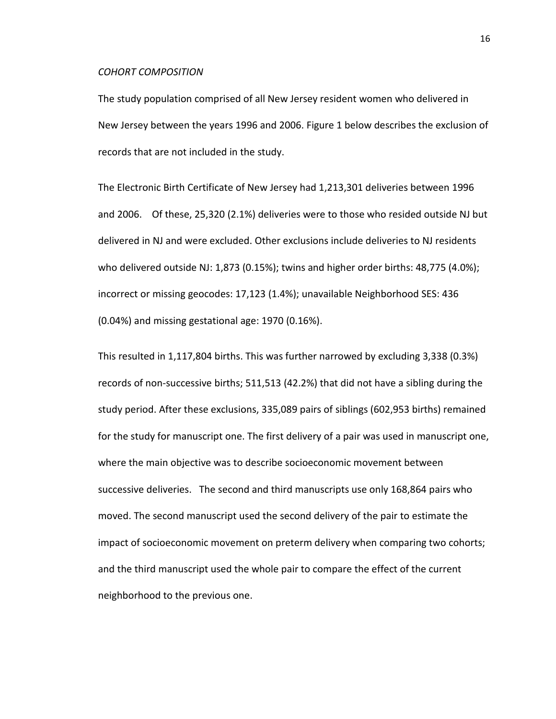#### *COHORT COMPOSITION*

The study population comprised of all New Jersey resident women who delivered in New Jersey between the years 1996 and 2006. Figure 1 below describes the exclusion of records that are not included in the study.

The Electronic Birth Certificate of New Jersey had 1,213,301 deliveries between 1996 and 2006. Of these, 25,320 (2.1%) deliveries were to those who resided outside NJ but delivered in NJ and were excluded. Other exclusions include deliveries to NJ residents who delivered outside NJ: 1,873 (0.15%); twins and higher order births: 48,775 (4.0%); incorrect or missing geocodes: 17,123 (1.4%); unavailable Neighborhood SES: 436 (0.04%) and missing gestational age: 1970 (0.16%).

This resulted in 1,117,804 births. This was further narrowed by excluding 3,338 (0.3%) records of non-successive births; 511,513 (42.2%) that did not have a sibling during the study period. After these exclusions, 335,089 pairs of siblings (602,953 births) remained for the study for manuscript one. The first delivery of a pair was used in manuscript one, where the main objective was to describe socioeconomic movement between successive deliveries. The second and third manuscripts use only 168,864 pairs who moved. The second manuscript used the second delivery of the pair to estimate the impact of socioeconomic movement on preterm delivery when comparing two cohorts; and the third manuscript used the whole pair to compare the effect of the current neighborhood to the previous one.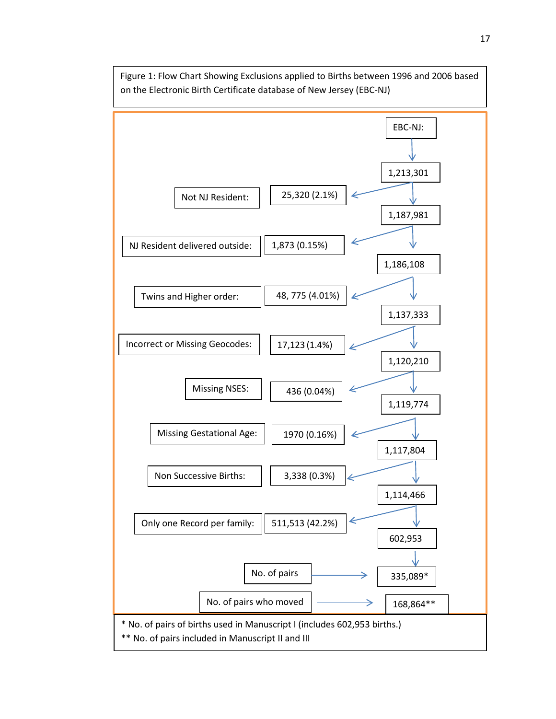

Figure 1: Flow Chart Showing Exclusions applied to Births between 1996 and 2006 based on the Electronic Birth Certificate database of New Jersey (EBC-NJ)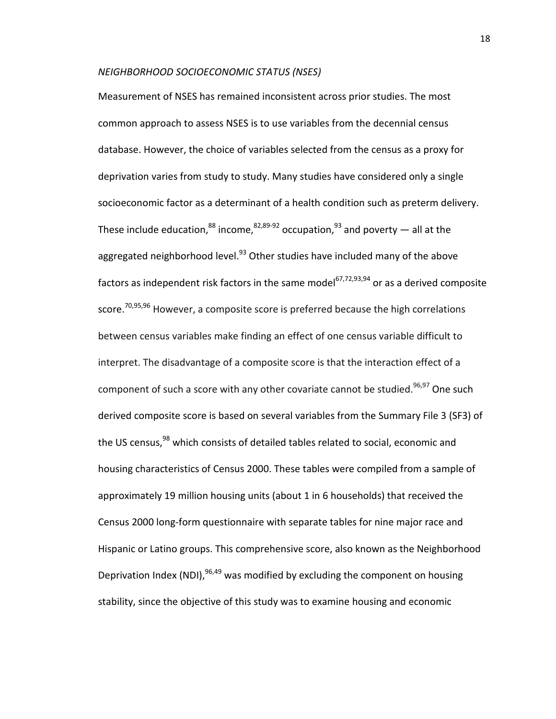#### *NEIGHBORHOOD SOCIOECONOMIC STATUS (NSES)*

Measurement of NSES has remained inconsistent across prior studies. The most common approach to assess NSES is to use variables from the decennial census database. However, the choice of variables selected from the census as a proxy for deprivation varies from study to study. Many studies have considered only a single socioeconomic factor as a determinant of a health condition such as preterm delivery. These include education,  $88$  income,  $82,89-92$  $82,89-92$  occupation,  $93$  and poverty — all at the aggregated neighborhood level. $93$  Other studies have included many of the above factors as independent risk factors in the same model<sup>[67,](#page-40-7)[72,](#page-41-9)[93,](#page-42-2)[94](#page-42-3)</sup> or as a derived composite score.<sup>70,[95,](#page-42-4)[96](#page-42-5)</sup> However, a composite score is preferred because the high correlations between census variables make finding an effect of one census variable difficult to interpret. The disadvantage of a composite score is that the interaction effect of a component of such a score with any other covariate cannot be studied.<sup>96[,97](#page-42-6)</sup> One such derived composite score is based on several variables from the Summary File 3 (SF3) of the US census,<sup>[98](#page-42-7)</sup> which consists of detailed tables related to social, economic and housing characteristics of Census 2000. These tables were compiled from a sample of approximately 19 million housing units (about 1 in 6 households) that received the Census 2000 long-form questionnaire with separate tables for nine major race and Hispanic or Latino groups. This comprehensive score, also known as the Neighborhood Deprivation Index (NDI),  $96,49$  $96,49$  was modified by excluding the component on housing stability, since the objective of this study was to examine housing and economic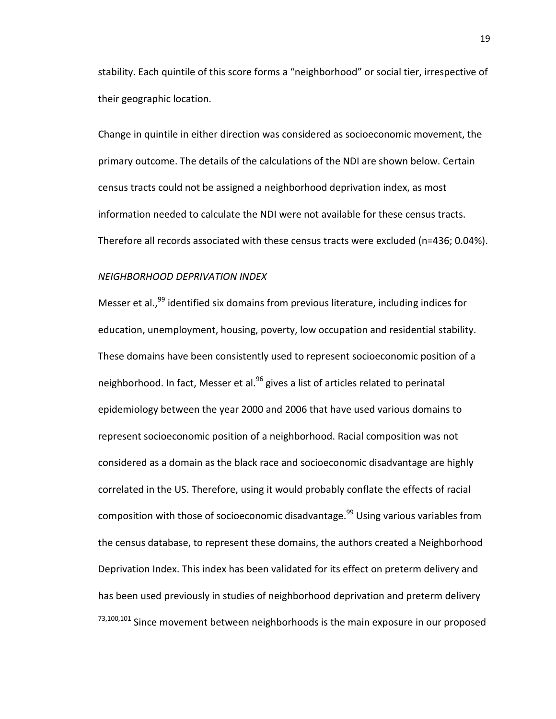stability. Each quintile of this score forms a "neighborhood" or social tier, irrespective of their geographic location.

Change in quintile in either direction was considered as socioeconomic movement, the primary outcome. The details of the calculations of the NDI are shown below. Certain census tracts could not be assigned a neighborhood deprivation index, as most information needed to calculate the NDI were not available for these census tracts. Therefore all records associated with these census tracts were excluded (n=436; 0.04%).

## *NEIGHBORHOOD DEPRIVATION INDEX*

Messer et al.,<sup>[99](#page-42-8)</sup> identified six domains from previous literature, including indices for education, unemployment, housing, poverty, low occupation and residential stability. These domains have been consistently used to represent socioeconomic position of a neighborhood. In fact, Messer et al.<sup>96</sup> gives a list of articles related to perinatal epidemiology between the year 2000 and 2006 that have used various domains to represent socioeconomic position of a neighborhood. Racial composition was not considered as a domain as the black race and socioeconomic disadvantage are highly correlated in the US. Therefore, using it would probably conflate the effects of racial composition with those of socioeconomic disadvantage.<sup>99</sup> Using various variables from the census database, to represent these domains, the authors created a Neighborhood Deprivation Index. This index has been validated for its effect on preterm delivery and has been used previously in studies of neighborhood deprivation and preterm delivery [73](#page-41-10)[,100,](#page-42-9)[101](#page-42-10) Since movement between neighborhoods is the main exposure in our proposed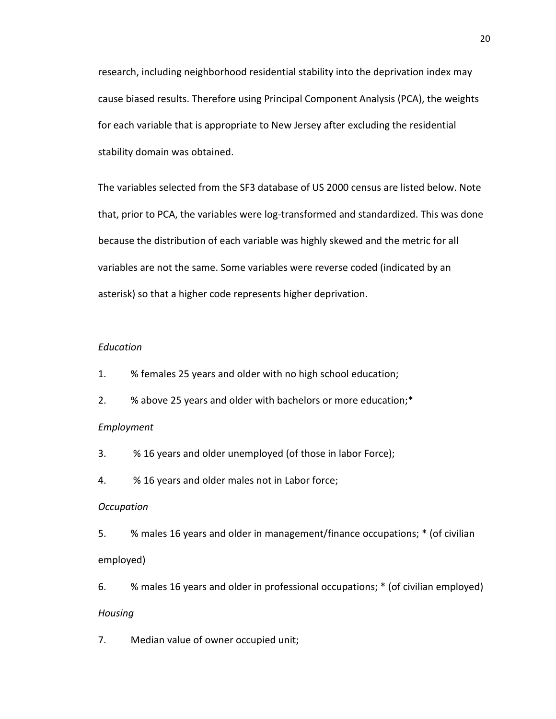research, including neighborhood residential stability into the deprivation index may cause biased results. Therefore using Principal Component Analysis (PCA), the weights for each variable that is appropriate to New Jersey after excluding the residential stability domain was obtained.

The variables selected from the SF3 database of US 2000 census are listed below. Note that, prior to PCA, the variables were log-transformed and standardized. This was done because the distribution of each variable was highly skewed and the metric for all variables are not the same. Some variables were reverse coded (indicated by an asterisk) so that a higher code represents higher deprivation.

## *Education*

- 1. % females 25 years and older with no high school education;
- 2. % above 25 years and older with bachelors or more education;\*

#### *Employment*

- 3. % 16 years and older unemployed (of those in labor Force);
- 4. % 16 years and older males not in Labor force;

#### *Occupation*

5. % males 16 years and older in management/finance occupations; \* (of civilian employed)

6. % males 16 years and older in professional occupations; \* (of civilian employed) *Housing*

7. Median value of owner occupied unit;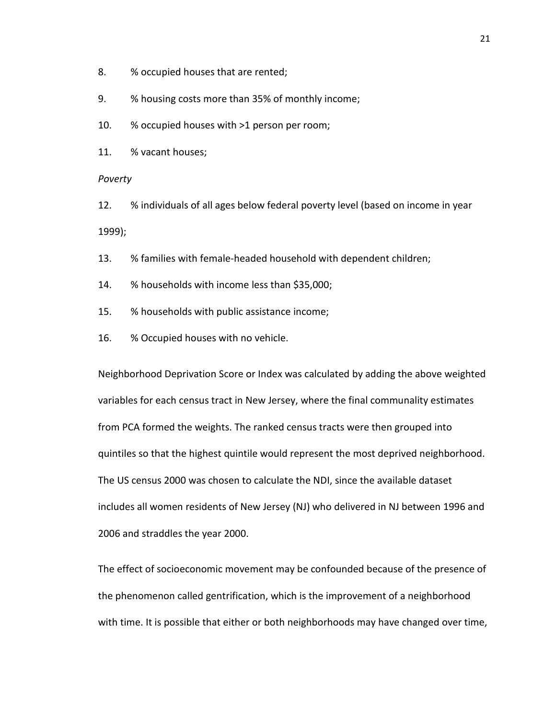- 8. % occupied houses that are rented;
- 9. % housing costs more than 35% of monthly income;
- 10. % occupied houses with >1 person per room;
- 11. % vacant houses;

*Poverty*

12. % individuals of all ages below federal poverty level (based on income in year 1999);

- 13. % families with female-headed household with dependent children;
- 14. % households with income less than \$35,000;
- 15. % households with public assistance income;
- 16. % Occupied houses with no vehicle.

Neighborhood Deprivation Score or Index was calculated by adding the above weighted variables for each census tract in New Jersey, where the final communality estimates from PCA formed the weights. The ranked census tracts were then grouped into quintiles so that the highest quintile would represent the most deprived neighborhood. The US census 2000 was chosen to calculate the NDI, since the available dataset includes all women residents of New Jersey (NJ) who delivered in NJ between 1996 and 2006 and straddles the year 2000.

The effect of socioeconomic movement may be confounded because of the presence of the phenomenon called gentrification, which is the improvement of a neighborhood with time. It is possible that either or both neighborhoods may have changed over time,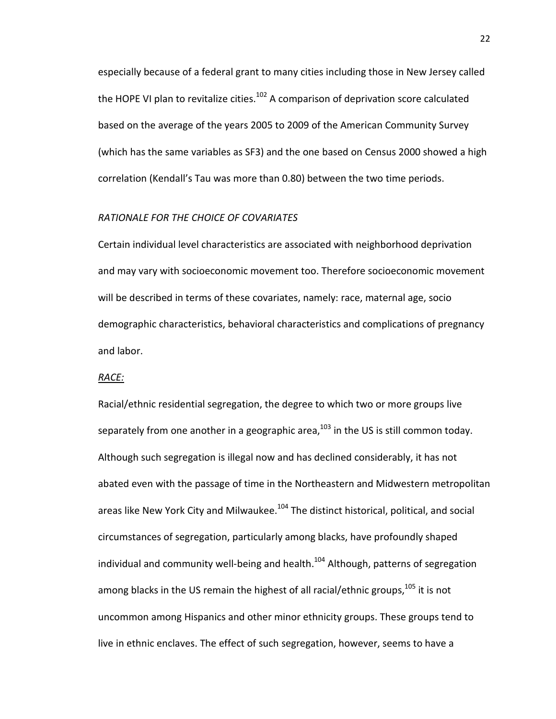especially because of a federal grant to many cities including those in New Jersey called the HOPE VI plan to revitalize cities. $102$  A comparison of deprivation score calculated based on the average of the years 2005 to 2009 of the American Community Survey (which has the same variables as SF3) and the one based on Census 2000 showed a high correlation (Kendall's Tau was more than 0.80) between the two time periods.

#### *RATIONALE FOR THE CHOICE OF COVARIATES*

Certain individual level characteristics are associated with neighborhood deprivation and may vary with socioeconomic movement too. Therefore socioeconomic movement will be described in terms of these covariates, namely: race, maternal age, socio demographic characteristics, behavioral characteristics and complications of pregnancy and labor.

#### *RACE:*

Racial/ethnic residential segregation, the degree to which two or more groups live separately from one another in a geographic area, $^{103}$  $^{103}$  $^{103}$  in the US is still common today. Although such segregation is illegal now and has declined considerably, it has not abated even with the passage of time in the Northeastern and Midwestern metropolitan areas like New York City and Milwaukee.<sup>104</sup> The distinct historical, political, and social circumstances of segregation, particularly among blacks, have profoundly shaped individual and community well-being and health. $104$  Although, patterns of segregation among blacks in the US remain the highest of all racial/ethnic groups,<sup>105</sup> it is not uncommon among Hispanics and other minor ethnicity groups. These groups tend to live in ethnic enclaves. The effect of such segregation, however, seems to have a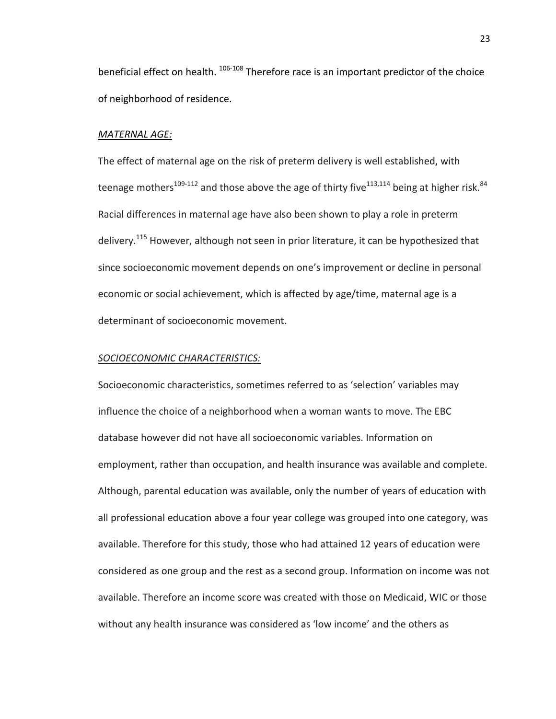beneficial effect on health.  $106-108$  Therefore race is an important predictor of the choice of neighborhood of residence.

#### *MATERNAL AGE:*

The effect of maternal age on the risk of preterm delivery is well established, with teenage mothers<sup>109-112</sup> and those above the age of thirty five<sup>113,[114](#page-43-5)</sup> being at higher risk.<sup>84</sup> Racial differences in maternal age have also been shown to play a role in preterm delivery.<sup>115</sup> However, although not seen in prior literature, it can be hypothesized that since socioeconomic movement depends on one's improvement or decline in personal economic or social achievement, which is affected by age/time, maternal age is a determinant of socioeconomic movement.

#### *SOCIOECONOMIC CHARACTERISTICS:*

Socioeconomic characteristics, sometimes referred to as 'selection' variables may influence the choice of a neighborhood when a woman wants to move. The EBC database however did not have all socioeconomic variables. Information on employment, rather than occupation, and health insurance was available and complete. Although, parental education was available, only the number of years of education with all professional education above a four year college was grouped into one category, was available. Therefore for this study, those who had attained 12 years of education were considered as one group and the rest as a second group. Information on income was not available. Therefore an income score was created with those on Medicaid, WIC or those without any health insurance was considered as 'low income' and the others as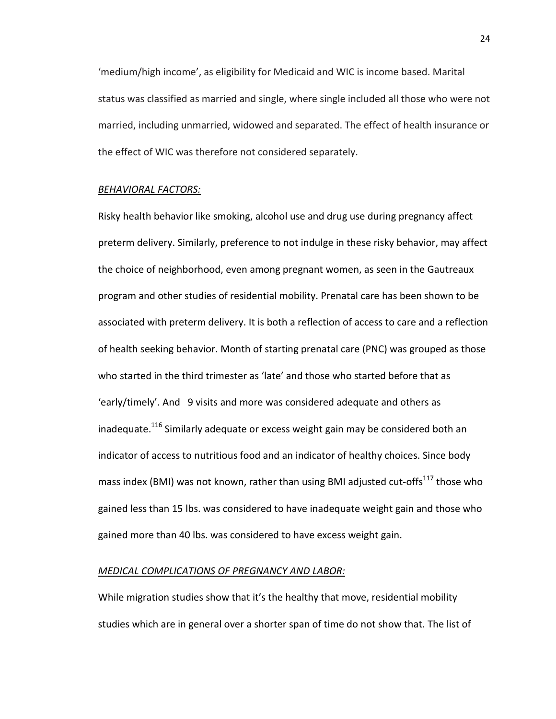'medium/high income', as eligibility for Medicaid and WIC is income based. Marital status was classified as married and single, where single included all those who were not married, including unmarried, widowed and separated. The effect of health insurance or the effect of WIC was therefore not considered separately.

#### *BEHAVIORAL FACTORS:*

Risky health behavior like smoking, alcohol use and drug use during pregnancy affect preterm delivery. Similarly, preference to not indulge in these risky behavior, may affect the choice of neighborhood, even among pregnant women, as seen in the Gautreaux program and other studies of residential mobility. Prenatal care has been shown to be associated with preterm delivery. It is both a reflection of access to care and a reflection of health seeking behavior. Month of starting prenatal care (PNC) was grouped as those who started in the third trimester as 'late' and those who started before that as 'early/timely'. And 9 visits and more was considered adequate and others as inadequate.<sup>116</sup> Similarly adequate or excess weight gain may be considered both an indicator of access to nutritious food and an indicator of healthy choices. Since body mass index (BMI) was not known, rather than using BMI adjusted cut-offs<sup>117</sup> those who gained less than 15 lbs. was considered to have inadequate weight gain and those who gained more than 40 lbs. was considered to have excess weight gain.

#### *MEDICAL COMPLICATIONS OF PREGNANCY AND LABOR:*

While migration studies show that it's the healthy that move, residential mobility studies which are in general over a shorter span of time do not show that. The list of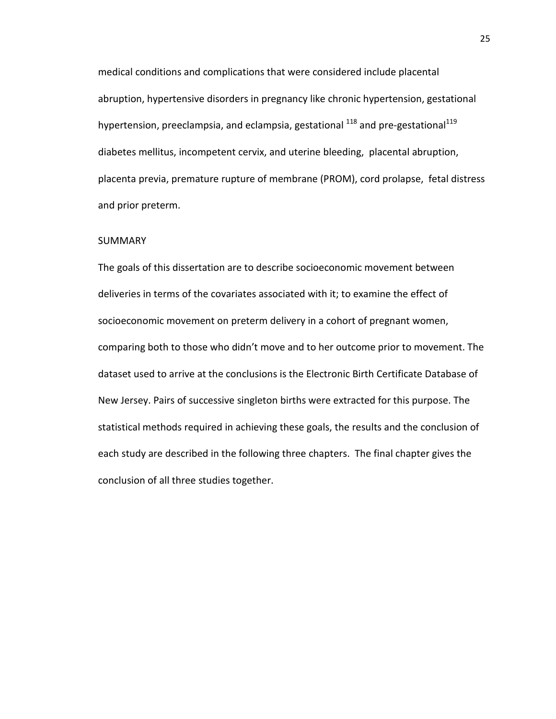medical conditions and complications that were considered include placental abruption, hypertensive disorders in pregnancy like chronic hypertension, gestational hypertension, preeclampsia, and eclampsia, gestational  $^{118}$  $^{118}$  $^{118}$  and pre-gestational  $^{119}$  $^{119}$  $^{119}$ diabetes mellitus, incompetent cervix, and uterine bleeding, placental abruption, placenta previa, premature rupture of membrane (PROM), cord prolapse, fetal distress and prior preterm.

#### SUMMARY

The goals of this dissertation are to describe socioeconomic movement between deliveries in terms of the covariates associated with it; to examine the effect of socioeconomic movement on preterm delivery in a cohort of pregnant women, comparing both to those who didn't move and to her outcome prior to movement. The dataset used to arrive at the conclusions is the Electronic Birth Certificate Database of New Jersey. Pairs of successive singleton births were extracted for this purpose. The statistical methods required in achieving these goals, the results and the conclusion of each study are described in the following three chapters. The final chapter gives the conclusion of all three studies together.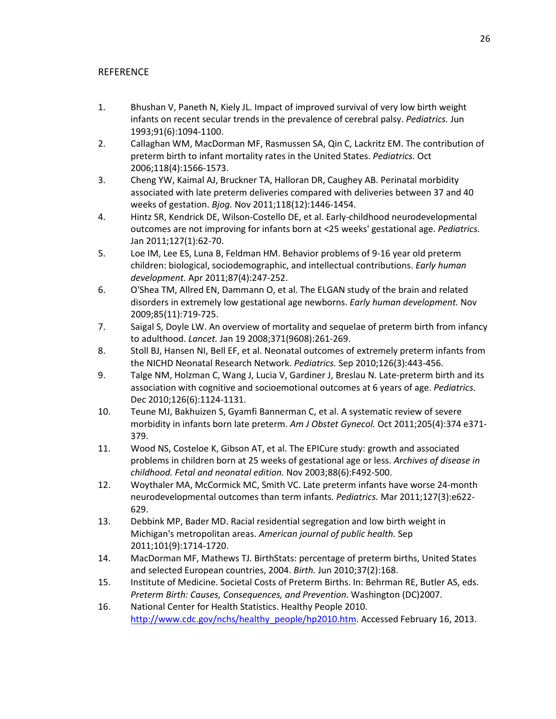# **REFERENCE**

- 1. Bhushan V, Paneth N, Kiely JL. Impact of improved survival of very low birth weight infants on recent secular trends in the prevalence of cerebral palsy. *Pediatrics.* Jun 1993;91(6):1094-1100.
- 2. Callaghan WM, MacDorman MF, Rasmussen SA, Qin C, Lackritz EM. The contribution of preterm birth to infant mortality rates in the United States. *Pediatrics.* Oct 2006;118(4):1566-1573.
- 3. Cheng YW, Kaimal AJ, Bruckner TA, Halloran DR, Caughey AB. Perinatal morbidity associated with late preterm deliveries compared with deliveries between 37 and 40 weeks of gestation. *Bjog.* Nov 2011;118(12):1446-1454.
- 4. Hintz SR, Kendrick DE, Wilson-Costello DE, et al. Early-childhood neurodevelopmental outcomes are not improving for infants born at <25 weeks' gestational age. *Pediatrics.*  Jan 2011;127(1):62-70.
- 5. Loe IM, Lee ES, Luna B, Feldman HM. Behavior problems of 9-16 year old preterm children: biological, sociodemographic, and intellectual contributions. *Early human development.* Apr 2011;87(4):247-252.
- 6. O'Shea TM, Allred EN, Dammann O, et al. The ELGAN study of the brain and related disorders in extremely low gestational age newborns. *Early human development.* Nov 2009;85(11):719-725.
- 7. Saigal S, Doyle LW. An overview of mortality and sequelae of preterm birth from infancy to adulthood. *Lancet.* Jan 19 2008;371(9608):261-269.
- 8. Stoll BJ, Hansen NI, Bell EF, et al. Neonatal outcomes of extremely preterm infants from the NICHD Neonatal Research Network. *Pediatrics.* Sep 2010;126(3):443-456.
- 9. Talge NM, Holzman C, Wang J, Lucia V, Gardiner J, Breslau N. Late-preterm birth and its association with cognitive and socioemotional outcomes at 6 years of age. *Pediatrics.*  Dec 2010;126(6):1124-1131.
- 10. Teune MJ, Bakhuizen S, Gyamfi Bannerman C, et al. A systematic review of severe morbidity in infants born late preterm. *Am J Obstet Gynecol.* Oct 2011;205(4):374 e371- 379.
- 11. Wood NS, Costeloe K, Gibson AT, et al. The EPICure study: growth and associated problems in children born at 25 weeks of gestational age or less. *Archives of disease in childhood. Fetal and neonatal edition.* Nov 2003;88(6):F492-500.
- 12. Woythaler MA, McCormick MC, Smith VC. Late preterm infants have worse 24-month neurodevelopmental outcomes than term infants. *Pediatrics.* Mar 2011;127(3):e622- 629.
- 13. Debbink MP, Bader MD. Racial residential segregation and low birth weight in Michigan's metropolitan areas. *American journal of public health.* Sep 2011;101(9):1714-1720.
- 14. MacDorman MF, Mathews TJ. BirthStats: percentage of preterm births, United States and selected European countries, 2004. *Birth.* Jun 2010;37(2):168.
- 15. Institute of Medicine. Societal Costs of Preterm Births. In: Behrman RE, Butler AS, eds. *Preterm Birth: Causes, Consequences, and Prevention*. Washington (DC)2007.
- 16. National Center for Health Statistics. Healthy People 2010. [http://www.cdc.gov/nchs/healthy\\_people/hp2010.htm.](http://www.cdc.gov/nchs/healthy_people/hp2010.htm) Accessed February 16, 2013.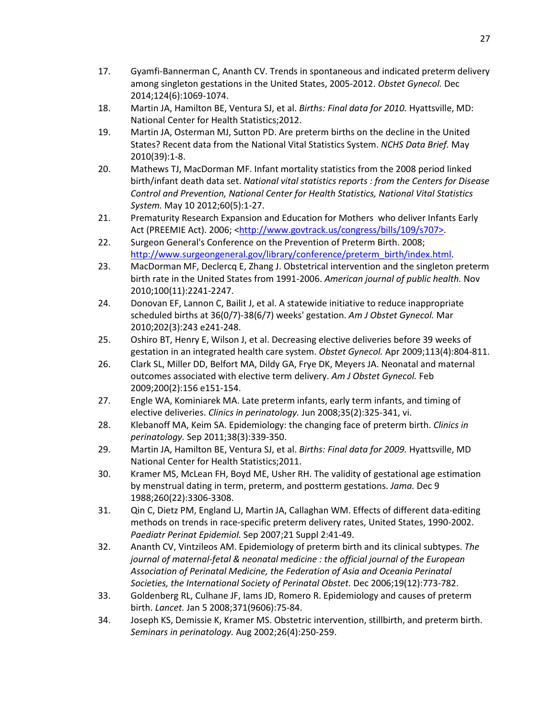- 17. Gyamfi-Bannerman C, Ananth CV. Trends in spontaneous and indicated preterm delivery among singleton gestations in the United States, 2005-2012. *Obstet Gynecol.* Dec 2014;124(6):1069-1074.
- 18. Martin JA, Hamilton BE, Ventura SJ, et al. *Births: Final data for 2010.* Hyattsville, MD: National Center for Health Statistics;2012.
- 19. Martin JA, Osterman MJ, Sutton PD. Are preterm births on the decline in the United States? Recent data from the National Vital Statistics System. *NCHS Data Brief.* May 2010(39):1-8.
- 20. Mathews TJ, MacDorman MF. Infant mortality statistics from the 2008 period linked birth/infant death data set. *National vital statistics reports : from the Centers for Disease Control and Prevention, National Center for Health Statistics, National Vital Statistics System.* May 10 2012;60(5):1-27.
- 21. Prematurity Research Expansion and Education for Mothers who deliver Infants Early Act (PREEMIE Act). 2006; [<http://www.govtrack.us/congress/bills/109/s707>.](http://www.govtrack.us/congress/bills/109/s707%3e)
- 22. Surgeon General's Conference on the Prevention of Preterm Birth. 2008; [http://www.surgeongeneral.gov/library/conference/preterm\\_birth/index.html.](http://www.surgeongeneral.gov/library/conference/preterm_birth/index.html)
- 23. MacDorman MF, Declercq E, Zhang J. Obstetrical intervention and the singleton preterm birth rate in the United States from 1991-2006. *American journal of public health.* Nov 2010;100(11):2241-2247.
- 24. Donovan EF, Lannon C, Bailit J, et al. A statewide initiative to reduce inappropriate scheduled births at 36(0/7)-38(6/7) weeks' gestation. *Am J Obstet Gynecol.* Mar 2010;202(3):243 e241-248.
- 25. Oshiro BT, Henry E, Wilson J, et al. Decreasing elective deliveries before 39 weeks of gestation in an integrated health care system. *Obstet Gynecol.* Apr 2009;113(4):804-811.
- 26. Clark SL, Miller DD, Belfort MA, Dildy GA, Frye DK, Meyers JA. Neonatal and maternal outcomes associated with elective term delivery. *Am J Obstet Gynecol.* Feb 2009;200(2):156 e151-154.
- 27. Engle WA, Kominiarek MA. Late preterm infants, early term infants, and timing of elective deliveries. *Clinics in perinatology.* Jun 2008;35(2):325-341, vi.
- 28. Klebanoff MA, Keim SA. Epidemiology: the changing face of preterm birth. *Clinics in perinatology.* Sep 2011;38(3):339-350.
- 29. Martin JA, Hamilton BE, Ventura SJ, et al. *Births: Final data for 2009.* Hyattsville, MD National Center for Health Statistics;2011.
- 30. Kramer MS, McLean FH, Boyd ME, Usher RH. The validity of gestational age estimation by menstrual dating in term, preterm, and postterm gestations. *Jama.* Dec 9 1988;260(22):3306-3308.
- 31. Qin C, Dietz PM, England LJ, Martin JA, Callaghan WM. Effects of different data-editing methods on trends in race-specific preterm delivery rates, United States, 1990-2002. *Paediatr Perinat Epidemiol.* Sep 2007;21 Suppl 2:41-49.
- 32. Ananth CV, Vintzileos AM. Epidemiology of preterm birth and its clinical subtypes. *The journal of maternal-fetal & neonatal medicine : the official journal of the European Association of Perinatal Medicine, the Federation of Asia and Oceania Perinatal Societies, the International Society of Perinatal Obstet.* Dec 2006;19(12):773-782.
- 33. Goldenberg RL, Culhane JF, Iams JD, Romero R. Epidemiology and causes of preterm birth. *Lancet.* Jan 5 2008;371(9606):75-84.
- 34. Joseph KS, Demissie K, Kramer MS. Obstetric intervention, stillbirth, and preterm birth. *Seminars in perinatology.* Aug 2002;26(4):250-259.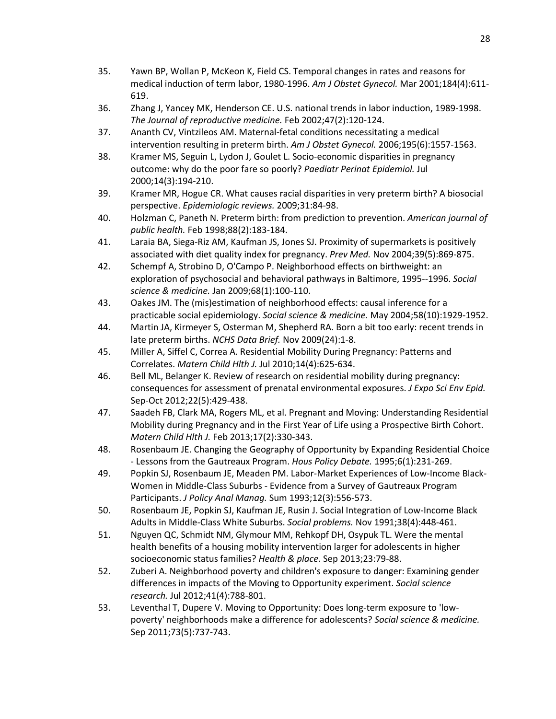- 35. Yawn BP, Wollan P, McKeon K, Field CS. Temporal changes in rates and reasons for medical induction of term labor, 1980-1996. *Am J Obstet Gynecol.* Mar 2001;184(4):611- 619.
- 36. Zhang J, Yancey MK, Henderson CE. U.S. national trends in labor induction, 1989-1998. *The Journal of reproductive medicine.* Feb 2002;47(2):120-124.
- 37. Ananth CV, Vintzileos AM. Maternal-fetal conditions necessitating a medical intervention resulting in preterm birth. *Am J Obstet Gynecol.* 2006;195(6):1557-1563.
- 38. Kramer MS, Seguin L, Lydon J, Goulet L. Socio-economic disparities in pregnancy outcome: why do the poor fare so poorly? *Paediatr Perinat Epidemiol.* Jul 2000;14(3):194-210.
- 39. Kramer MR, Hogue CR. What causes racial disparities in very preterm birth? A biosocial perspective. *Epidemiologic reviews.* 2009;31:84-98.
- 40. Holzman C, Paneth N. Preterm birth: from prediction to prevention. *American journal of public health.* Feb 1998;88(2):183-184.
- 41. Laraia BA, Siega-Riz AM, Kaufman JS, Jones SJ. Proximity of supermarkets is positively associated with diet quality index for pregnancy. *Prev Med.* Nov 2004;39(5):869-875.
- 42. Schempf A, Strobino D, O'Campo P. Neighborhood effects on birthweight: an exploration of psychosocial and behavioral pathways in Baltimore, 1995--1996. *Social science & medicine.* Jan 2009;68(1):100-110.
- 43. Oakes JM. The (mis)estimation of neighborhood effects: causal inference for a practicable social epidemiology. *Social science & medicine.* May 2004;58(10):1929-1952.
- 44. Martin JA, Kirmeyer S, Osterman M, Shepherd RA. Born a bit too early: recent trends in late preterm births. *NCHS Data Brief.* Nov 2009(24):1-8.
- 45. Miller A, Siffel C, Correa A. Residential Mobility During Pregnancy: Patterns and Correlates. *Matern Child Hlth J.* Jul 2010;14(4):625-634.
- 46. Bell ML, Belanger K. Review of research on residential mobility during pregnancy: consequences for assessment of prenatal environmental exposures. *J Expo Sci Env Epid.*  Sep-Oct 2012;22(5):429-438.
- 47. Saadeh FB, Clark MA, Rogers ML, et al. Pregnant and Moving: Understanding Residential Mobility during Pregnancy and in the First Year of Life using a Prospective Birth Cohort. *Matern Child Hlth J.* Feb 2013;17(2):330-343.
- 48. Rosenbaum JE. Changing the Geography of Opportunity by Expanding Residential Choice - Lessons from the Gautreaux Program. *Hous Policy Debate.* 1995;6(1):231-269.
- 49. Popkin SJ, Rosenbaum JE, Meaden PM. Labor-Market Experiences of Low-Income Black-Women in Middle-Class Suburbs - Evidence from a Survey of Gautreaux Program Participants. *J Policy Anal Manag.* Sum 1993;12(3):556-573.
- 50. Rosenbaum JE, Popkin SJ, Kaufman JE, Rusin J. Social Integration of Low-Income Black Adults in Middle-Class White Suburbs. *Social problems.* Nov 1991;38(4):448-461.
- 51. Nguyen QC, Schmidt NM, Glymour MM, Rehkopf DH, Osypuk TL. Were the mental health benefits of a housing mobility intervention larger for adolescents in higher socioeconomic status families? *Health & place.* Sep 2013;23:79-88.
- 52. Zuberi A. Neighborhood poverty and children's exposure to danger: Examining gender differences in impacts of the Moving to Opportunity experiment. *Social science research.* Jul 2012;41(4):788-801.
- 53. Leventhal T, Dupere V. Moving to Opportunity: Does long-term exposure to 'lowpoverty' neighborhoods make a difference for adolescents? *Social science & medicine.*  Sep 2011;73(5):737-743.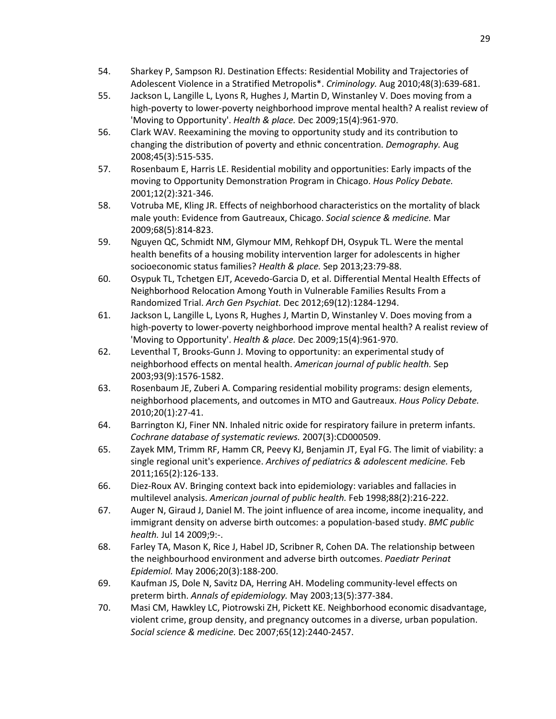- 54. Sharkey P, Sampson RJ. Destination Effects: Residential Mobility and Trajectories of Adolescent Violence in a Stratified Metropolis\*. *Criminology.* Aug 2010;48(3):639-681.
- 55. Jackson L, Langille L, Lyons R, Hughes J, Martin D, Winstanley V. Does moving from a high-poverty to lower-poverty neighborhood improve mental health? A realist review of 'Moving to Opportunity'. *Health & place.* Dec 2009;15(4):961-970.
- 56. Clark WAV. Reexamining the moving to opportunity study and its contribution to changing the distribution of poverty and ethnic concentration. *Demography.* Aug 2008;45(3):515-535.
- 57. Rosenbaum E, Harris LE. Residential mobility and opportunities: Early impacts of the moving to Opportunity Demonstration Program in Chicago. *Hous Policy Debate.*  2001;12(2):321-346.
- 58. Votruba ME, Kling JR. Effects of neighborhood characteristics on the mortality of black male youth: Evidence from Gautreaux, Chicago. *Social science & medicine.* Mar 2009;68(5):814-823.
- 59. Nguyen QC, Schmidt NM, Glymour MM, Rehkopf DH, Osypuk TL. Were the mental health benefits of a housing mobility intervention larger for adolescents in higher socioeconomic status families? *Health & place.* Sep 2013;23:79-88.
- 60. Osypuk TL, Tchetgen EJT, Acevedo-Garcia D, et al. Differential Mental Health Effects of Neighborhood Relocation Among Youth in Vulnerable Families Results From a Randomized Trial. *Arch Gen Psychiat.* Dec 2012;69(12):1284-1294.
- 61. Jackson L, Langille L, Lyons R, Hughes J, Martin D, Winstanley V. Does moving from a high-poverty to lower-poverty neighborhood improve mental health? A realist review of 'Moving to Opportunity'. *Health & place.* Dec 2009;15(4):961-970.
- 62. Leventhal T, Brooks-Gunn J. Moving to opportunity: an experimental study of neighborhood effects on mental health. *American journal of public health.* Sep 2003;93(9):1576-1582.
- 63. Rosenbaum JE, Zuberi A. Comparing residential mobility programs: design elements, neighborhood placements, and outcomes in MTO and Gautreaux. *Hous Policy Debate.*  2010;20(1):27-41.
- 64. Barrington KJ, Finer NN. Inhaled nitric oxide for respiratory failure in preterm infants. *Cochrane database of systematic reviews.* 2007(3):CD000509.
- 65. Zayek MM, Trimm RF, Hamm CR, Peevy KJ, Benjamin JT, Eyal FG. The limit of viability: a single regional unit's experience. *Archives of pediatrics & adolescent medicine.* Feb 2011;165(2):126-133.
- 66. Diez-Roux AV. Bringing context back into epidemiology: variables and fallacies in multilevel analysis. *American journal of public health.* Feb 1998;88(2):216-222.
- 67. Auger N, Giraud J, Daniel M. The joint influence of area income, income inequality, and immigrant density on adverse birth outcomes: a population-based study. *BMC public health.* Jul 14 2009;9:-.
- 68. Farley TA, Mason K, Rice J, Habel JD, Scribner R, Cohen DA. The relationship between the neighbourhood environment and adverse birth outcomes. *Paediatr Perinat Epidemiol.* May 2006;20(3):188-200.
- 69. Kaufman JS, Dole N, Savitz DA, Herring AH. Modeling community-level effects on preterm birth. *Annals of epidemiology.* May 2003;13(5):377-384.
- 70. Masi CM, Hawkley LC, Piotrowski ZH, Pickett KE. Neighborhood economic disadvantage, violent crime, group density, and pregnancy outcomes in a diverse, urban population. *Social science & medicine.* Dec 2007;65(12):2440-2457.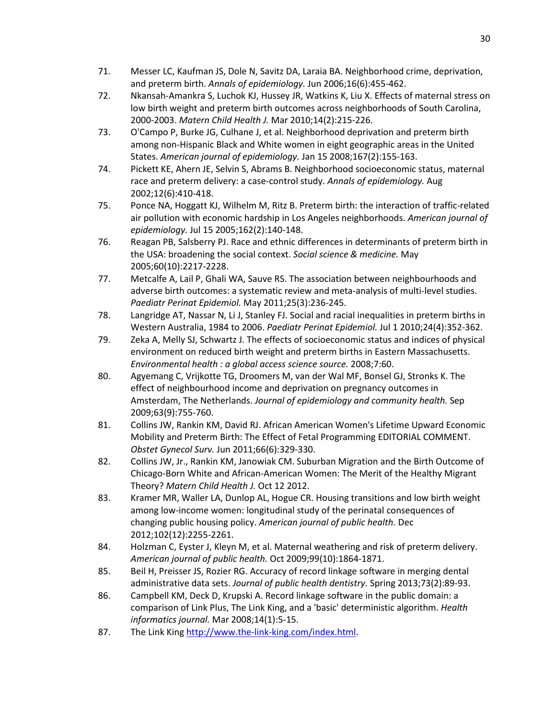- 71. Messer LC, Kaufman JS, Dole N, Savitz DA, Laraia BA. Neighborhood crime, deprivation, and preterm birth. *Annals of epidemiology.* Jun 2006;16(6):455-462.
- 72. Nkansah-Amankra S, Luchok KJ, Hussey JR, Watkins K, Liu X. Effects of maternal stress on low birth weight and preterm birth outcomes across neighborhoods of South Carolina, 2000-2003. *Matern Child Health J.* Mar 2010;14(2):215-226.
- 73. O'Campo P, Burke JG, Culhane J, et al. Neighborhood deprivation and preterm birth among non-Hispanic Black and White women in eight geographic areas in the United States. *American journal of epidemiology.* Jan 15 2008;167(2):155-163.
- 74. Pickett KE, Ahern JE, Selvin S, Abrams B. Neighborhood socioeconomic status, maternal race and preterm delivery: a case-control study. *Annals of epidemiology.* Aug 2002;12(6):410-418.
- 75. Ponce NA, Hoggatt KJ, Wilhelm M, Ritz B. Preterm birth: the interaction of traffic-related air pollution with economic hardship in Los Angeles neighborhoods. *American journal of epidemiology.* Jul 15 2005;162(2):140-148.
- 76. Reagan PB, Salsberry PJ. Race and ethnic differences in determinants of preterm birth in the USA: broadening the social context. *Social science & medicine.* May 2005;60(10):2217-2228.
- 77. Metcalfe A, Lail P, Ghali WA, Sauve RS. The association between neighbourhoods and adverse birth outcomes: a systematic review and meta-analysis of multi-level studies. *Paediatr Perinat Epidemiol.* May 2011;25(3):236-245.
- 78. Langridge AT, Nassar N, Li J, Stanley FJ. Social and racial inequalities in preterm births in Western Australia, 1984 to 2006. *Paediatr Perinat Epidemiol.* Jul 1 2010;24(4):352-362.
- 79. Zeka A, Melly SJ, Schwartz J. The effects of socioeconomic status and indices of physical environment on reduced birth weight and preterm births in Eastern Massachusetts. *Environmental health : a global access science source.* 2008;7:60.
- 80. Agyemang C, Vrijkotte TG, Droomers M, van der Wal MF, Bonsel GJ, Stronks K. The effect of neighbourhood income and deprivation on pregnancy outcomes in Amsterdam, The Netherlands. *Journal of epidemiology and community health.* Sep 2009;63(9):755-760.
- 81. Collins JW, Rankin KM, David RJ. African American Women's Lifetime Upward Economic Mobility and Preterm Birth: The Effect of Fetal Programming EDITORIAL COMMENT. *Obstet Gynecol Surv.* Jun 2011;66(6):329-330.
- 82. Collins JW, Jr., Rankin KM, Janowiak CM. Suburban Migration and the Birth Outcome of Chicago-Born White and African-American Women: The Merit of the Healthy Migrant Theory? *Matern Child Health J.* Oct 12 2012.
- 83. Kramer MR, Waller LA, Dunlop AL, Hogue CR. Housing transitions and low birth weight among low-income women: longitudinal study of the perinatal consequences of changing public housing policy. *American journal of public health.* Dec 2012;102(12):2255-2261.
- 84. Holzman C, Eyster J, Kleyn M, et al. Maternal weathering and risk of preterm delivery. *American journal of public health.* Oct 2009;99(10):1864-1871.
- 85. Beil H, Preisser JS, Rozier RG. Accuracy of record linkage software in merging dental administrative data sets. *Journal of public health dentistry.* Spring 2013;73(2):89-93.
- 86. Campbell KM, Deck D, Krupski A. Record linkage software in the public domain: a comparison of Link Plus, The Link King, and a 'basic' deterministic algorithm. *Health informatics journal.* Mar 2008;14(1):5-15.
- 87. The Link King [http://www.the-link-king.com/index.html.](http://www.the-link-king.com/index.html)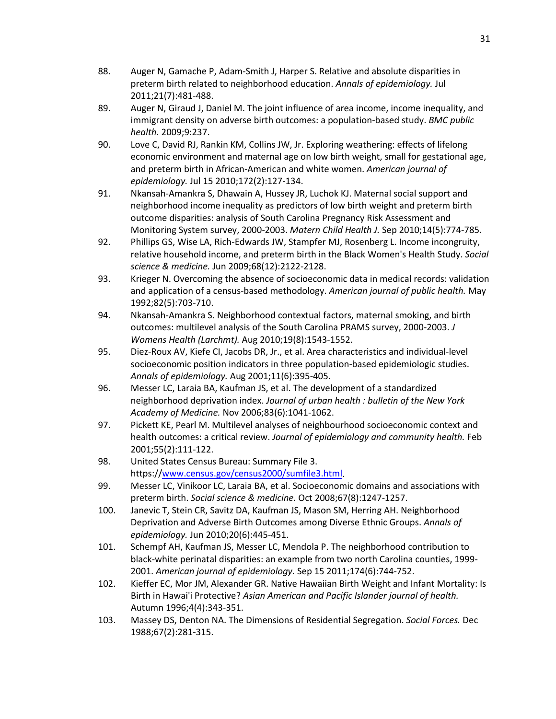- 88. Auger N, Gamache P, Adam-Smith J, Harper S. Relative and absolute disparities in preterm birth related to neighborhood education. *Annals of epidemiology.* Jul 2011;21(7):481-488.
- 89. Auger N, Giraud J, Daniel M. The joint influence of area income, income inequality, and immigrant density on adverse birth outcomes: a population-based study. *BMC public health.* 2009;9:237.
- 90. Love C, David RJ, Rankin KM, Collins JW, Jr. Exploring weathering: effects of lifelong economic environment and maternal age on low birth weight, small for gestational age, and preterm birth in African-American and white women. *American journal of epidemiology.* Jul 15 2010;172(2):127-134.
- 91. Nkansah-Amankra S, Dhawain A, Hussey JR, Luchok KJ. Maternal social support and neighborhood income inequality as predictors of low birth weight and preterm birth outcome disparities: analysis of South Carolina Pregnancy Risk Assessment and Monitoring System survey, 2000-2003. *Matern Child Health J.* Sep 2010;14(5):774-785.
- 92. Phillips GS, Wise LA, Rich-Edwards JW, Stampfer MJ, Rosenberg L. Income incongruity, relative household income, and preterm birth in the Black Women's Health Study. *Social science & medicine.* Jun 2009;68(12):2122-2128.
- 93. Krieger N. Overcoming the absence of socioeconomic data in medical records: validation and application of a census-based methodology. *American journal of public health.* May 1992;82(5):703-710.
- 94. Nkansah-Amankra S. Neighborhood contextual factors, maternal smoking, and birth outcomes: multilevel analysis of the South Carolina PRAMS survey, 2000-2003. *J Womens Health (Larchmt).* Aug 2010;19(8):1543-1552.
- 95. Diez-Roux AV, Kiefe CI, Jacobs DR, Jr., et al. Area characteristics and individual-level socioeconomic position indicators in three population-based epidemiologic studies. *Annals of epidemiology.* Aug 2001;11(6):395-405.
- 96. Messer LC, Laraia BA, Kaufman JS, et al. The development of a standardized neighborhood deprivation index. *Journal of urban health : bulletin of the New York Academy of Medicine.* Nov 2006;83(6):1041-1062.
- 97. Pickett KE, Pearl M. Multilevel analyses of neighbourhood socioeconomic context and health outcomes: a critical review. *Journal of epidemiology and community health.* Feb 2001;55(2):111-122.
- 98. United States Census Bureau: Summary File 3. https:/[/www.census.gov/census2000/sumfile3.html.](http://www.census.gov/census2000/sumfile3.html)
- 99. Messer LC, Vinikoor LC, Laraia BA, et al. Socioeconomic domains and associations with preterm birth. *Social science & medicine.* Oct 2008;67(8):1247-1257.
- 100. Janevic T, Stein CR, Savitz DA, Kaufman JS, Mason SM, Herring AH. Neighborhood Deprivation and Adverse Birth Outcomes among Diverse Ethnic Groups. *Annals of epidemiology.* Jun 2010;20(6):445-451.
- 101. Schempf AH, Kaufman JS, Messer LC, Mendola P. The neighborhood contribution to black-white perinatal disparities: an example from two north Carolina counties, 1999- 2001. *American journal of epidemiology.* Sep 15 2011;174(6):744-752.
- 102. Kieffer EC, Mor JM, Alexander GR. Native Hawaiian Birth Weight and Infant Mortality: Is Birth in Hawai'i Protective? *Asian American and Pacific Islander journal of health.*  Autumn 1996;4(4):343-351.
- 103. Massey DS, Denton NA. The Dimensions of Residential Segregation. *Social Forces.* Dec 1988;67(2):281-315.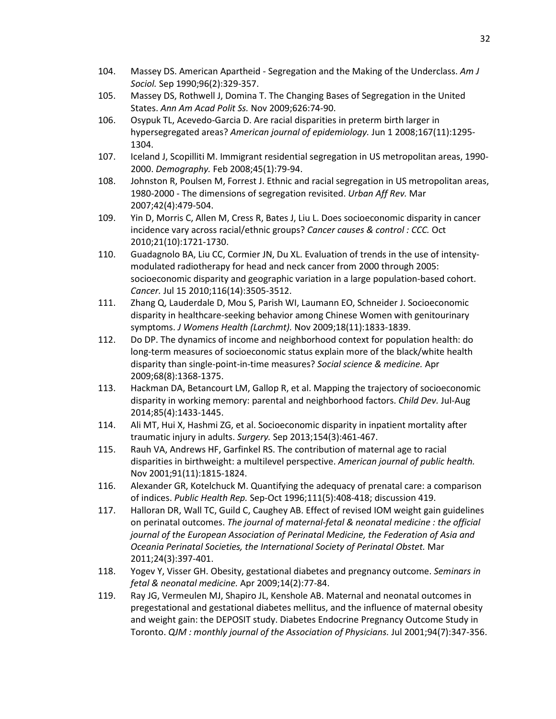- 104. Massey DS. American Apartheid Segregation and the Making of the Underclass. *Am J Sociol.* Sep 1990;96(2):329-357.
- 105. Massey DS, Rothwell J, Domina T. The Changing Bases of Segregation in the United States. *Ann Am Acad Polit Ss.* Nov 2009;626:74-90.
- 106. Osypuk TL, Acevedo-Garcia D. Are racial disparities in preterm birth larger in hypersegregated areas? *American journal of epidemiology.* Jun 1 2008;167(11):1295- 1304.
- 107. Iceland J, Scopilliti M. Immigrant residential segregation in US metropolitan areas, 1990- 2000. *Demography.* Feb 2008;45(1):79-94.
- 108. Johnston R, Poulsen M, Forrest J. Ethnic and racial segregation in US metropolitan areas, 1980-2000 - The dimensions of segregation revisited. *Urban Aff Rev.* Mar 2007;42(4):479-504.
- 109. Yin D, Morris C, Allen M, Cress R, Bates J, Liu L. Does socioeconomic disparity in cancer incidence vary across racial/ethnic groups? *Cancer causes & control : CCC.* Oct 2010;21(10):1721-1730.
- 110. Guadagnolo BA, Liu CC, Cormier JN, Du XL. Evaluation of trends in the use of intensitymodulated radiotherapy for head and neck cancer from 2000 through 2005: socioeconomic disparity and geographic variation in a large population-based cohort. *Cancer.* Jul 15 2010;116(14):3505-3512.
- 111. Zhang Q, Lauderdale D, Mou S, Parish WI, Laumann EO, Schneider J. Socioeconomic disparity in healthcare-seeking behavior among Chinese Women with genitourinary symptoms. *J Womens Health (Larchmt).* Nov 2009;18(11):1833-1839.
- 112. Do DP. The dynamics of income and neighborhood context for population health: do long-term measures of socioeconomic status explain more of the black/white health disparity than single-point-in-time measures? *Social science & medicine.* Apr 2009;68(8):1368-1375.
- 113. Hackman DA, Betancourt LM, Gallop R, et al. Mapping the trajectory of socioeconomic disparity in working memory: parental and neighborhood factors. *Child Dev.* Jul-Aug 2014;85(4):1433-1445.
- 114. Ali MT, Hui X, Hashmi ZG, et al. Socioeconomic disparity in inpatient mortality after traumatic injury in adults. *Surgery.* Sep 2013;154(3):461-467.
- 115. Rauh VA, Andrews HF, Garfinkel RS. The contribution of maternal age to racial disparities in birthweight: a multilevel perspective. *American journal of public health.*  Nov 2001;91(11):1815-1824.
- 116. Alexander GR, Kotelchuck M. Quantifying the adequacy of prenatal care: a comparison of indices. *Public Health Rep.* Sep-Oct 1996;111(5):408-418; discussion 419.
- 117. Halloran DR, Wall TC, Guild C, Caughey AB. Effect of revised IOM weight gain guidelines on perinatal outcomes. *The journal of maternal-fetal & neonatal medicine : the official journal of the European Association of Perinatal Medicine, the Federation of Asia and Oceania Perinatal Societies, the International Society of Perinatal Obstet.* Mar 2011;24(3):397-401.
- <span id="page-43-0"></span>118. Yogev Y, Visser GH. Obesity, gestational diabetes and pregnancy outcome. *Seminars in fetal & neonatal medicine.* Apr 2009;14(2):77-84.
- <span id="page-43-1"></span>119. Ray JG, Vermeulen MJ, Shapiro JL, Kenshole AB. Maternal and neonatal outcomes in pregestational and gestational diabetes mellitus, and the influence of maternal obesity and weight gain: the DEPOSIT study. Diabetes Endocrine Pregnancy Outcome Study in Toronto. *QJM : monthly journal of the Association of Physicians.* Jul 2001;94(7):347-356.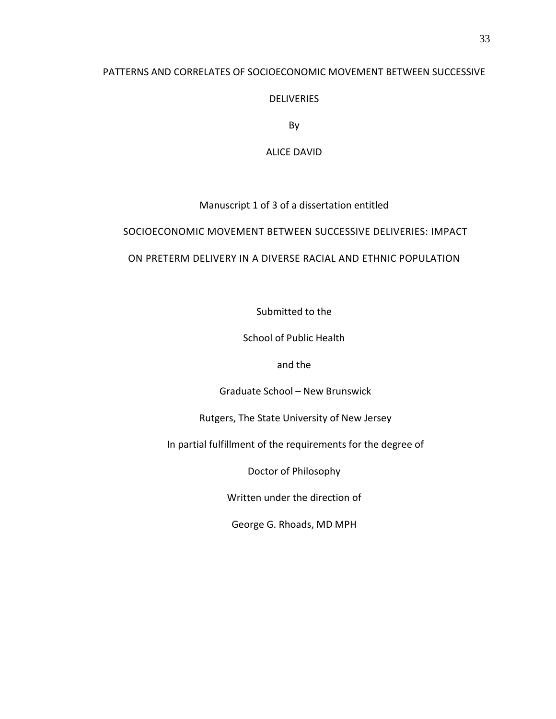# PATTERNS AND CORRELATES OF SOCIOECONOMIC MOVEMENT BETWEEN SUCCESSIVE

## DELIVERIES

By

ALICE DAVID

# Manuscript 1 of 3 of a dissertation entitled

# SOCIOECONOMIC MOVEMENT BETWEEN SUCCESSIVE DELIVERIES: IMPACT

# ON PRETERM DELIVERY IN A DIVERSE RACIAL AND ETHNIC POPULATION

Submitted to the

School of Public Health

and the

Graduate School – New Brunswick

Rutgers, The State University of New Jersey

In partial fulfillment of the requirements for the degree of

Doctor of Philosophy

Written under the direction of

George G. Rhoads, MD MPH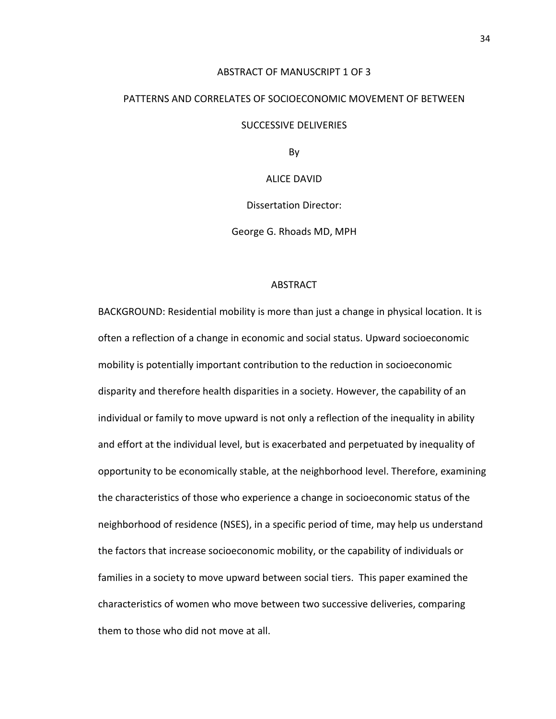#### ABSTRACT OF MANUSCRIPT 1 OF 3

# PATTERNS AND CORRELATES OF SOCIOECONOMIC MOVEMENT OF BETWEEN

#### SUCCESSIVE DELIVERIES

By

ALICE DAVID

Dissertation Director:

George G. Rhoads MD, MPH

#### ABSTRACT

BACKGROUND: Residential mobility is more than just a change in physical location. It is often a reflection of a change in economic and social status. Upward socioeconomic mobility is potentially important contribution to the reduction in socioeconomic disparity and therefore health disparities in a society. However, the capability of an individual or family to move upward is not only a reflection of the inequality in ability and effort at the individual level, but is exacerbated and perpetuated by inequality of opportunity to be economically stable, at the neighborhood level. Therefore, examining the characteristics of those who experience a change in socioeconomic status of the neighborhood of residence (NSES), in a specific period of time, may help us understand the factors that increase socioeconomic mobility, or the capability of individuals or families in a society to move upward between social tiers. This paper examined the characteristics of women who move between two successive deliveries, comparing them to those who did not move at all.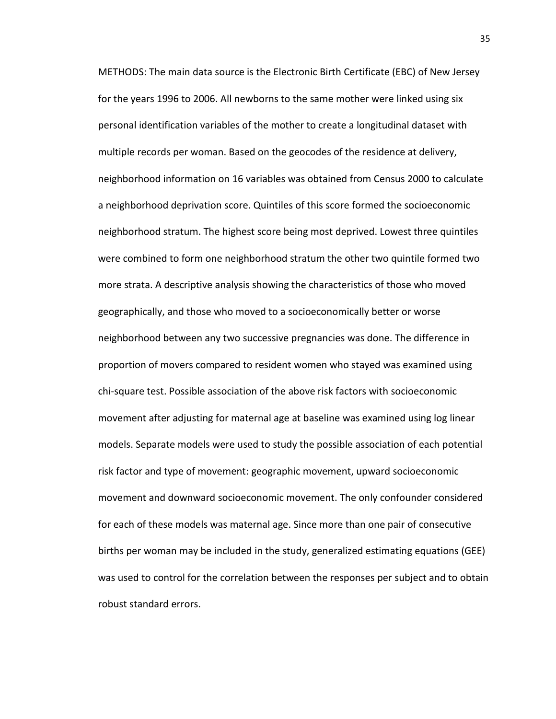METHODS: The main data source is the Electronic Birth Certificate (EBC) of New Jersey for the years 1996 to 2006. All newborns to the same mother were linked using six personal identification variables of the mother to create a longitudinal dataset with multiple records per woman. Based on the geocodes of the residence at delivery, neighborhood information on 16 variables was obtained from Census 2000 to calculate a neighborhood deprivation score. Quintiles of this score formed the socioeconomic neighborhood stratum. The highest score being most deprived. Lowest three quintiles were combined to form one neighborhood stratum the other two quintile formed two more strata. A descriptive analysis showing the characteristics of those who moved geographically, and those who moved to a socioeconomically better or worse neighborhood between any two successive pregnancies was done. The difference in proportion of movers compared to resident women who stayed was examined using chi-square test. Possible association of the above risk factors with socioeconomic movement after adjusting for maternal age at baseline was examined using log linear models. Separate models were used to study the possible association of each potential risk factor and type of movement: geographic movement, upward socioeconomic movement and downward socioeconomic movement. The only confounder considered for each of these models was maternal age. Since more than one pair of consecutive births per woman may be included in the study, generalized estimating equations (GEE) was used to control for the correlation between the responses per subject and to obtain robust standard errors.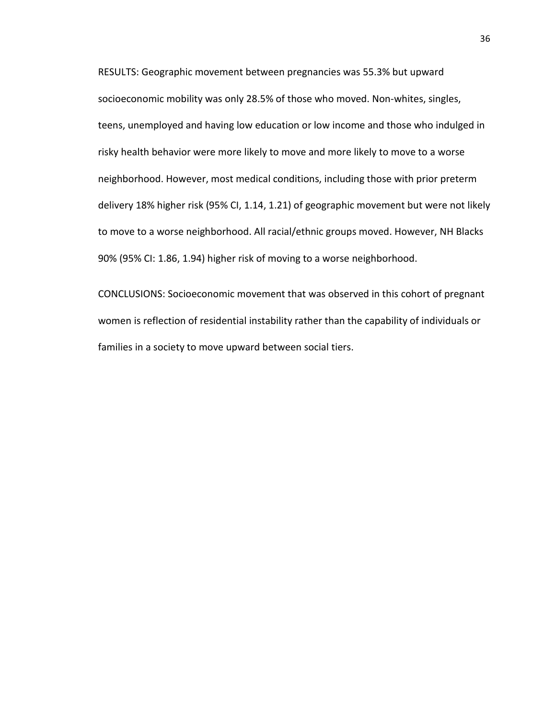RESULTS: Geographic movement between pregnancies was 55.3% but upward socioeconomic mobility was only 28.5% of those who moved. Non-whites, singles, teens, unemployed and having low education or low income and those who indulged in risky health behavior were more likely to move and more likely to move to a worse neighborhood. However, most medical conditions, including those with prior preterm delivery 18% higher risk (95% CI, 1.14, 1.21) of geographic movement but were not likely to move to a worse neighborhood. All racial/ethnic groups moved. However, NH Blacks 90% (95% CI: 1.86, 1.94) higher risk of moving to a worse neighborhood.

CONCLUSIONS: Socioeconomic movement that was observed in this cohort of pregnant women is reflection of residential instability rather than the capability of individuals or families in a society to move upward between social tiers.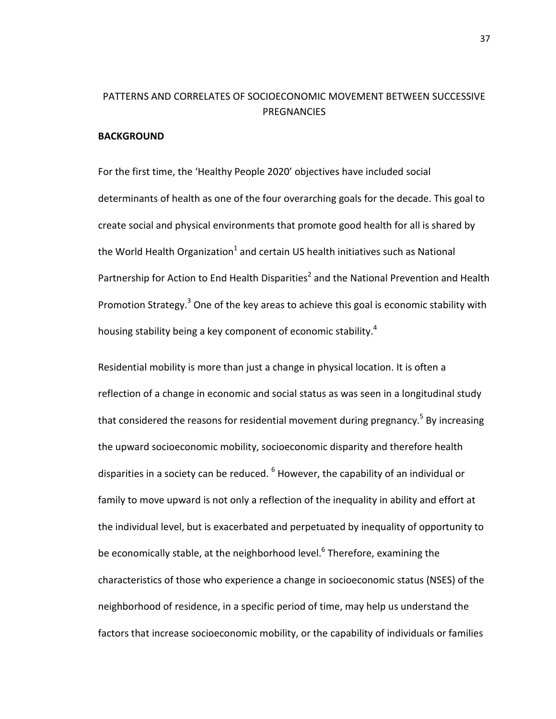# PATTERNS AND CORRELATES OF SOCIOECONOMIC MOVEMENT BETWEEN SUCCESSIVE PREGNANCIES

### **BACKGROUND**

For the first time, the 'Healthy People 2020' objectives have included social determinants of health as one of the four overarching goals for the decade. This goal to create social and physical environments that promote good health for all is shared by the World Health Organization<sup>[1](#page-73-0)</sup> and certain US health initiatives such as National Partnership for Action to End Health Disparities<sup>2</sup> and the National Prevention and Health Promotion Strategy.<sup>3</sup> One of the key areas to achieve this goal is economic stability with housing stability being a key component of economic stability.<sup>4</sup>

Residential mobility is more than just a change in physical location. It is often a reflection of a change in economic and social status as was seen in a longitudinal study that considered the reasons for residential movement during pregnancy.<sup>5</sup> By increasing the upward socioeconomic mobility, socioeconomic disparity and therefore health disparities in a society can be reduced.  $<sup>6</sup>$  $<sup>6</sup>$  $<sup>6</sup>$  However, the capability of an individual or</sup> family to move upward is not only a reflection of the inequality in ability and effort at the individual level, but is exacerbated and perpetuated by inequality of opportunity to be economically stable, at the neighborhood level. $6$  Therefore, examining the characteristics of those who experience a change in socioeconomic status (NSES) of the neighborhood of residence, in a specific period of time, may help us understand the factors that increase socioeconomic mobility, or the capability of individuals or families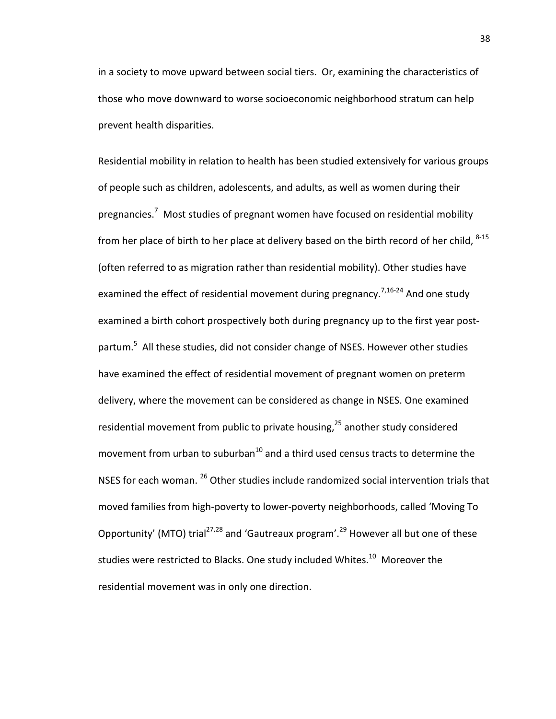in a society to move upward between social tiers. Or, examining the characteristics of those who move downward to worse socioeconomic neighborhood stratum can help prevent health disparities.

Residential mobility in relation to health has been studied extensively for various groups of people such as children, adolescents, and adults, as well as women during their pregnancies.<sup>7</sup> Most studies of pregnant women have focused on residential mobility from her place of birth to her place at delivery based on the birth record of her child,  $8-15$ (often referred to as migration rather than residential mobility). Other studies have examined the effect of residential movement during pregnancy.<sup>7,[16-24](#page-74-0)</sup> And one study examined a birth cohort prospectively both during pregnancy up to the first year postpartum.<sup>5</sup> All these studies, did not consider change of NSES. However other studies have examined the effect of residential movement of pregnant women on preterm delivery, where the movement can be considered as change in NSES. One examined residential movement from public to private housing,<sup>[25](#page-74-1)</sup> another study considered movement from urban to suburban $^{10}$  $^{10}$  $^{10}$  and a third used census tracts to determine the NSES for each woman. [26](#page-74-2) Other studies include randomized social intervention trials that moved families from high-poverty to lower-poverty neighborhoods, called 'Moving To Opportunity' (MTO) trial<sup>27[,28](#page-74-4)</sup> and 'Gautreaux program'.<sup>29</sup> However all but one of these studies were restricted to Blacks. One study included Whites.<sup>[10](#page-73-8)</sup> Moreover the residential movement was in only one direction.

38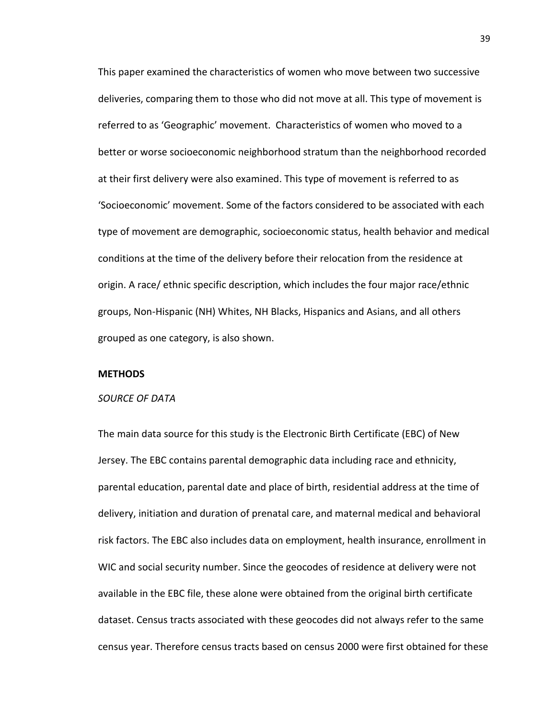This paper examined the characteristics of women who move between two successive deliveries, comparing them to those who did not move at all. This type of movement is referred to as 'Geographic' movement. Characteristics of women who moved to a better or worse socioeconomic neighborhood stratum than the neighborhood recorded at their first delivery were also examined. This type of movement is referred to as 'Socioeconomic' movement. Some of the factors considered to be associated with each type of movement are demographic, socioeconomic status, health behavior and medical conditions at the time of the delivery before their relocation from the residence at origin. A race/ ethnic specific description, which includes the four major race/ethnic groups, Non-Hispanic (NH) Whites, NH Blacks, Hispanics and Asians, and all others grouped as one category, is also shown.

#### **METHODS**

#### *SOURCE OF DATA*

The main data source for this study is the Electronic Birth Certificate (EBC) of New Jersey. The EBC contains parental demographic data including race and ethnicity, parental education, parental date and place of birth, residential address at the time of delivery, initiation and duration of prenatal care, and maternal medical and behavioral risk factors. The EBC also includes data on employment, health insurance, enrollment in WIC and social security number. Since the geocodes of residence at delivery were not available in the EBC file, these alone were obtained from the original birth certificate dataset. Census tracts associated with these geocodes did not always refer to the same census year. Therefore census tracts based on census 2000 were first obtained for these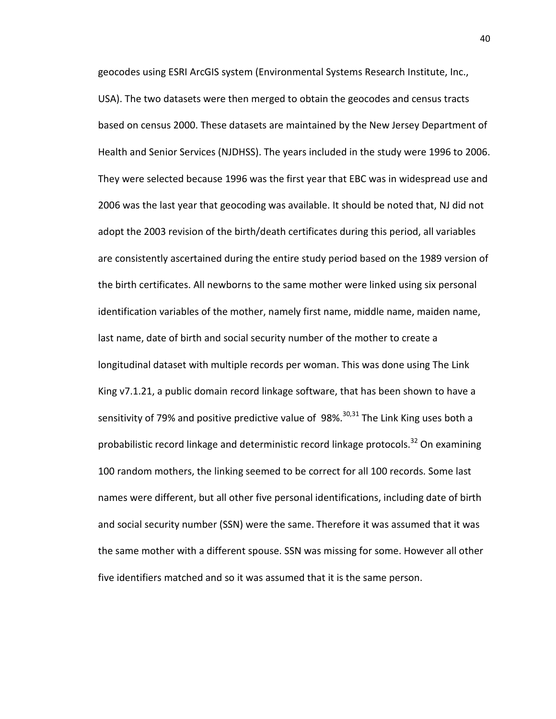geocodes using ESRI ArcGIS system (Environmental Systems Research Institute, Inc., USA). The two datasets were then merged to obtain the geocodes and census tracts based on census 2000. These datasets are maintained by the New Jersey Department of Health and Senior Services (NJDHSS). The years included in the study were 1996 to 2006. They were selected because 1996 was the first year that EBC was in widespread use and 2006 was the last year that geocoding was available. It should be noted that, NJ did not adopt the 2003 revision of the birth/death certificates during this period, all variables are consistently ascertained during the entire study period based on the 1989 version of the birth certificates. All newborns to the same mother were linked using six personal identification variables of the mother, namely first name, middle name, maiden name, last name, date of birth and social security number of the mother to create a longitudinal dataset with multiple records per woman. This was done using The Link King v7.1.21, a public domain record linkage software, that has been shown to have a sensitivity of 79% and positive predictive value of  $98\%$ <sup>30,[31](#page-74-7)</sup> The Link King uses both a probabilistic record linkage and deterministic record linkage protocols.<sup>32</sup> On examining 100 random mothers, the linking seemed to be correct for all 100 records. Some last names were different, but all other five personal identifications, including date of birth and social security number (SSN) were the same. Therefore it was assumed that it was the same mother with a different spouse. SSN was missing for some. However all other five identifiers matched and so it was assumed that it is the same person.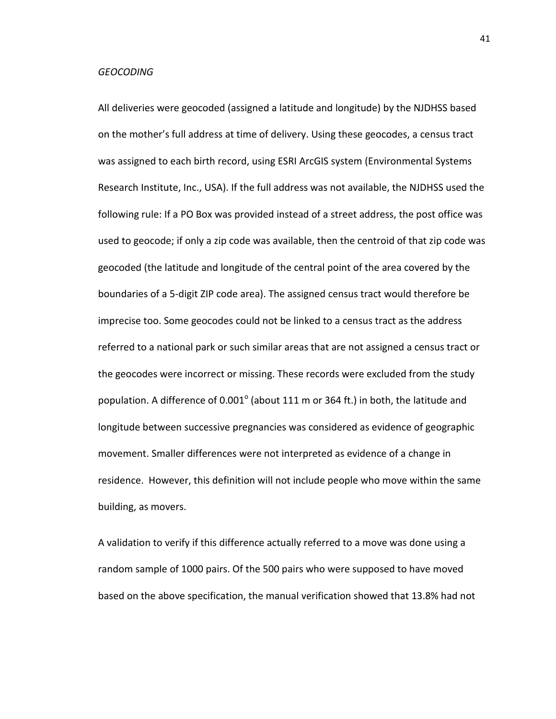#### *GEOCODING*

All deliveries were geocoded (assigned a latitude and longitude) by the NJDHSS based on the mother's full address at time of delivery. Using these geocodes, a census tract was assigned to each birth record, using ESRI ArcGIS system (Environmental Systems Research Institute, Inc., USA). If the full address was not available, the NJDHSS used the following rule: If a PO Box was provided instead of a street address, the post office was used to geocode; if only a zip code was available, then the centroid of that zip code was geocoded (the latitude and longitude of the central point of the area covered by the boundaries of a 5-digit ZIP code area). The assigned census tract would therefore be imprecise too. Some geocodes could not be linked to a census tract as the address referred to a national park or such similar areas that are not assigned a census tract or the geocodes were incorrect or missing. These records were excluded from the study population. A difference of 0.001 $^{\circ}$  (about 111 m or 364 ft.) in both, the latitude and longitude between successive pregnancies was considered as evidence of geographic movement. Smaller differences were not interpreted as evidence of a change in residence. However, this definition will not include people who move within the same building, as movers.

A validation to verify if this difference actually referred to a move was done using a random sample of 1000 pairs. Of the 500 pairs who were supposed to have moved based on the above specification, the manual verification showed that 13.8% had not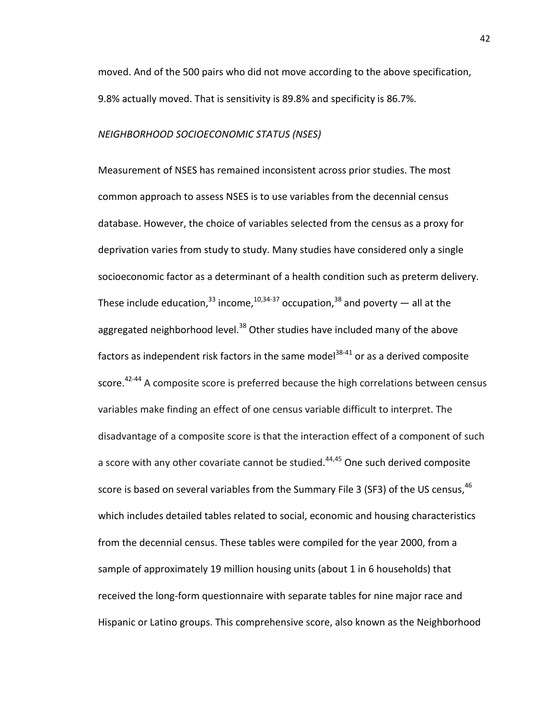moved. And of the 500 pairs who did not move according to the above specification, 9.8% actually moved. That is sensitivity is 89.8% and specificity is 86.7%.

### *NEIGHBORHOOD SOCIOECONOMIC STATUS (NSES)*

Measurement of NSES has remained inconsistent across prior studies. The most common approach to assess NSES is to use variables from the decennial census database. However, the choice of variables selected from the census as a proxy for deprivation varies from study to study. Many studies have considered only a single socioeconomic factor as a determinant of a health condition such as preterm delivery. These include education,  $33 \text{ income}$ ,  $10,34-37 \text{ occupation}$  $10,34-37 \text{ occupation}$  $10,34-37 \text{ occupation}$ ,  $38 \text{ and poetry}$   $-$  all at the aggregated neighborhood level. $38$  Other studies have included many of the above factors as independent risk factors in the same model $38-41$  or as a derived composite score.<sup>42-44</sup> A composite score is preferred because the high correlations between census variables make finding an effect of one census variable difficult to interpret. The disadvantage of a composite score is that the interaction effect of a component of such a score with any other covariate cannot be studied. $44,45$  $44,45$  One such derived composite score is based on several variables from the Summary File 3 (SF3) of the US census,  $46$ which includes detailed tables related to social, economic and housing characteristics from the decennial census. These tables were compiled for the year 2000, from a sample of approximately 19 million housing units (about 1 in 6 households) that received the long-form questionnaire with separate tables for nine major race and Hispanic or Latino groups. This comprehensive score, also known as the Neighborhood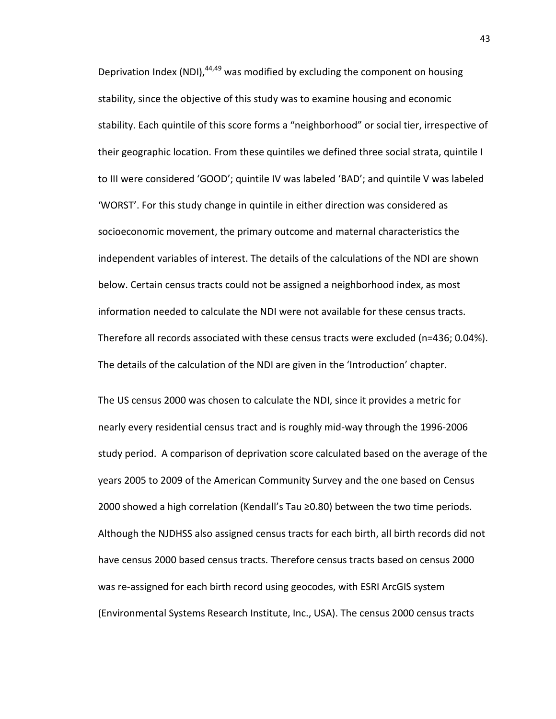Deprivation Index (NDI), $44,49$  was modified by excluding the component on housing stability, since the objective of this study was to examine housing and economic stability. Each quintile of this score forms a "neighborhood" or social tier, irrespective of their geographic location. From these quintiles we defined three social strata, quintile I to III were considered 'GOOD'; quintile IV was labeled 'BAD'; and quintile V was labeled 'WORST'. For this study change in quintile in either direction was considered as socioeconomic movement, the primary outcome and maternal characteristics the independent variables of interest. The details of the calculations of the NDI are shown below. Certain census tracts could not be assigned a neighborhood index, as most information needed to calculate the NDI were not available for these census tracts. Therefore all records associated with these census tracts were excluded (n=436; 0.04%). The details of the calculation of the NDI are given in the 'Introduction' chapter.

The US census 2000 was chosen to calculate the NDI, since it provides a metric for nearly every residential census tract and is roughly mid-way through the 1996-2006 study period. A comparison of deprivation score calculated based on the average of the years 2005 to 2009 of the American Community Survey and the one based on Census 2000 showed a high correlation (Kendall's Tau ≥0.80) between the two time periods. Although the NJDHSS also assigned census tracts for each birth, all birth records did not have census 2000 based census tracts. Therefore census tracts based on census 2000 was re-assigned for each birth record using geocodes, with ESRI ArcGIS system (Environmental Systems Research Institute, Inc., USA). The census 2000 census tracts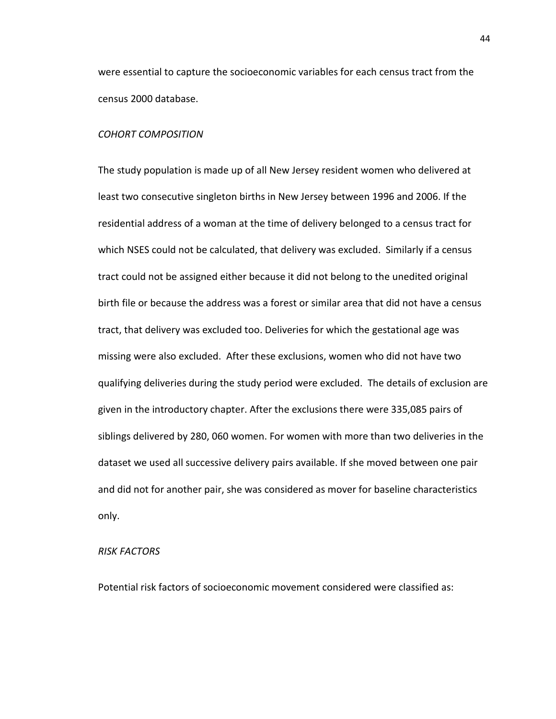were essential to capture the socioeconomic variables for each census tract from the census 2000 database.

### *COHORT COMPOSITION*

The study population is made up of all New Jersey resident women who delivered at least two consecutive singleton births in New Jersey between 1996 and 2006. If the residential address of a woman at the time of delivery belonged to a census tract for which NSES could not be calculated, that delivery was excluded. Similarly if a census tract could not be assigned either because it did not belong to the unedited original birth file or because the address was a forest or similar area that did not have a census tract, that delivery was excluded too. Deliveries for which the gestational age was missing were also excluded. After these exclusions, women who did not have two qualifying deliveries during the study period were excluded. The details of exclusion are given in the introductory chapter. After the exclusions there were 335,085 pairs of siblings delivered by 280, 060 women. For women with more than two deliveries in the dataset we used all successive delivery pairs available. If she moved between one pair and did not for another pair, she was considered as mover for baseline characteristics only.

### *RISK FACTORS*

Potential risk factors of socioeconomic movement considered were classified as:

44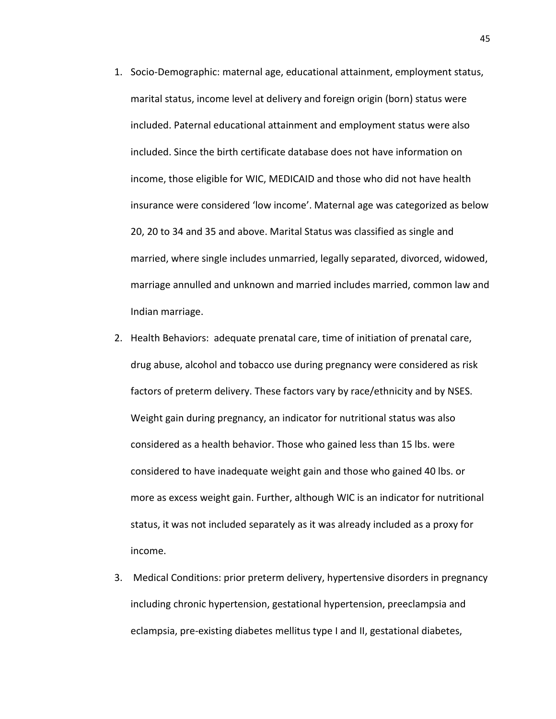- 1. Socio-Demographic: maternal age, educational attainment, employment status, marital status, income level at delivery and foreign origin (born) status were included. Paternal educational attainment and employment status were also included. Since the birth certificate database does not have information on income, those eligible for WIC, MEDICAID and those who did not have health insurance were considered 'low income'. Maternal age was categorized as below 20, 20 to 34 and 35 and above. Marital Status was classified as single and married, where single includes unmarried, legally separated, divorced, widowed, marriage annulled and unknown and married includes married, common law and Indian marriage.
- 2. Health Behaviors: adequate prenatal care, time of initiation of prenatal care, drug abuse, alcohol and tobacco use during pregnancy were considered as risk factors of preterm delivery. These factors vary by race/ethnicity and by NSES. Weight gain during pregnancy, an indicator for nutritional status was also considered as a health behavior. Those who gained less than 15 lbs. were considered to have inadequate weight gain and those who gained 40 lbs. or more as excess weight gain. Further, although WIC is an indicator for nutritional status, it was not included separately as it was already included as a proxy for income.
- 3. Medical Conditions: prior preterm delivery, hypertensive disorders in pregnancy including chronic hypertension, gestational hypertension, preeclampsia and eclampsia, pre-existing diabetes mellitus type I and II, gestational diabetes,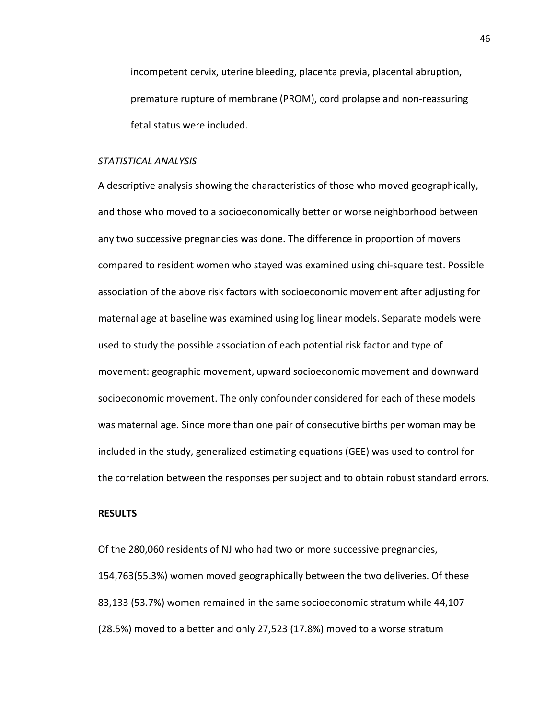incompetent cervix, uterine bleeding, placenta previa, placental abruption, premature rupture of membrane (PROM), cord prolapse and non-reassuring fetal status were included.

### *STATISTICAL ANALYSIS*

A descriptive analysis showing the characteristics of those who moved geographically, and those who moved to a socioeconomically better or worse neighborhood between any two successive pregnancies was done. The difference in proportion of movers compared to resident women who stayed was examined using chi-square test. Possible association of the above risk factors with socioeconomic movement after adjusting for maternal age at baseline was examined using log linear models. Separate models were used to study the possible association of each potential risk factor and type of movement: geographic movement, upward socioeconomic movement and downward socioeconomic movement. The only confounder considered for each of these models was maternal age. Since more than one pair of consecutive births per woman may be included in the study, generalized estimating equations (GEE) was used to control for the correlation between the responses per subject and to obtain robust standard errors.

### **RESULTS**

Of the 280,060 residents of NJ who had two or more successive pregnancies, 154,763(55.3%) women moved geographically between the two deliveries. Of these 83,133 (53.7%) women remained in the same socioeconomic stratum while 44,107 (28.5%) moved to a better and only 27,523 (17.8%) moved to a worse stratum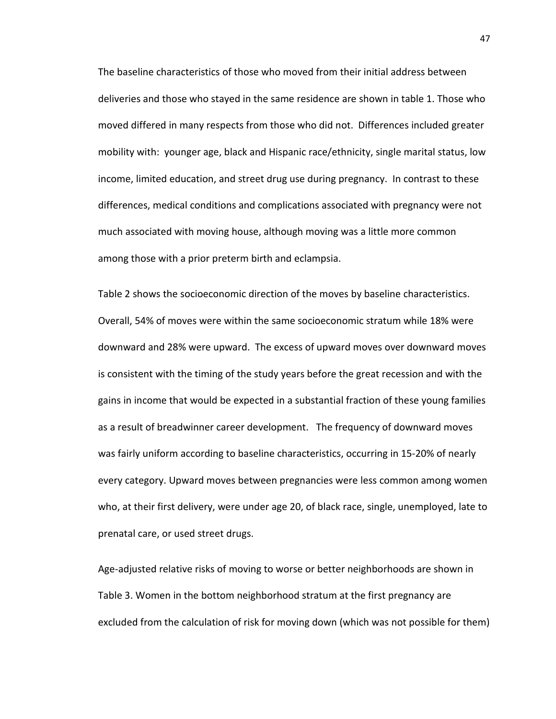The baseline characteristics of those who moved from their initial address between deliveries and those who stayed in the same residence are shown in table 1. Those who moved differed in many respects from those who did not. Differences included greater mobility with: younger age, black and Hispanic race/ethnicity, single marital status, low income, limited education, and street drug use during pregnancy. In contrast to these differences, medical conditions and complications associated with pregnancy were not much associated with moving house, although moving was a little more common among those with a prior preterm birth and eclampsia.

Table 2 shows the socioeconomic direction of the moves by baseline characteristics. Overall, 54% of moves were within the same socioeconomic stratum while 18% were downward and 28% were upward. The excess of upward moves over downward moves is consistent with the timing of the study years before the great recession and with the gains in income that would be expected in a substantial fraction of these young families as a result of breadwinner career development. The frequency of downward moves was fairly uniform according to baseline characteristics, occurring in 15-20% of nearly every category. Upward moves between pregnancies were less common among women who, at their first delivery, were under age 20, of black race, single, unemployed, late to prenatal care, or used street drugs.

Age-adjusted relative risks of moving to worse or better neighborhoods are shown in Table 3. Women in the bottom neighborhood stratum at the first pregnancy are excluded from the calculation of risk for moving down (which was not possible for them)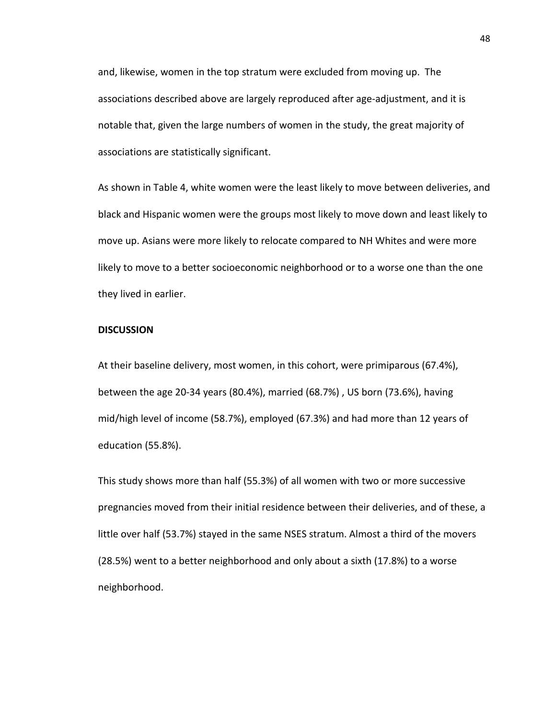and, likewise, women in the top stratum were excluded from moving up. The associations described above are largely reproduced after age-adjustment, and it is notable that, given the large numbers of women in the study, the great majority of associations are statistically significant.

As shown in Table 4, white women were the least likely to move between deliveries, and black and Hispanic women were the groups most likely to move down and least likely to move up. Asians were more likely to relocate compared to NH Whites and were more likely to move to a better socioeconomic neighborhood or to a worse one than the one they lived in earlier.

### **DISCUSSION**

At their baseline delivery, most women, in this cohort, were primiparous (67.4%), between the age 20-34 years (80.4%), married (68.7%) , US born (73.6%), having mid/high level of income (58.7%), employed (67.3%) and had more than 12 years of education (55.8%).

This study shows more than half (55.3%) of all women with two or more successive pregnancies moved from their initial residence between their deliveries, and of these, a little over half (53.7%) stayed in the same NSES stratum. Almost a third of the movers (28.5%) went to a better neighborhood and only about a sixth (17.8%) to a worse neighborhood.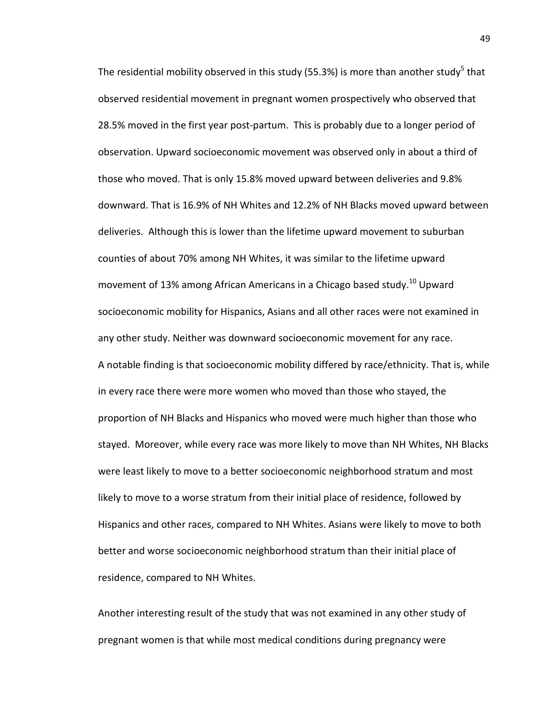The residential mobility observed in this study (55.3%) is more than another study<sup>5</sup> that observed residential movement in pregnant women prospectively who observed that 28.5% moved in the first year post-partum. This is probably due to a longer period of observation. Upward socioeconomic movement was observed only in about a third of those who moved. That is only 15.8% moved upward between deliveries and 9.8% downward. That is 16.9% of NH Whites and 12.2% of NH Blacks moved upward between deliveries. Although this is lower than the lifetime upward movement to suburban counties of about 70% among NH Whites, it was similar to the lifetime upward movement of 13% among African Americans in a Chicago based study.<sup>10</sup> Upward socioeconomic mobility for Hispanics, Asians and all other races were not examined in any other study. Neither was downward socioeconomic movement for any race. A notable finding is that socioeconomic mobility differed by race/ethnicity. That is, while in every race there were more women who moved than those who stayed, the proportion of NH Blacks and Hispanics who moved were much higher than those who stayed. Moreover, while every race was more likely to move than NH Whites, NH Blacks were least likely to move to a better socioeconomic neighborhood stratum and most likely to move to a worse stratum from their initial place of residence, followed by Hispanics and other races, compared to NH Whites. Asians were likely to move to both better and worse socioeconomic neighborhood stratum than their initial place of residence, compared to NH Whites.

Another interesting result of the study that was not examined in any other study of pregnant women is that while most medical conditions during pregnancy were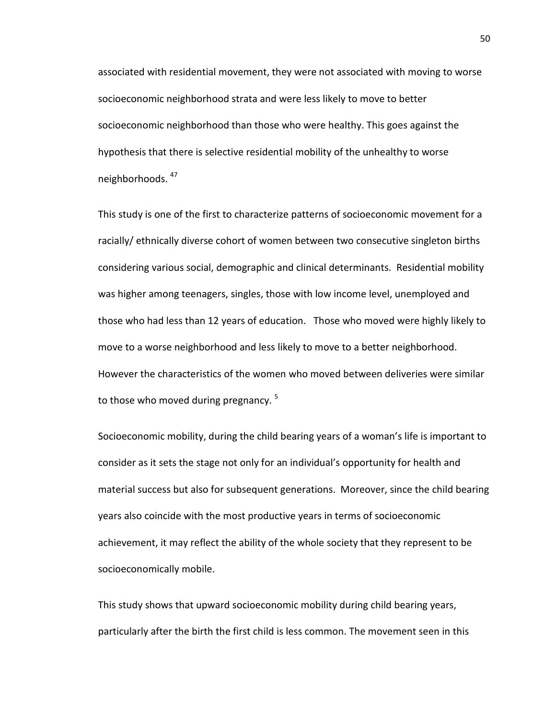associated with residential movement, they were not associated with moving to worse socioeconomic neighborhood strata and were less likely to move to better socioeconomic neighborhood than those who were healthy. This goes against the hypothesis that there is selective residential mobility of the unhealthy to worse neighborhoods. [47](#page-76-2)

This study is one of the first to characterize patterns of socioeconomic movement for a racially/ ethnically diverse cohort of women between two consecutive singleton births considering various social, demographic and clinical determinants. Residential mobility was higher among teenagers, singles, those with low income level, unemployed and those who had less than 12 years of education. Those who moved were highly likely to move to a worse neighborhood and less likely to move to a better neighborhood. However the characteristics of the women who moved between deliveries were similar to those who moved during pregnancy.<sup>[5](#page-73-4)</sup>

Socioeconomic mobility, during the child bearing years of a woman's life is important to consider as it sets the stage not only for an individual's opportunity for health and material success but also for subsequent generations. Moreover, since the child bearing years also coincide with the most productive years in terms of socioeconomic achievement, it may reflect the ability of the whole society that they represent to be socioeconomically mobile.

This study shows that upward socioeconomic mobility during child bearing years, particularly after the birth the first child is less common. The movement seen in this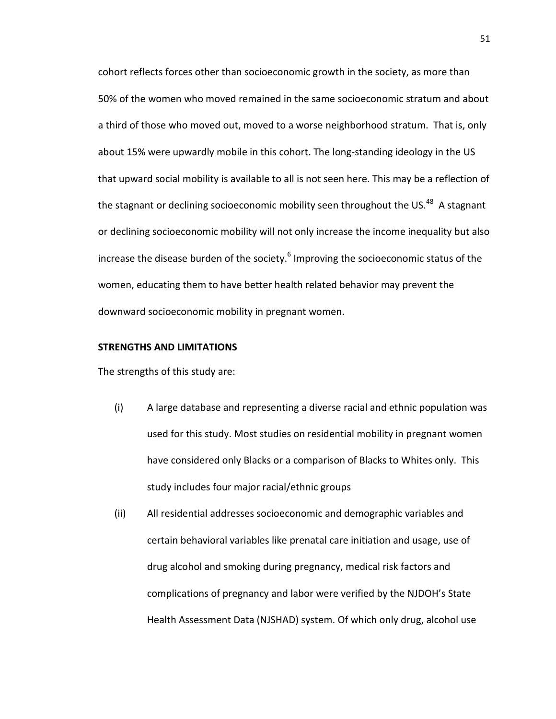cohort reflects forces other than socioeconomic growth in the society, as more than 50% of the women who moved remained in the same socioeconomic stratum and about a third of those who moved out, moved to a worse neighborhood stratum. That is, only about 15% were upwardly mobile in this cohort. The long-standing ideology in the US that upward social mobility is available to all is not seen here. This may be a reflection of the stagnant or declining socioeconomic mobility seen throughout the US.<sup>48</sup> A stagnant or declining socioeconomic mobility will not only increase the income inequality but also increase the disease burden of the society. $6$  Improving the socioeconomic status of the women, educating them to have better health related behavior may prevent the downward socioeconomic mobility in pregnant women.

### **STRENGTHS AND LIMITATIONS**

The strengths of this study are:

- (i) A large database and representing a diverse racial and ethnic population was used for this study. Most studies on residential mobility in pregnant women have considered only Blacks or a comparison of Blacks to Whites only. This study includes four major racial/ethnic groups
- (ii) All residential addresses socioeconomic and demographic variables and certain behavioral variables like prenatal care initiation and usage, use of drug alcohol and smoking during pregnancy, medical risk factors and complications of pregnancy and labor were verified by the NJDOH's State Health Assessment Data (NJSHAD) system. Of which only drug, alcohol use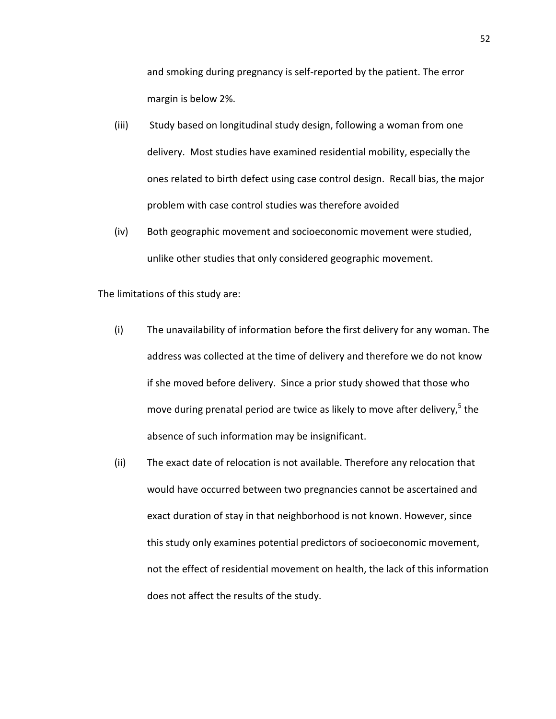and smoking during pregnancy is self-reported by the patient. The error margin is below 2%.

- (iii) Study based on longitudinal study design, following a woman from one delivery. Most studies have examined residential mobility, especially the ones related to birth defect using case control design. Recall bias, the major problem with case control studies was therefore avoided
- (iv) Both geographic movement and socioeconomic movement were studied, unlike other studies that only considered geographic movement.

The limitations of this study are:

- (i) The unavailability of information before the first delivery for any woman. The address was collected at the time of delivery and therefore we do not know if she moved before delivery. Since a prior study showed that those who move during prenatal period are twice as likely to move after delivery, $5$  the absence of such information may be insignificant.
- (ii) The exact date of relocation is not available. Therefore any relocation that would have occurred between two pregnancies cannot be ascertained and exact duration of stay in that neighborhood is not known. However, since this study only examines potential predictors of socioeconomic movement, not the effect of residential movement on health, the lack of this information does not affect the results of the study.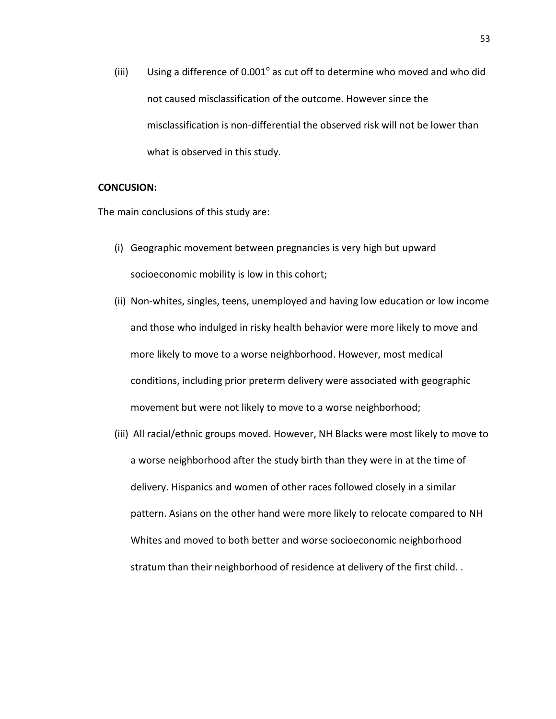(iii) Using a difference of  $0.001^\circ$  as cut off to determine who moved and who did not caused misclassification of the outcome. However since the misclassification is non-differential the observed risk will not be lower than what is observed in this study.

### **CONCUSION:**

The main conclusions of this study are:

- (i) Geographic movement between pregnancies is very high but upward socioeconomic mobility is low in this cohort;
- (ii) Non-whites, singles, teens, unemployed and having low education or low income and those who indulged in risky health behavior were more likely to move and more likely to move to a worse neighborhood. However, most medical conditions, including prior preterm delivery were associated with geographic movement but were not likely to move to a worse neighborhood;
- (iii) All racial/ethnic groups moved. However, NH Blacks were most likely to move to a worse neighborhood after the study birth than they were in at the time of delivery. Hispanics and women of other races followed closely in a similar pattern. Asians on the other hand were more likely to relocate compared to NH Whites and moved to both better and worse socioeconomic neighborhood stratum than their neighborhood of residence at delivery of the first child. .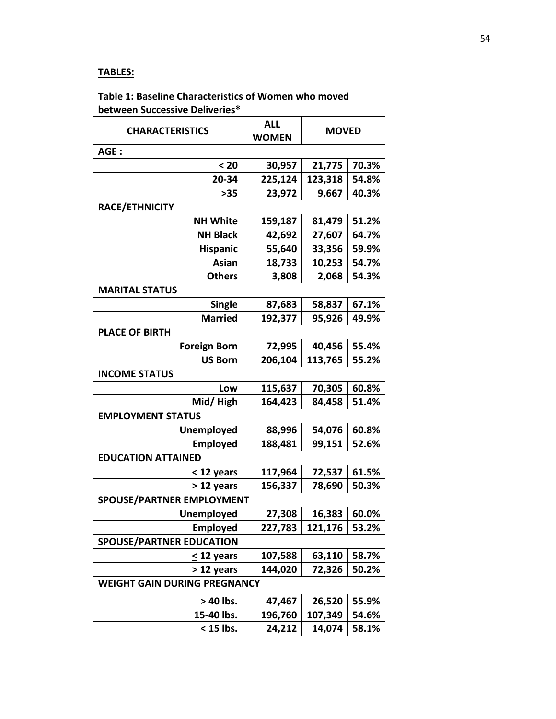# **TABLES:**

# **Table 1: Baseline Characteristics of Women who moved between Successive Deliveries\***

| <b>CHARACTERISTICS</b>              | <b>ALL</b><br><b>WOMEN</b> | <b>MOVED</b> |       |  |  |  |  |
|-------------------------------------|----------------------------|--------------|-------|--|--|--|--|
| AGE:                                |                            |              |       |  |  |  |  |
| $20$                                | 30,957                     | 21,775       | 70.3% |  |  |  |  |
| 20-34                               | 225,124                    | 123,318      | 54.8% |  |  |  |  |
| >35                                 | 23,972                     | 9,667        | 40.3% |  |  |  |  |
| RACE/ETHNICITY                      |                            |              |       |  |  |  |  |
| <b>NH White</b>                     | 159,187                    | 81,479       | 51.2% |  |  |  |  |
| <b>NH Black</b>                     | 42,692                     | 27,607       | 64.7% |  |  |  |  |
| <b>Hispanic</b>                     | 55,640                     | 33,356       | 59.9% |  |  |  |  |
| Asian                               | 18,733                     | 10,253       | 54.7% |  |  |  |  |
| <b>Others</b>                       | 3,808                      | 2,068        | 54.3% |  |  |  |  |
| <b>MARITAL STATUS</b>               |                            |              |       |  |  |  |  |
| <b>Single</b>                       | 87,683                     | 58,837       | 67.1% |  |  |  |  |
| <b>Married</b>                      | 192,377                    | 95,926       | 49.9% |  |  |  |  |
| <b>PLACE OF BIRTH</b>               |                            |              |       |  |  |  |  |
| <b>Foreign Born</b>                 | 72,995                     | 40,456       | 55.4% |  |  |  |  |
| <b>US Born</b>                      | 206,104                    | 113,765      | 55.2% |  |  |  |  |
| <b>INCOME STATUS</b>                |                            |              |       |  |  |  |  |
| Low                                 | 115,637                    | 70,305       | 60.8% |  |  |  |  |
| Mid/High                            | 164,423                    | 84,458       | 51.4% |  |  |  |  |
| <b>EMPLOYMENT STATUS</b>            |                            |              |       |  |  |  |  |
| <b>Unemployed</b>                   | 88,996                     | 54,076       | 60.8% |  |  |  |  |
| <b>Employed</b>                     | 188,481                    | 99,151       | 52.6% |  |  |  |  |
| <b>EDUCATION ATTAINED</b>           |                            |              |       |  |  |  |  |
| < 12 years                          | 117,964                    | 72,537       | 61.5% |  |  |  |  |
| > 12 years                          | 156,337                    | 78,690       | 50.3% |  |  |  |  |
| <b>SPOUSE/PARTNER EMPLOYMENT</b>    |                            |              |       |  |  |  |  |
| <b>Unemployed</b>                   | 27,308                     | 16,383       | 60.0% |  |  |  |  |
| <b>Employed</b>                     | 227,783                    | 121,176      | 53.2% |  |  |  |  |
| <b>SPOUSE/PARTNER EDUCATION</b>     |                            |              |       |  |  |  |  |
| $\leq$ 12 years                     | 107,588                    | 63,110       | 58.7% |  |  |  |  |
| > 12 years                          | 144,020                    | 72,326       | 50.2% |  |  |  |  |
| <b>WEIGHT GAIN DURING PREGNANCY</b> |                            |              |       |  |  |  |  |
| > 40 lbs.                           | 47,467                     | 26,520       | 55.9% |  |  |  |  |
| 15-40 lbs.                          | 196,760                    | 107,349      | 54.6% |  |  |  |  |
| < 15 lbs.                           | 24,212                     | 14,074       | 58.1% |  |  |  |  |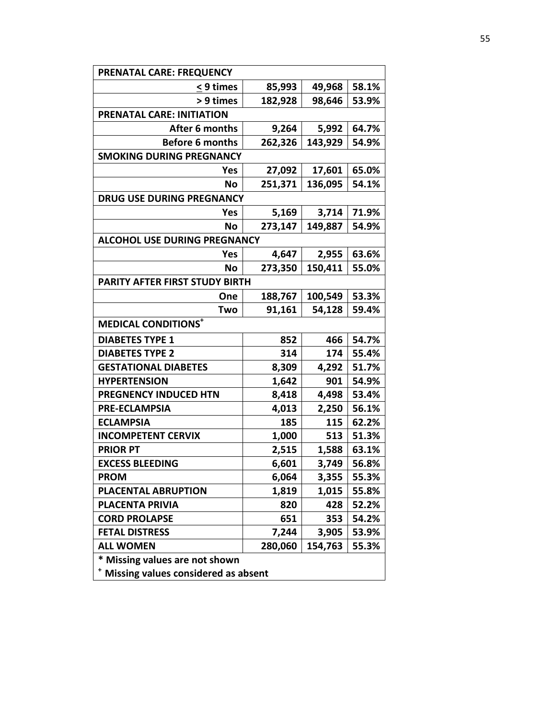| <b>PRENATAL CARE: FREQUENCY</b>       |         |         |       |  |  |  |  |
|---------------------------------------|---------|---------|-------|--|--|--|--|
| < 9 times                             | 85,993  | 49,968  | 58.1% |  |  |  |  |
| > 9 times                             | 182,928 | 98,646  | 53.9% |  |  |  |  |
| <b>PRENATAL CARE: INITIATION</b>      |         |         |       |  |  |  |  |
| After 6 months                        | 9,264   | 5,992   | 64.7% |  |  |  |  |
| <b>Before 6 months</b>                | 262,326 | 143,929 | 54.9% |  |  |  |  |
| <b>SMOKING DURING PREGNANCY</b>       |         |         |       |  |  |  |  |
| Yes                                   | 27,092  | 17,601  | 65.0% |  |  |  |  |
| No                                    | 251,371 | 136,095 | 54.1% |  |  |  |  |
| <b>DRUG USE DURING PREGNANCY</b>      |         |         |       |  |  |  |  |
| Yes                                   | 5,169   | 3,714   | 71.9% |  |  |  |  |
| No                                    | 273,147 | 149,887 | 54.9% |  |  |  |  |
| <b>ALCOHOL USE DURING PREGNANCY</b>   |         |         |       |  |  |  |  |
| <b>Yes</b>                            | 4,647   | 2,955   | 63.6% |  |  |  |  |
| No                                    | 273,350 | 150,411 | 55.0% |  |  |  |  |
| PARITY AFTER FIRST STUDY BIRTH        |         |         |       |  |  |  |  |
| One                                   | 188,767 | 100,549 | 53.3% |  |  |  |  |
| Two                                   | 91,161  | 54,128  | 59.4% |  |  |  |  |
| <b>MEDICAL CONDITIONS<sup>+</sup></b> |         |         |       |  |  |  |  |
| <b>DIABETES TYPE 1</b>                | 852     | 466     | 54.7% |  |  |  |  |
| <b>DIABETES TYPE 2</b>                | 314     | 174     | 55.4% |  |  |  |  |
| <b>GESTATIONAL DIABETES</b>           | 8,309   | 4,292   | 51.7% |  |  |  |  |
| <b>HYPERTENSION</b>                   | 1,642   | 901     | 54.9% |  |  |  |  |
| <b>PREGNENCY INDUCED HTN</b>          | 8,418   | 4,498   | 53.4% |  |  |  |  |
| <b>PRE-ECLAMPSIA</b>                  | 4,013   | 2,250   | 56.1% |  |  |  |  |
| <b>ECLAMPSIA</b>                      | 185     | 115     | 62.2% |  |  |  |  |
| <b>INCOMPETENT CERVIX</b>             | 1,000   | 513     | 51.3% |  |  |  |  |
| <b>PRIOR PT</b>                       | 2,515   | 1,588   | 63.1% |  |  |  |  |
| <b>EXCESS BLEEDING</b>                | 6,601   | 3,749   | 56.8% |  |  |  |  |
| <b>PROM</b>                           | 6,064   | 3,355   | 55.3% |  |  |  |  |
| PLACENTAL ABRUPTION                   | 1,819   | 1,015   | 55.8% |  |  |  |  |
| <b>PLACENTA PRIVIA</b>                | 820     | 428     | 52.2% |  |  |  |  |
| <b>CORD PROLAPSE</b>                  | 651     | 353     | 54.2% |  |  |  |  |
| <b>FETAL DISTRESS</b>                 | 7,244   | 3,905   | 53.9% |  |  |  |  |
| <b>ALL WOMEN</b>                      | 280,060 | 154,763 | 55.3% |  |  |  |  |
| * Missing values are not shown        |         |         |       |  |  |  |  |
| Missing values considered as absent   |         |         |       |  |  |  |  |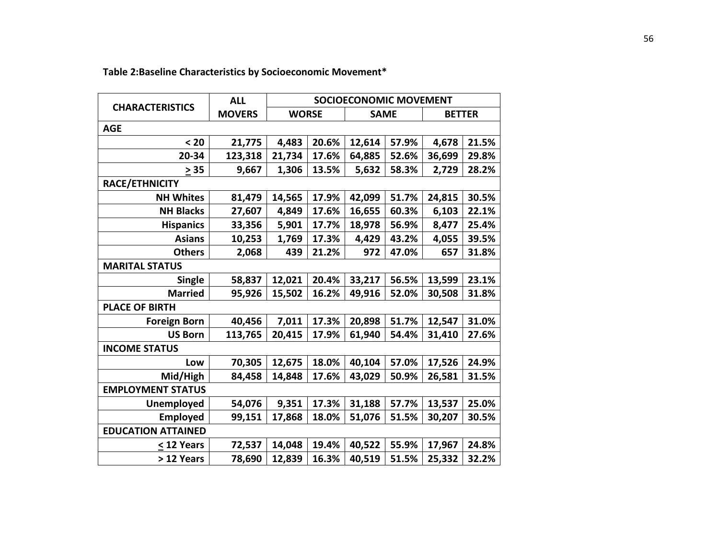|                           | <b>ALL</b>    | <b>SOCIOECONOMIC MOVEMENT</b> |       |             |       |               |       |
|---------------------------|---------------|-------------------------------|-------|-------------|-------|---------------|-------|
| <b>CHARACTERISTICS</b>    | <b>MOVERS</b> | <b>WORSE</b>                  |       | <b>SAME</b> |       | <b>BETTER</b> |       |
| <b>AGE</b>                |               |                               |       |             |       |               |       |
| $20$                      | 21,775        | 4,483                         | 20.6% | 12,614      | 57.9% | 4,678         | 21.5% |
| 20-34                     | 123,318       | 21,734                        | 17.6% | 64,885      | 52.6% | 36,699        | 29.8% |
| > 35                      | 9,667         | 1,306                         | 13.5% | 5,632       | 58.3% | 2,729         | 28.2% |
| <b>RACE/ETHNICITY</b>     |               |                               |       |             |       |               |       |
| <b>NH Whites</b>          | 81,479        | 14,565                        | 17.9% | 42,099      | 51.7% | 24,815        | 30.5% |
| <b>NH Blacks</b>          | 27,607        | 4,849                         | 17.6% | 16,655      | 60.3% | 6,103         | 22.1% |
| <b>Hispanics</b>          | 33,356        | 5,901                         | 17.7% | 18,978      | 56.9% | 8,477         | 25.4% |
| <b>Asians</b>             | 10,253        | 1,769                         | 17.3% | 4,429       | 43.2% | 4,055         | 39.5% |
| <b>Others</b>             | 2,068         | 439                           | 21.2% | 972         | 47.0% | 657           | 31.8% |
| <b>MARITAL STATUS</b>     |               |                               |       |             |       |               |       |
| <b>Single</b>             | 58,837        | 12,021                        | 20.4% | 33,217      | 56.5% | 13,599        | 23.1% |
| <b>Married</b>            | 95,926        | 15,502                        | 16.2% | 49,916      | 52.0% | 30,508        | 31.8% |
| <b>PLACE OF BIRTH</b>     |               |                               |       |             |       |               |       |
| <b>Foreign Born</b>       | 40,456        | 7,011                         | 17.3% | 20,898      | 51.7% | 12,547        | 31.0% |
| <b>US Born</b>            | 113,765       | 20,415                        | 17.9% | 61,940      | 54.4% | 31,410        | 27.6% |
| <b>INCOME STATUS</b>      |               |                               |       |             |       |               |       |
| Low                       | 70,305        | 12,675                        | 18.0% | 40,104      | 57.0% | 17,526        | 24.9% |
| Mid/High                  | 84,458        | 14,848                        | 17.6% | 43,029      | 50.9% | 26,581        | 31.5% |
| <b>EMPLOYMENT STATUS</b>  |               |                               |       |             |       |               |       |
| <b>Unemployed</b>         | 54,076        | 9,351                         | 17.3% | 31,188      | 57.7% | 13,537        | 25.0% |
| <b>Employed</b>           | 99,151        | 17,868                        | 18.0% | 51,076      | 51.5% | 30,207        | 30.5% |
| <b>EDUCATION ATTAINED</b> |               |                               |       |             |       |               |       |
| < 12 Years                | 72,537        | 14,048                        | 19.4% | 40,522      | 55.9% | 17,967        | 24.8% |
| > 12 Years                | 78,690        | 12,839                        | 16.3% | 40,519      | 51.5% | 25,332        | 32.2% |

# **Table 2:Baseline Characteristics by Socioeconomic Movement\***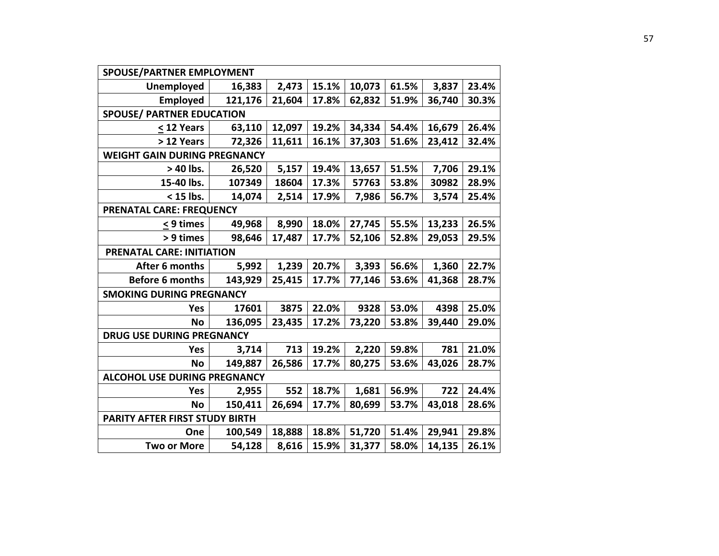| SPOUSE/PARTNER EMPLOYMENT           |         |        |       |        |       |        |       |
|-------------------------------------|---------|--------|-------|--------|-------|--------|-------|
| <b>Unemployed</b>                   | 16,383  | 2,473  | 15.1% | 10,073 | 61.5% | 3,837  | 23.4% |
| <b>Employed</b>                     | 121,176 | 21,604 | 17.8% | 62,832 | 51.9% | 36,740 | 30.3% |
| <b>SPOUSE/ PARTNER EDUCATION</b>    |         |        |       |        |       |        |       |
| < 12 Years                          | 63,110  | 12,097 | 19.2% | 34,334 | 54.4% | 16,679 | 26.4% |
| > 12 Years                          | 72,326  | 11,611 | 16.1% | 37,303 | 51.6% | 23,412 | 32.4% |
| <b>WEIGHT GAIN DURING PREGNANCY</b> |         |        |       |        |       |        |       |
| > 40 lbs.                           | 26,520  | 5,157  | 19.4% | 13,657 | 51.5% | 7,706  | 29.1% |
| 15-40 lbs.                          | 107349  | 18604  | 17.3% | 57763  | 53.8% | 30982  | 28.9% |
| < 15 lbs.                           | 14,074  | 2,514  | 17.9% | 7,986  | 56.7% | 3,574  | 25.4% |
| PRENATAL CARE: FREQUENCY            |         |        |       |        |       |        |       |
| < 9 times                           | 49,968  | 8,990  | 18.0% | 27,745 | 55.5% | 13,233 | 26.5% |
| > 9 times                           | 98,646  | 17,487 | 17.7% | 52,106 | 52.8% | 29,053 | 29.5% |
| <b>PRENATAL CARE: INITIATION</b>    |         |        |       |        |       |        |       |
| After 6 months                      | 5,992   | 1,239  | 20.7% | 3,393  | 56.6% | 1,360  | 22.7% |
| <b>Before 6 months</b>              | 143,929 | 25,415 | 17.7% | 77,146 | 53.6% | 41,368 | 28.7% |
| <b>SMOKING DURING PREGNANCY</b>     |         |        |       |        |       |        |       |
| Yes                                 | 17601   | 3875   | 22.0% | 9328   | 53.0% | 4398   | 25.0% |
| <b>No</b>                           | 136,095 | 23,435 | 17.2% | 73,220 | 53.8% | 39,440 | 29.0% |
| <b>DRUG USE DURING PREGNANCY</b>    |         |        |       |        |       |        |       |
| Yes                                 | 3,714   | 713    | 19.2% | 2,220  | 59.8% | 781    | 21.0% |
| <b>No</b>                           | 149,887 | 26,586 | 17.7% | 80,275 | 53.6% | 43,026 | 28.7% |
| <b>ALCOHOL USE DURING PREGNANCY</b> |         |        |       |        |       |        |       |
| <b>Yes</b>                          | 2,955   | 552    | 18.7% | 1,681  | 56.9% | 722    | 24.4% |
| <b>No</b>                           | 150,411 | 26,694 | 17.7% | 80,699 | 53.7% | 43,018 | 28.6% |
| PARITY AFTER FIRST STUDY BIRTH      |         |        |       |        |       |        |       |
| One                                 | 100,549 | 18,888 | 18.8% | 51,720 | 51.4% | 29,941 | 29.8% |
| <b>Two or More</b>                  | 54,128  | 8,616  | 15.9% | 31,377 | 58.0% | 14,135 | 26.1% |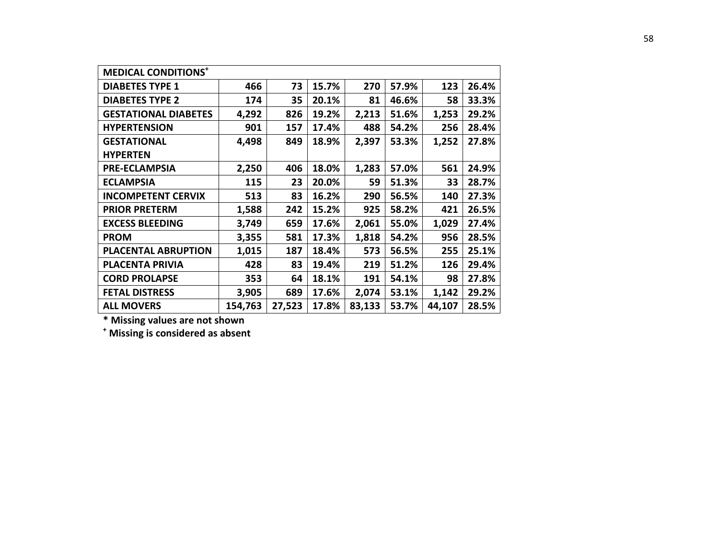| <b>MEDICAL CONDITIONS</b> <sup>+</sup> |         |        |       |        |       |        |       |
|----------------------------------------|---------|--------|-------|--------|-------|--------|-------|
| <b>DIABETES TYPE 1</b>                 | 466     | 73     | 15.7% | 270    | 57.9% | 123    | 26.4% |
| <b>DIABETES TYPE 2</b>                 | 174     | 35     | 20.1% | 81     | 46.6% | 58     | 33.3% |
| <b>GESTATIONAL DIABETES</b>            | 4,292   | 826    | 19.2% | 2,213  | 51.6% | 1,253  | 29.2% |
| <b>HYPERTENSION</b>                    | 901     | 157    | 17.4% | 488    | 54.2% | 256    | 28.4% |
| <b>GESTATIONAL</b>                     | 4,498   | 849    | 18.9% | 2,397  | 53.3% | 1,252  | 27.8% |
| <b>HYPERTEN</b>                        |         |        |       |        |       |        |       |
| <b>PRE-ECLAMPSIA</b>                   | 2,250   | 406    | 18.0% | 1,283  | 57.0% | 561    | 24.9% |
| <b>ECLAMPSIA</b>                       | 115     | 23     | 20.0% | 59     | 51.3% | 33     | 28.7% |
| <b>INCOMPETENT CERVIX</b>              | 513     | 83     | 16.2% | 290    | 56.5% | 140    | 27.3% |
| <b>PRIOR PRETERM</b>                   | 1,588   | 242    | 15.2% | 925    | 58.2% | 421    | 26.5% |
| <b>EXCESS BLEEDING</b>                 | 3,749   | 659    | 17.6% | 2,061  | 55.0% | 1,029  | 27.4% |
| <b>PROM</b>                            | 3,355   | 581    | 17.3% | 1,818  | 54.2% | 956    | 28.5% |
| <b>PLACENTAL ABRUPTION</b>             | 1,015   | 187    | 18.4% | 573    | 56.5% | 255    | 25.1% |
| <b>PLACENTA PRIVIA</b>                 | 428     | 83     | 19.4% | 219    | 51.2% | 126    | 29.4% |
| <b>CORD PROLAPSE</b>                   | 353     | 64     | 18.1% | 191    | 54.1% | 98     | 27.8% |
| <b>FETAL DISTRESS</b>                  | 3,905   | 689    | 17.6% | 2,074  | 53.1% | 1,142  | 29.2% |
| <b>ALL MOVERS</b>                      | 154,763 | 27,523 | 17.8% | 83,133 | 53.7% | 44,107 | 28.5% |

**\* Missing values are not shown** 

**<sup>+</sup> Missing is considered as absent**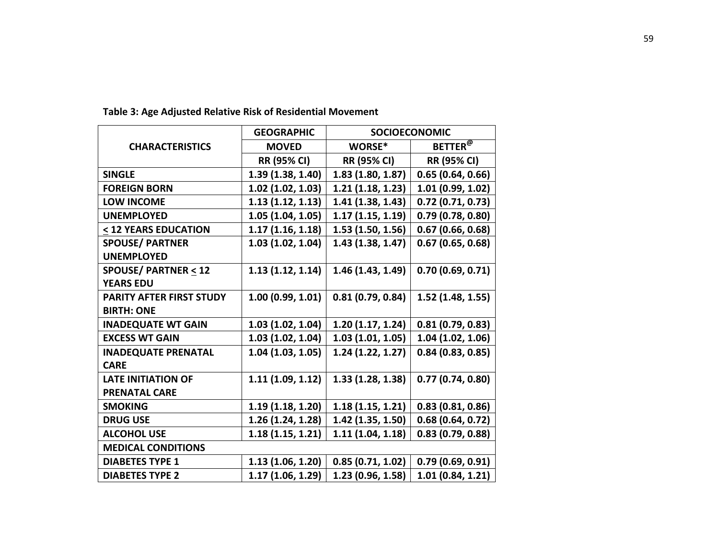|                                | <b>GEOGRAPHIC</b> |                     | <b>SOCIOECONOMIC</b> |
|--------------------------------|-------------------|---------------------|----------------------|
| <b>CHARACTERISTICS</b>         | <b>MOVED</b>      | WORSE*              | BETTER <sup>@</sup>  |
|                                | RR (95% CI)       | <b>RR (95% CI)</b>  | <b>RR (95% CI)</b>   |
| <b>SINGLE</b>                  | 1.39(1.38, 1.40)  | 1.83(1.80, 1.87)    | 0.65(0.64, 0.66)     |
| <b>FOREIGN BORN</b>            | 1.02(1.02, 1.03)  | 1.21(1.18, 1.23)    | 1.01(0.99, 1.02)     |
| <b>LOW INCOME</b>              | 1.13(1.12, 1.13)  | 1.41(1.38, 1.43)    | $0.72$ (0.71, 0.73)  |
| <b>UNEMPLOYED</b>              | 1.05(1.04, 1.05)  | 1.17(1.15, 1.19)    | 0.79(0.78, 0.80)     |
| < 12 YEARS EDUCATION           | 1.17(1.16, 1.18)  | 1.53(1.50, 1.56)    | $0.67$ (0.66, 0.68)  |
| <b>SPOUSE/ PARTNER</b>         | 1.03(1.02, 1.04)  | 1.43(1.38, 1.47)    | 0.67(0.65, 0.68)     |
| <b>UNEMPLOYED</b>              |                   |                     |                      |
| <b>SPOUSE/ PARTNER &lt; 12</b> | 1.13(1.12, 1.14)  | 1.46(1.43, 1.49)    | 0.70(0.69, 0.71)     |
| <b>YEARS EDU</b>               |                   |                     |                      |
| PARITY AFTER FIRST STUDY       | 1.00(0.99, 1.01)  | 0.81(0.79, 0.84)    | 1.52(1.48, 1.55)     |
| <b>BIRTH: ONE</b>              |                   |                     |                      |
| <b>INADEQUATE WT GAIN</b>      | 1.03(1.02, 1.04)  | 1.20(1.17, 1.24)    | 0.81(0.79, 0.83)     |
| <b>EXCESS WT GAIN</b>          | 1.03(1.02, 1.04)  | 1.03(1.01, 1.05)    | 1.04(1.02, 1.06)     |
| <b>INADEQUATE PRENATAL</b>     | 1.04(1.03, 1.05)  | 1.24(1.22, 1.27)    | 0.84(0.83, 0.85)     |
| <b>CARE</b>                    |                   |                     |                      |
| <b>LATE INITIATION OF</b>      | 1.11(1.09, 1.12)  | 1.33(1.28, 1.38)    | 0.77(0.74, 0.80)     |
| <b>PRENATAL CARE</b>           |                   |                     |                      |
| <b>SMOKING</b>                 | 1.19(1.18, 1.20)  | 1.18(1.15, 1.21)    | 0.83(0.81, 0.86)     |
| <b>DRUG USE</b>                | 1.26(1.24, 1.28)  | $1.42$ (1.35, 1.50) | 0.68(0.64, 0.72)     |
| <b>ALCOHOL USE</b>             | 1.18(1.15, 1.21)  | 1.11(1.04, 1.18)    | 0.83(0.79, 0.88)     |
| <b>MEDICAL CONDITIONS</b>      |                   |                     |                      |
| <b>DIABETES TYPE 1</b>         | 1.13 (1.06, 1.20) | 0.85(0.71, 1.02)    | 0.79(0.69, 0.91)     |
| <b>DIABETES TYPE 2</b>         | 1.17(1.06, 1.29)  | 1.23 (0.96, 1.58)   | 1.01(0.84, 1.21)     |
|                                |                   |                     |                      |

**Table 3: Age Adjusted Relative Risk of Residential Movement**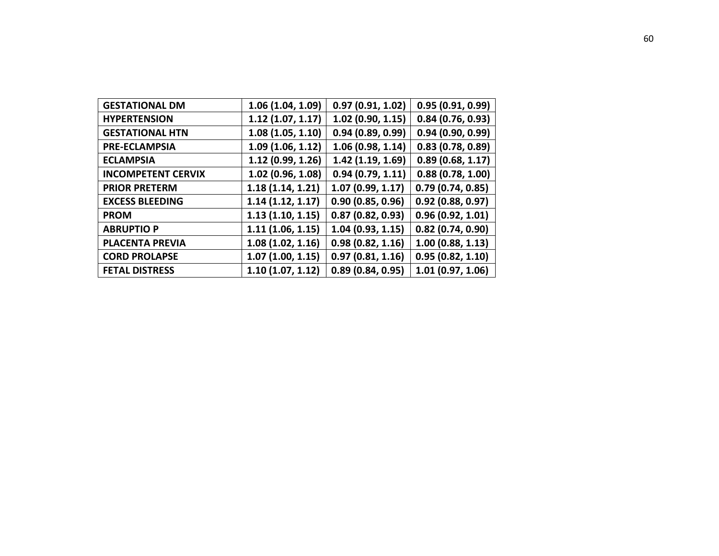| <b>GESTATIONAL DM</b>     | 1.06 (1.04, 1.09) | 0.97(0.91, 1.02) | 0.95(0.91, 0.99) |
|---------------------------|-------------------|------------------|------------------|
| <b>HYPERTENSION</b>       | 1.12(1.07, 1.17)  | 1.02(0.90, 1.15) | 0.84(0.76, 0.93) |
| <b>GESTATIONAL HTN</b>    | 1.08(1.05, 1.10)  | 0.94(0.89, 0.99) | 0.94(0.90, 0.99) |
| <b>PRE-ECLAMPSIA</b>      | 1.09(1.06, 1.12)  | 1.06(0.98, 1.14) | 0.83(0.78, 0.89) |
| <b>ECLAMPSIA</b>          | 1.12(0.99, 1.26)  | 1.42(1.19, 1.69) | 0.89(0.68, 1.17) |
| <b>INCOMPETENT CERVIX</b> | 1.02 (0.96, 1.08) | 0.94(0.79, 1.11) | 0.88(0.78, 1.00) |
| <b>PRIOR PRETERM</b>      | 1.18(1.14, 1.21)  | 1.07(0.99, 1.17) | 0.79(0.74, 0.85) |
| <b>EXCESS BLEEDING</b>    | 1.14(1.12, 1.17)  | 0.90(0.85, 0.96) | 0.92(0.88, 0.97) |
| <b>PROM</b>               | 1.13(1.10, 1.15)  | 0.87(0.82, 0.93) | 0.96(0.92, 1.01) |
| <b>ABRUPTIO P</b>         | 1.11(1.06, 1.15)  | 1.04(0.93, 1.15) | 0.82(0.74, 0.90) |
| <b>PLACENTA PREVIA</b>    | 1.08(1.02, 1.16)  | 0.98(0.82, 1.16) | 1.00(0.88, 1.13) |
| <b>CORD PROLAPSE</b>      | 1.07(1.00, 1.15)  | 0.97(0.81, 1.16) | 0.95(0.82, 1.10) |
| <b>FETAL DISTRESS</b>     | 1.10(1.07, 1.12)  | 0.89(0.84, 0.95) | 1.01(0.97, 1.06) |
|                           |                   |                  |                  |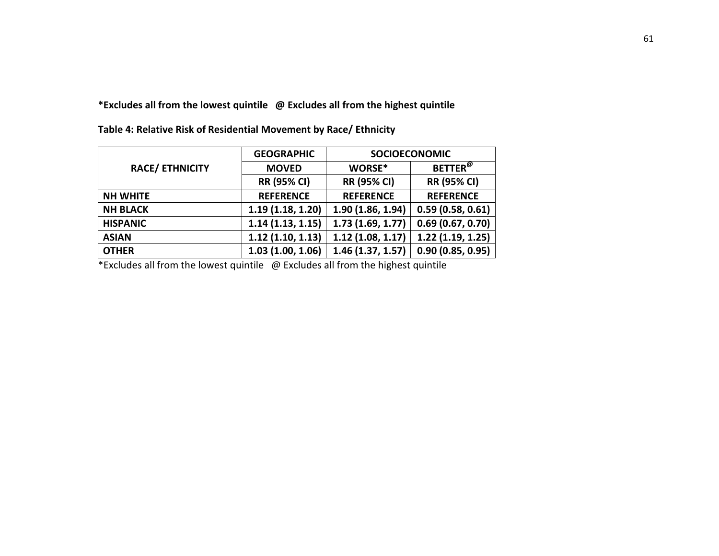**\*Excludes all from the lowest quintile @ Excludes all from the highest quintile** 

|                        | <b>GEOGRAPHIC</b>  |                    | <b>SOCIOECONOMIC</b>       |  |
|------------------------|--------------------|--------------------|----------------------------|--|
| <b>RACE/ ETHNICITY</b> | <b>MOVED</b>       | WORSE*             | <b>BETTER</b> <sup>@</sup> |  |
|                        | <b>RR (95% CI)</b> | <b>RR (95% CI)</b> | <b>RR (95% CI)</b>         |  |
| <b>NH WHITE</b>        | <b>REFERENCE</b>   | <b>REFERENCE</b>   | <b>REFERENCE</b>           |  |
| <b>NH BLACK</b>        | 1.19(1.18, 1.20)   | 1.90(1.86, 1.94)   | 0.59(0.58, 0.61)           |  |
| <b>HISPANIC</b>        | 1.14(1.13, 1.15)   | 1.73(1.69, 1.77)   | 0.69(0.67, 0.70)           |  |
| <b>ASIAN</b>           | 1.12(1.10, 1.13)   | 1.12(1.08, 1.17)   | 1.22(1.19, 1.25)           |  |
| <b>OTHER</b>           | 1.03(1.00, 1.06)   | 1.46(1.37, 1.57)   | 0.90(0.85, 0.95)           |  |

**Table 4: Relative Risk of Residential Movement by Race/ Ethnicity**

\*Excludes all from the lowest quintile @ Excludes all from the highest quintile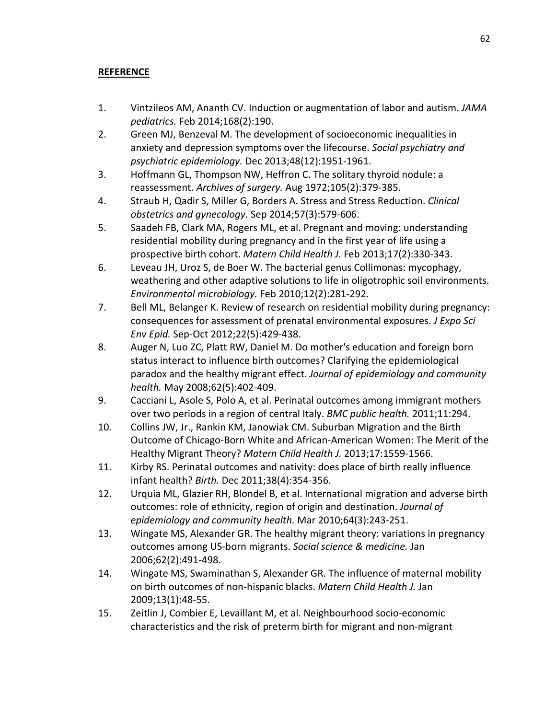# **REFERENCE**

- 1. Vintzileos AM, Ananth CV. Induction or augmentation of labor and autism. *JAMA pediatrics.* Feb 2014;168(2):190.
- 2. Green MJ, Benzeval M. The development of socioeconomic inequalities in anxiety and depression symptoms over the lifecourse. *Social psychiatry and psychiatric epidemiology.* Dec 2013;48(12):1951-1961.
- 3. Hoffmann GL, Thompson NW, Heffron C. The solitary thyroid nodule: a reassessment. *Archives of surgery.* Aug 1972;105(2):379-385.
- 4. Straub H, Qadir S, Miller G, Borders A. Stress and Stress Reduction. *Clinical obstetrics and gynecology.* Sep 2014;57(3):579-606.
- 5. Saadeh FB, Clark MA, Rogers ML, et al. Pregnant and moving: understanding residential mobility during pregnancy and in the first year of life using a prospective birth cohort. *Matern Child Health J.* Feb 2013;17(2):330-343.
- 6. Leveau JH, Uroz S, de Boer W. The bacterial genus Collimonas: mycophagy, weathering and other adaptive solutions to life in oligotrophic soil environments. *Environmental microbiology.* Feb 2010;12(2):281-292.
- 7. Bell ML, Belanger K. Review of research on residential mobility during pregnancy: consequences for assessment of prenatal environmental exposures. *J Expo Sci Env Epid.* Sep-Oct 2012;22(5):429-438.
- 8. Auger N, Luo ZC, Platt RW, Daniel M. Do mother's education and foreign born status interact to influence birth outcomes? Clarifying the epidemiological paradox and the healthy migrant effect. *Journal of epidemiology and community health.* May 2008;62(5):402-409.
- 9. Cacciani L, Asole S, Polo A, et al. Perinatal outcomes among immigrant mothers over two periods in a region of central Italy. *BMC public health.* 2011;11:294.
- 10. Collins JW, Jr., Rankin KM, Janowiak CM. Suburban Migration and the Birth Outcome of Chicago-Born White and African-American Women: The Merit of the Healthy Migrant Theory? *Matern Child Health J.* 2013;17:1559-1566.
- 11. Kirby RS. Perinatal outcomes and nativity: does place of birth really influence infant health? *Birth.* Dec 2011;38(4):354-356.
- 12. Urquia ML, Glazier RH, Blondel B, et al. International migration and adverse birth outcomes: role of ethnicity, region of origin and destination. *Journal of epidemiology and community health.* Mar 2010;64(3):243-251.
- 13. Wingate MS, Alexander GR. The healthy migrant theory: variations in pregnancy outcomes among US-born migrants. *Social science & medicine.* Jan 2006;62(2):491-498.
- 14. Wingate MS, Swaminathan S, Alexander GR. The influence of maternal mobility on birth outcomes of non-hispanic blacks. *Matern Child Health J.* Jan 2009;13(1):48-55.
- 15. Zeitlin J, Combier E, Levaillant M, et al. Neighbourhood socio-economic characteristics and the risk of preterm birth for migrant and non-migrant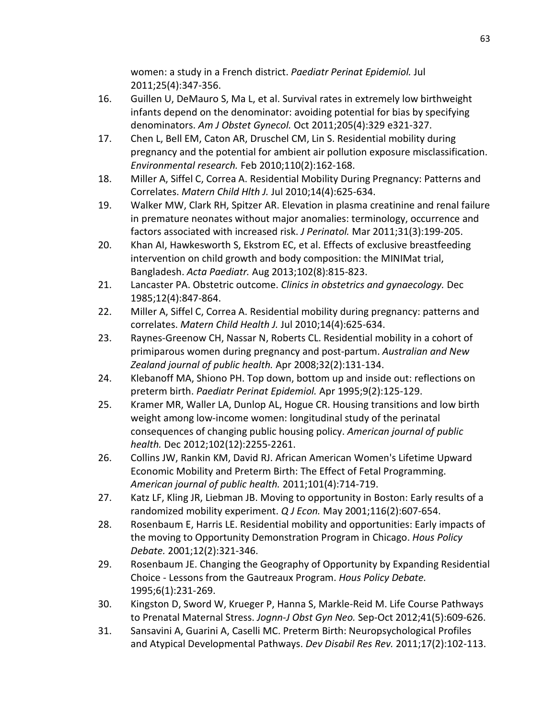women: a study in a French district. *Paediatr Perinat Epidemiol.* Jul 2011;25(4):347-356.

- 16. Guillen U, DeMauro S, Ma L, et al. Survival rates in extremely low birthweight infants depend on the denominator: avoiding potential for bias by specifying denominators. *Am J Obstet Gynecol.* Oct 2011;205(4):329 e321-327.
- 17. Chen L, Bell EM, Caton AR, Druschel CM, Lin S. Residential mobility during pregnancy and the potential for ambient air pollution exposure misclassification. *Environmental research.* Feb 2010;110(2):162-168.
- 18. Miller A, Siffel C, Correa A. Residential Mobility During Pregnancy: Patterns and Correlates. *Matern Child Hlth J.* Jul 2010;14(4):625-634.
- 19. Walker MW, Clark RH, Spitzer AR. Elevation in plasma creatinine and renal failure in premature neonates without major anomalies: terminology, occurrence and factors associated with increased risk. *J Perinatol.* Mar 2011;31(3):199-205.
- 20. Khan AI, Hawkesworth S, Ekstrom EC, et al. Effects of exclusive breastfeeding intervention on child growth and body composition: the MINIMat trial, Bangladesh. *Acta Paediatr.* Aug 2013;102(8):815-823.
- 21. Lancaster PA. Obstetric outcome. *Clinics in obstetrics and gynaecology.* Dec 1985;12(4):847-864.
- 22. Miller A, Siffel C, Correa A. Residential mobility during pregnancy: patterns and correlates. *Matern Child Health J.* Jul 2010;14(4):625-634.
- 23. Raynes-Greenow CH, Nassar N, Roberts CL. Residential mobility in a cohort of primiparous women during pregnancy and post-partum. *Australian and New Zealand journal of public health.* Apr 2008;32(2):131-134.
- 24. Klebanoff MA, Shiono PH. Top down, bottom up and inside out: reflections on preterm birth. *Paediatr Perinat Epidemiol.* Apr 1995;9(2):125-129.
- 25. Kramer MR, Waller LA, Dunlop AL, Hogue CR. Housing transitions and low birth weight among low-income women: longitudinal study of the perinatal consequences of changing public housing policy. *American journal of public health.* Dec 2012;102(12):2255-2261.
- 26. Collins JW, Rankin KM, David RJ. African American Women's Lifetime Upward Economic Mobility and Preterm Birth: The Effect of Fetal Programming. *American journal of public health.* 2011;101(4):714-719.
- 27. Katz LF, Kling JR, Liebman JB. Moving to opportunity in Boston: Early results of a randomized mobility experiment. *Q J Econ.* May 2001;116(2):607-654.
- 28. Rosenbaum E, Harris LE. Residential mobility and opportunities: Early impacts of the moving to Opportunity Demonstration Program in Chicago. *Hous Policy Debate.* 2001;12(2):321-346.
- 29. Rosenbaum JE. Changing the Geography of Opportunity by Expanding Residential Choice - Lessons from the Gautreaux Program. *Hous Policy Debate.*  1995;6(1):231-269.
- 30. Kingston D, Sword W, Krueger P, Hanna S, Markle-Reid M. Life Course Pathways to Prenatal Maternal Stress. *Jognn-J Obst Gyn Neo.* Sep-Oct 2012;41(5):609-626.
- 31. Sansavini A, Guarini A, Caselli MC. Preterm Birth: Neuropsychological Profiles and Atypical Developmental Pathways. *Dev Disabil Res Rev.* 2011;17(2):102-113.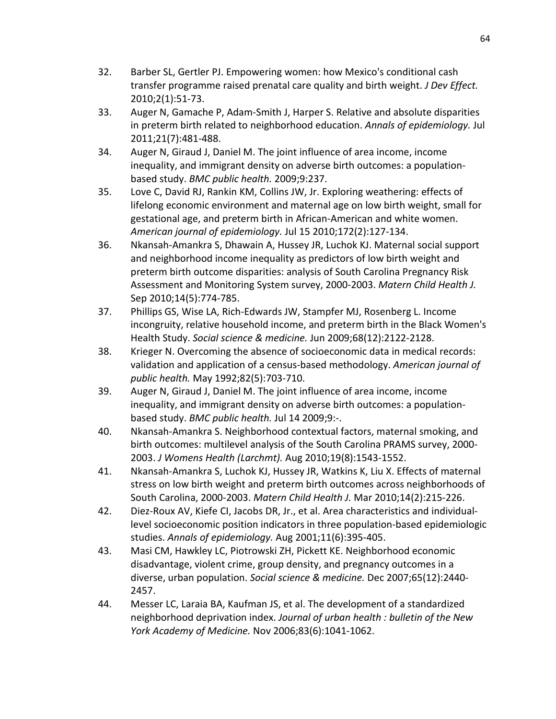- 32. Barber SL, Gertler PJ. Empowering women: how Mexico's conditional cash transfer programme raised prenatal care quality and birth weight. *J Dev Effect.*  2010;2(1):51-73.
- 33. Auger N, Gamache P, Adam-Smith J, Harper S. Relative and absolute disparities in preterm birth related to neighborhood education. *Annals of epidemiology.* Jul 2011;21(7):481-488.
- 34. Auger N, Giraud J, Daniel M. The joint influence of area income, income inequality, and immigrant density on adverse birth outcomes: a populationbased study. *BMC public health.* 2009;9:237.
- 35. Love C, David RJ, Rankin KM, Collins JW, Jr. Exploring weathering: effects of lifelong economic environment and maternal age on low birth weight, small for gestational age, and preterm birth in African-American and white women. *American journal of epidemiology.* Jul 15 2010;172(2):127-134.
- 36. Nkansah-Amankra S, Dhawain A, Hussey JR, Luchok KJ. Maternal social support and neighborhood income inequality as predictors of low birth weight and preterm birth outcome disparities: analysis of South Carolina Pregnancy Risk Assessment and Monitoring System survey, 2000-2003. *Matern Child Health J.*  Sep 2010;14(5):774-785.
- 37. Phillips GS, Wise LA, Rich-Edwards JW, Stampfer MJ, Rosenberg L. Income incongruity, relative household income, and preterm birth in the Black Women's Health Study. *Social science & medicine.* Jun 2009;68(12):2122-2128.
- 38. Krieger N. Overcoming the absence of socioeconomic data in medical records: validation and application of a census-based methodology. *American journal of public health.* May 1992;82(5):703-710.
- 39. Auger N, Giraud J, Daniel M. The joint influence of area income, income inequality, and immigrant density on adverse birth outcomes: a populationbased study. *BMC public health.* Jul 14 2009;9:-.
- 40. Nkansah-Amankra S. Neighborhood contextual factors, maternal smoking, and birth outcomes: multilevel analysis of the South Carolina PRAMS survey, 2000- 2003. *J Womens Health (Larchmt).* Aug 2010;19(8):1543-1552.
- 41. Nkansah-Amankra S, Luchok KJ, Hussey JR, Watkins K, Liu X. Effects of maternal stress on low birth weight and preterm birth outcomes across neighborhoods of South Carolina, 2000-2003. *Matern Child Health J.* Mar 2010;14(2):215-226.
- 42. Diez-Roux AV, Kiefe CI, Jacobs DR, Jr., et al. Area characteristics and individuallevel socioeconomic position indicators in three population-based epidemiologic studies. *Annals of epidemiology.* Aug 2001;11(6):395-405.
- 43. Masi CM, Hawkley LC, Piotrowski ZH, Pickett KE. Neighborhood economic disadvantage, violent crime, group density, and pregnancy outcomes in a diverse, urban population. *Social science & medicine.* Dec 2007;65(12):2440- 2457.
- 44. Messer LC, Laraia BA, Kaufman JS, et al. The development of a standardized neighborhood deprivation index. *Journal of urban health : bulletin of the New York Academy of Medicine.* Nov 2006;83(6):1041-1062.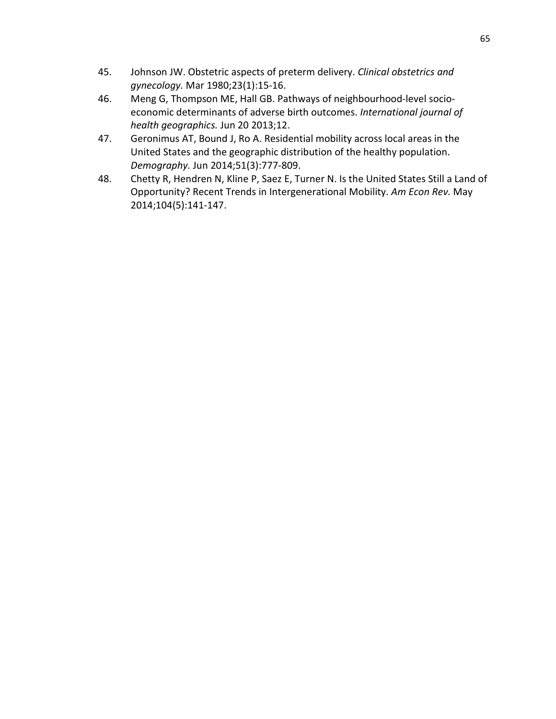- 45. Johnson JW. Obstetric aspects of preterm delivery. *Clinical obstetrics and gynecology.* Mar 1980;23(1):15-16.
- 46. Meng G, Thompson ME, Hall GB. Pathways of neighbourhood-level socioeconomic determinants of adverse birth outcomes. *International journal of health geographics.* Jun 20 2013;12.
- 47. Geronimus AT, Bound J, Ro A. Residential mobility across local areas in the United States and the geographic distribution of the healthy population. *Demography.* Jun 2014;51(3):777-809.
- 48. Chetty R, Hendren N, Kline P, Saez E, Turner N. Is the United States Still a Land of Opportunity? Recent Trends in Intergenerational Mobility. *Am Econ Rev.* May 2014;104(5):141-147.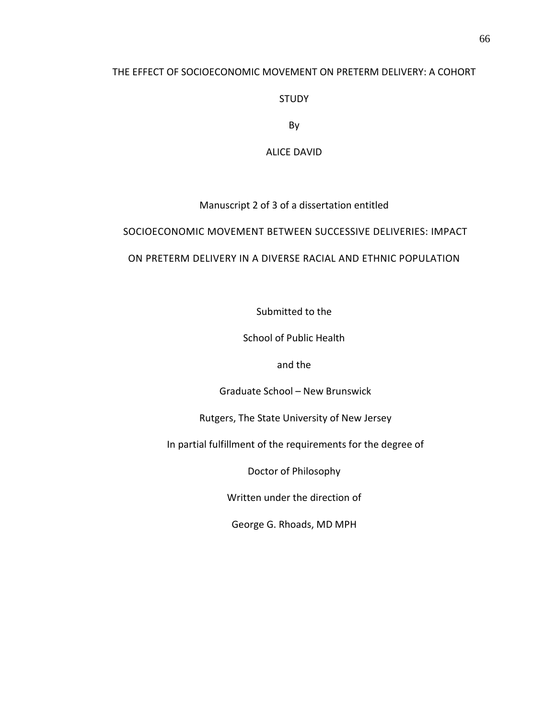# THE EFFECT OF SOCIOECONOMIC MOVEMENT ON PRETERM DELIVERY: A COHORT

STUDY

By

ALICE DAVID

# Manuscript 2 of 3 of a dissertation entitled

# SOCIOECONOMIC MOVEMENT BETWEEN SUCCESSIVE DELIVERIES: IMPACT

# ON PRETERM DELIVERY IN A DIVERSE RACIAL AND ETHNIC POPULATION

Submitted to the

School of Public Health

and the

Graduate School – New Brunswick

Rutgers, The State University of New Jersey

In partial fulfillment of the requirements for the degree of

Doctor of Philosophy

Written under the direction of

George G. Rhoads, MD MPH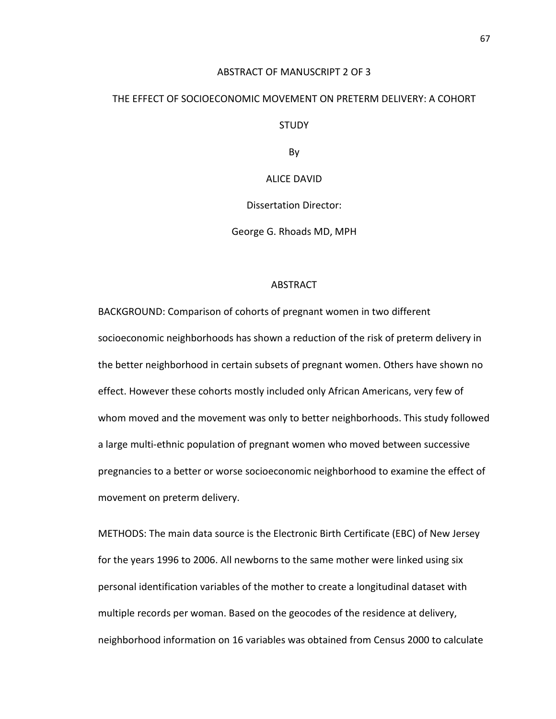#### ABSTRACT OF MANUSCRIPT 2 OF 3

# THE EFFECT OF SOCIOECONOMIC MOVEMENT ON PRETERM DELIVERY: A COHORT

STUDY

By

ALICE DAVID

Dissertation Director:

George G. Rhoads MD, MPH

#### ABSTRACT

BACKGROUND: Comparison of cohorts of pregnant women in two different socioeconomic neighborhoods has shown a reduction of the risk of preterm delivery in the better neighborhood in certain subsets of pregnant women. Others have shown no effect. However these cohorts mostly included only African Americans, very few of whom moved and the movement was only to better neighborhoods. This study followed a large multi-ethnic population of pregnant women who moved between successive pregnancies to a better or worse socioeconomic neighborhood to examine the effect of movement on preterm delivery.

METHODS: The main data source is the Electronic Birth Certificate (EBC) of New Jersey for the years 1996 to 2006. All newborns to the same mother were linked using six personal identification variables of the mother to create a longitudinal dataset with multiple records per woman. Based on the geocodes of the residence at delivery, neighborhood information on 16 variables was obtained from Census 2000 to calculate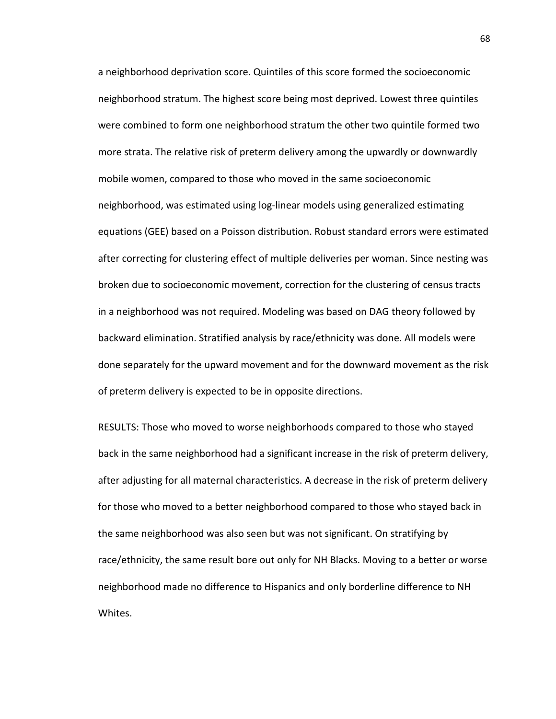a neighborhood deprivation score. Quintiles of this score formed the socioeconomic neighborhood stratum. The highest score being most deprived. Lowest three quintiles were combined to form one neighborhood stratum the other two quintile formed two more strata. The relative risk of preterm delivery among the upwardly or downwardly mobile women, compared to those who moved in the same socioeconomic neighborhood, was estimated using log-linear models using generalized estimating equations (GEE) based on a Poisson distribution. Robust standard errors were estimated after correcting for clustering effect of multiple deliveries per woman. Since nesting was broken due to socioeconomic movement, correction for the clustering of census tracts in a neighborhood was not required. Modeling was based on DAG theory followed by backward elimination. Stratified analysis by race/ethnicity was done. All models were done separately for the upward movement and for the downward movement as the risk of preterm delivery is expected to be in opposite directions.

RESULTS: Those who moved to worse neighborhoods compared to those who stayed back in the same neighborhood had a significant increase in the risk of preterm delivery, after adjusting for all maternal characteristics. A decrease in the risk of preterm delivery for those who moved to a better neighborhood compared to those who stayed back in the same neighborhood was also seen but was not significant. On stratifying by race/ethnicity, the same result bore out only for NH Blacks. Moving to a better or worse neighborhood made no difference to Hispanics and only borderline difference to NH Whites.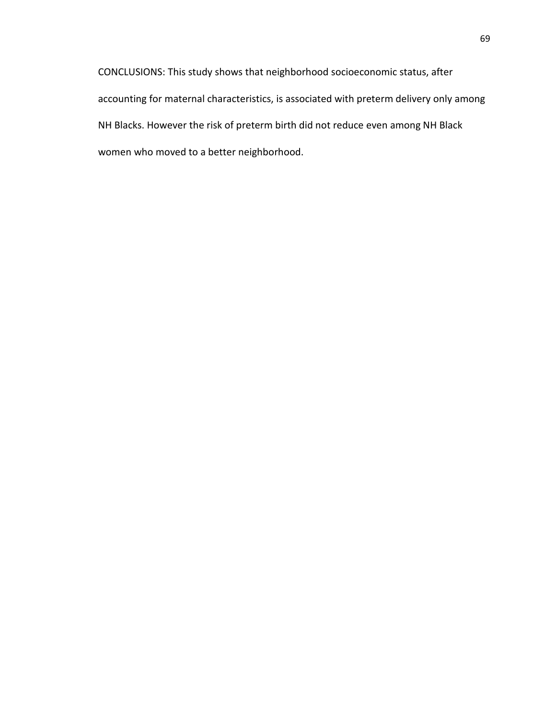CONCLUSIONS: This study shows that neighborhood socioeconomic status, after accounting for maternal characteristics, is associated with preterm delivery only among NH Blacks. However the risk of preterm birth did not reduce even among NH Black women who moved to a better neighborhood.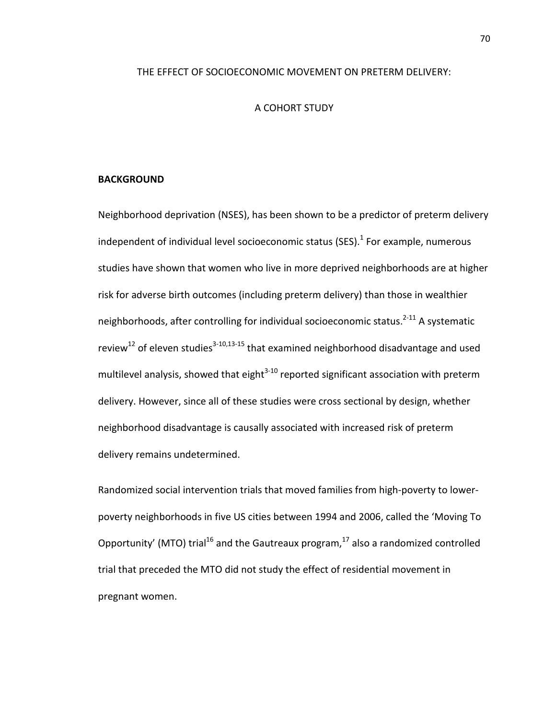#### THE EFFECT OF SOCIOECONOMIC MOVEMENT ON PRETERM DELIVERY:

#### A COHORT STUDY

#### **BACKGROUND**

Neighborhood deprivation (NSES), has been shown to be a predictor of preterm delivery independent of individual level socioeconomic status (SES). $<sup>1</sup>$  For example, numerous</sup> studies have shown that women who live in more deprived neighborhoods are at higher risk for adverse birth outcomes (including preterm delivery) than those in wealthier neighborhoods, after controlling for individual socioeconomic status.<sup>2-11</sup> A systematic review<sup>12</sup> of eleven studies<sup>3-10[,13-15](#page-105-4)</sup> that examined neighborhood disadvantage and used multilevel analysis, showed that eight $3-10$  reported significant association with preterm delivery. However, since all of these studies were cross sectional by design, whether neighborhood disadvantage is causally associated with increased risk of preterm delivery remains undetermined.

Randomized social intervention trials that moved families from high-poverty to lowerpoverty neighborhoods in five US cities between 1994 and 2006, called the 'Moving To Opportunity' (MTO) trial<sup>16</sup> and the Gautreaux program,  $17$  also a randomized controlled trial that preceded the MTO did not study the effect of residential movement in pregnant women.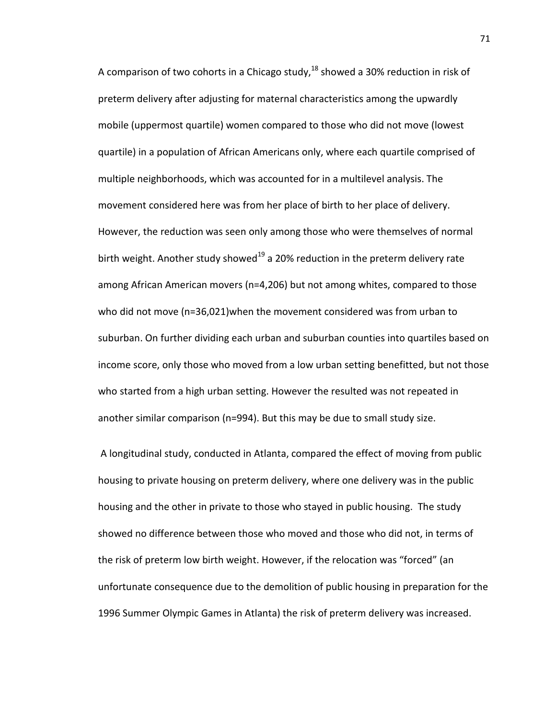A comparison of two cohorts in a Chicago study, $^{18}$  $^{18}$  $^{18}$  showed a 30% reduction in risk of preterm delivery after adjusting for maternal characteristics among the upwardly mobile (uppermost quartile) women compared to those who did not move (lowest quartile) in a population of African Americans only, where each quartile comprised of multiple neighborhoods, which was accounted for in a multilevel analysis. The movement considered here was from her place of birth to her place of delivery. However, the reduction was seen only among those who were themselves of normal birth weight. Another study showed<sup>[19](#page-106-3)</sup> a 20% reduction in the preterm delivery rate among African American movers (n=4,206) but not among whites, compared to those who did not move (n=36,021)when the movement considered was from urban to suburban. On further dividing each urban and suburban counties into quartiles based on income score, only those who moved from a low urban setting benefitted, but not those who started from a high urban setting. However the resulted was not repeated in another similar comparison (n=994). But this may be due to small study size.

A longitudinal study, conducted in Atlanta, compared the effect of moving from public housing to private housing on preterm delivery, where one delivery was in the public housing and the other in private to those who stayed in public housing. The study showed no difference between those who moved and those who did not, in terms of the risk of preterm low birth weight. However, if the relocation was "forced" (an unfortunate consequence due to the demolition of public housing in preparation for the 1996 Summer Olympic Games in Atlanta) the risk of preterm delivery was increased.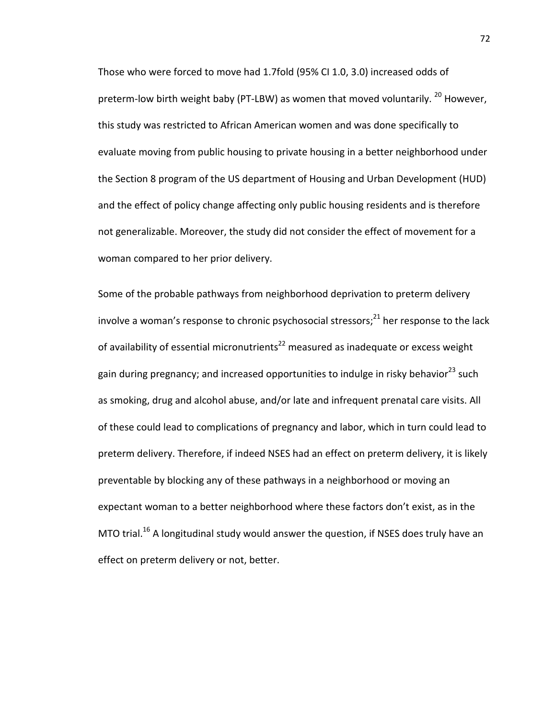Those who were forced to move had 1.7fold (95% CI 1.0, 3.0) increased odds of preterm-low birth weight baby (PT-LBW) as women that moved voluntarily. <sup>[20](#page-106-4)</sup> However, this study was restricted to African American women and was done specifically to evaluate moving from public housing to private housing in a better neighborhood under the Section 8 program of the US department of Housing and Urban Development (HUD) and the effect of policy change affecting only public housing residents and is therefore not generalizable. Moreover, the study did not consider the effect of movement for a woman compared to her prior delivery.

Some of the probable pathways from neighborhood deprivation to preterm delivery involve a woman's response to chronic psychosocial stressors; $^{21}$  $^{21}$  $^{21}$  her response to the lack of availability of essential micronutrients<sup>22</sup> measured as inadequate or excess weight gain during pregnancy; and increased opportunities to indulge in risky behavior<sup>[23](#page-106-7)</sup> such as smoking, drug and alcohol abuse, and/or late and infrequent prenatal care visits. All of these could lead to complications of pregnancy and labor, which in turn could lead to preterm delivery. Therefore, if indeed NSES had an effect on preterm delivery, it is likely preventable by blocking any of these pathways in a neighborhood or moving an expectant woman to a better neighborhood where these factors don't exist, as in the MTO trial.<sup>[16](#page-106-0)</sup> A longitudinal study would answer the question, if NSES does truly have an effect on preterm delivery or not, better.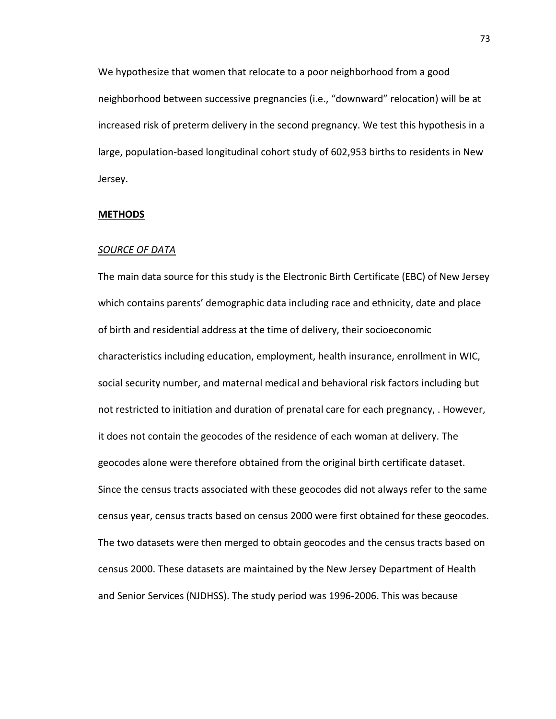We hypothesize that women that relocate to a poor neighborhood from a good neighborhood between successive pregnancies (i.e., "downward" relocation) will be at increased risk of preterm delivery in the second pregnancy. We test this hypothesis in a large, population-based longitudinal cohort study of 602,953 births to residents in New Jersey.

#### **METHODS**

#### *SOURCE OF DATA*

The main data source for this study is the Electronic Birth Certificate (EBC) of New Jersey which contains parents' demographic data including race and ethnicity, date and place of birth and residential address at the time of delivery, their socioeconomic characteristics including education, employment, health insurance, enrollment in WIC, social security number, and maternal medical and behavioral risk factors including but not restricted to initiation and duration of prenatal care for each pregnancy, . However, it does not contain the geocodes of the residence of each woman at delivery. The geocodes alone were therefore obtained from the original birth certificate dataset. Since the census tracts associated with these geocodes did not always refer to the same census year, census tracts based on census 2000 were first obtained for these geocodes. The two datasets were then merged to obtain geocodes and the census tracts based on census 2000. These datasets are maintained by the New Jersey Department of Health and Senior Services (NJDHSS). The study period was 1996-2006. This was because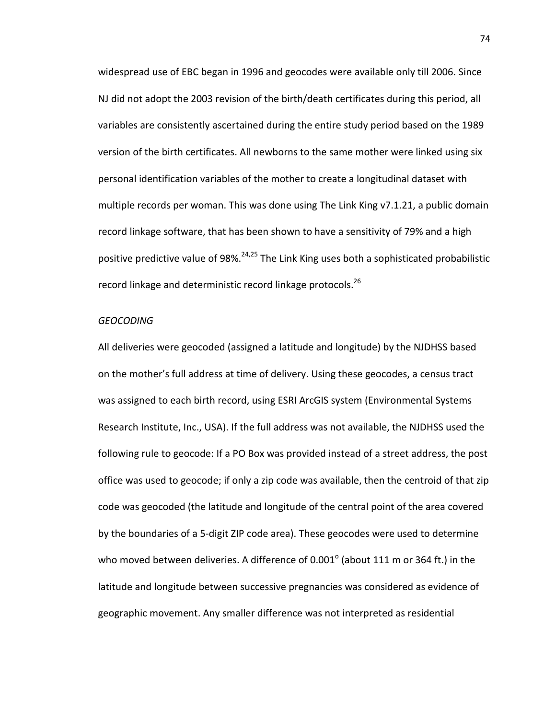widespread use of EBC began in 1996 and geocodes were available only till 2006. Since NJ did not adopt the 2003 revision of the birth/death certificates during this period, all variables are consistently ascertained during the entire study period based on the 1989 version of the birth certificates. All newborns to the same mother were linked using six personal identification variables of the mother to create a longitudinal dataset with multiple records per woman. This was done using The Link King v7.1.21, a public domain record linkage software, that has been shown to have a sensitivity of 79% and a high positive predictive value of 98%.<sup>24,[25](#page-106-9)</sup> The Link King uses both a sophisticated probabilistic record linkage and deterministic record linkage protocols.<sup>26</sup>

#### *GEOCODING*

All deliveries were geocoded (assigned a latitude and longitude) by the NJDHSS based on the mother's full address at time of delivery. Using these geocodes, a census tract was assigned to each birth record, using ESRI ArcGIS system (Environmental Systems Research Institute, Inc., USA). If the full address was not available, the NJDHSS used the following rule to geocode: If a PO Box was provided instead of a street address, the post office was used to geocode; if only a zip code was available, then the centroid of that zip code was geocoded (the latitude and longitude of the central point of the area covered by the boundaries of a 5-digit ZIP code area). These geocodes were used to determine who moved between deliveries. A difference of  $0.001^\circ$  (about 111 m or 364 ft.) in the latitude and longitude between successive pregnancies was considered as evidence of geographic movement. Any smaller difference was not interpreted as residential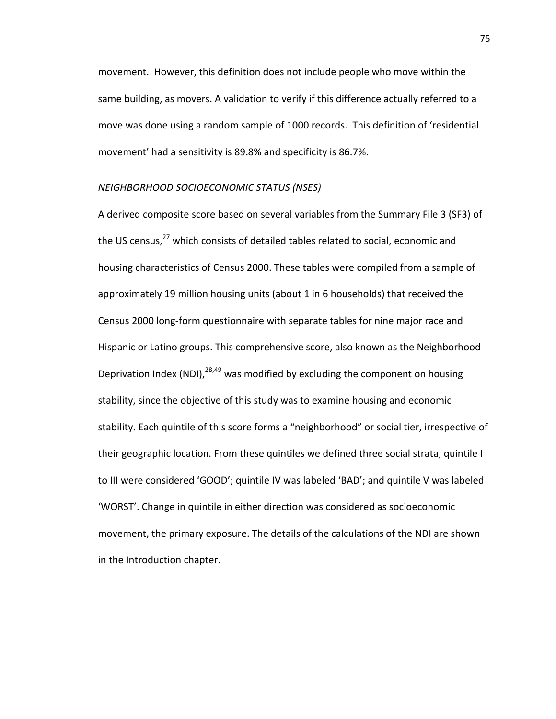movement. However, this definition does not include people who move within the same building, as movers. A validation to verify if this difference actually referred to a move was done using a random sample of 1000 records. This definition of 'residential movement' had a sensitivity is 89.8% and specificity is 86.7%.

#### *NEIGHBORHOOD SOCIOECONOMIC STATUS (NSES)*

A derived composite score based on several variables from the Summary File 3 (SF3) of the US census,<sup>[27](#page-106-11)</sup> which consists of detailed tables related to social, economic and housing characteristics of Census 2000. These tables were compiled from a sample of approximately 19 million housing units (about 1 in 6 households) that received the Census 2000 long-form questionnaire with separate tables for nine major race and Hispanic or Latino groups. This comprehensive score, also known as the Neighborhood Deprivation Index (NDI),  $^{28,49}$  was modified by excluding the component on housing stability, since the objective of this study was to examine housing and economic stability. Each quintile of this score forms a "neighborhood" or social tier, irrespective of their geographic location. From these quintiles we defined three social strata, quintile I to III were considered 'GOOD'; quintile IV was labeled 'BAD'; and quintile V was labeled 'WORST'. Change in quintile in either direction was considered as socioeconomic movement, the primary exposure. The details of the calculations of the NDI are shown in the Introduction chapter.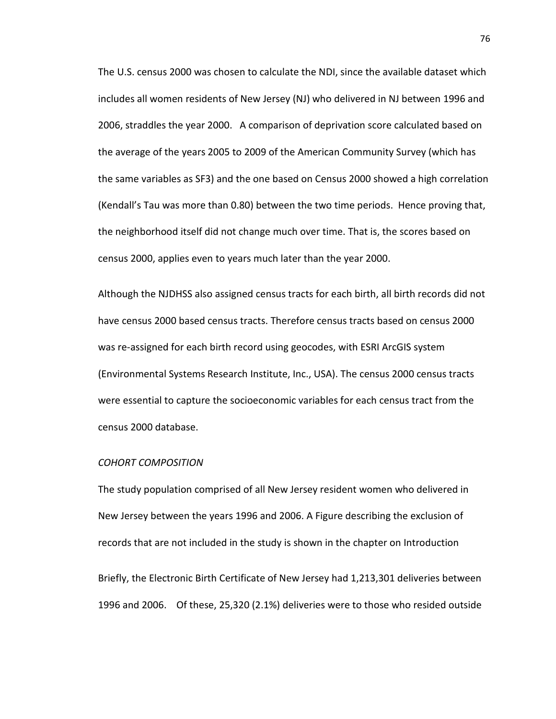The U.S. census 2000 was chosen to calculate the NDI, since the available dataset which includes all women residents of New Jersey (NJ) who delivered in NJ between 1996 and 2006, straddles the year 2000. A comparison of deprivation score calculated based on the average of the years 2005 to 2009 of the American Community Survey (which has the same variables as SF3) and the one based on Census 2000 showed a high correlation (Kendall's Tau was more than 0.80) between the two time periods. Hence proving that, the neighborhood itself did not change much over time. That is, the scores based on census 2000, applies even to years much later than the year 2000.

Although the NJDHSS also assigned census tracts for each birth, all birth records did not have census 2000 based census tracts. Therefore census tracts based on census 2000 was re-assigned for each birth record using geocodes, with ESRI ArcGIS system (Environmental Systems Research Institute, Inc., USA). The census 2000 census tracts were essential to capture the socioeconomic variables for each census tract from the census 2000 database.

#### *COHORT COMPOSITION*

The study population comprised of all New Jersey resident women who delivered in New Jersey between the years 1996 and 2006. A Figure describing the exclusion of records that are not included in the study is shown in the chapter on Introduction

Briefly, the Electronic Birth Certificate of New Jersey had 1,213,301 deliveries between 1996 and 2006. Of these, 25,320 (2.1%) deliveries were to those who resided outside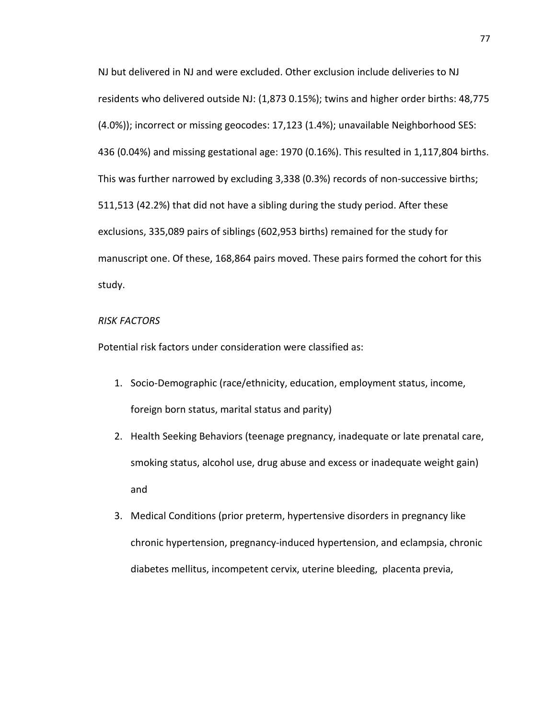NJ but delivered in NJ and were excluded. Other exclusion include deliveries to NJ residents who delivered outside NJ: (1,873 0.15%); twins and higher order births: 48,775 (4.0%)); incorrect or missing geocodes: 17,123 (1.4%); unavailable Neighborhood SES: 436 (0.04%) and missing gestational age: 1970 (0.16%). This resulted in 1,117,804 births. This was further narrowed by excluding 3,338 (0.3%) records of non-successive births; 511,513 (42.2%) that did not have a sibling during the study period. After these exclusions, 335,089 pairs of siblings (602,953 births) remained for the study for manuscript one. Of these, 168,864 pairs moved. These pairs formed the cohort for this study.

#### *RISK FACTORS*

Potential risk factors under consideration were classified as:

- 1. Socio-Demographic (race/ethnicity, education, employment status, income, foreign born status, marital status and parity)
- 2. Health Seeking Behaviors (teenage pregnancy, inadequate or late prenatal care, smoking status, alcohol use, drug abuse and excess or inadequate weight gain) and
- 3. Medical Conditions (prior preterm, hypertensive disorders in pregnancy like chronic hypertension, pregnancy-induced hypertension, and eclampsia, chronic diabetes mellitus, incompetent cervix, uterine bleeding, placenta previa,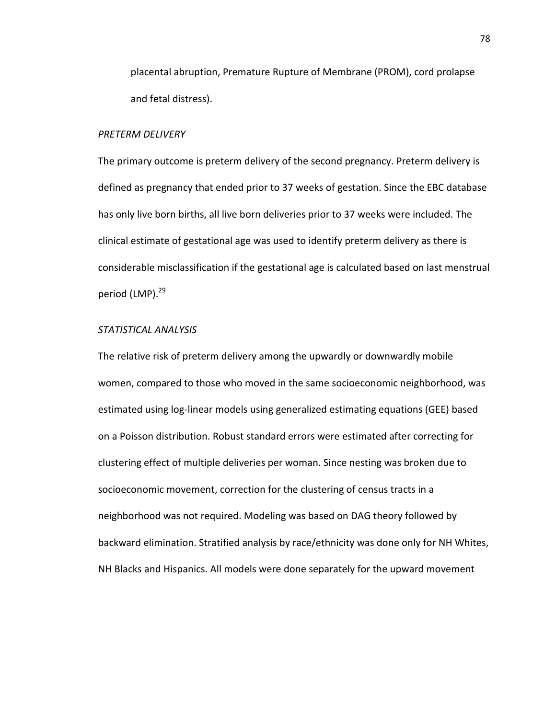placental abruption, Premature Rupture of Membrane (PROM), cord prolapse and fetal distress).

#### *PRETERM DELIVERY*

The primary outcome is preterm delivery of the second pregnancy. Preterm delivery is defined as pregnancy that ended prior to 37 weeks of gestation. Since the EBC database has only live born births, all live born deliveries prior to 37 weeks were included. The clinical estimate of gestational age was used to identify preterm delivery as there is considerable misclassification if the gestational age is calculated based on last menstrual period (LMP).<sup>29</sup>

## *STATISTICAL ANALYSIS*

The relative risk of preterm delivery among the upwardly or downwardly mobile women, compared to those who moved in the same socioeconomic neighborhood, was estimated using log-linear models using generalized estimating equations (GEE) based on a Poisson distribution. Robust standard errors were estimated after correcting for clustering effect of multiple deliveries per woman. Since nesting was broken due to socioeconomic movement, correction for the clustering of census tracts in a neighborhood was not required. Modeling was based on DAG theory followed by backward elimination. Stratified analysis by race/ethnicity was done only for NH Whites, NH Blacks and Hispanics. All models were done separately for the upward movement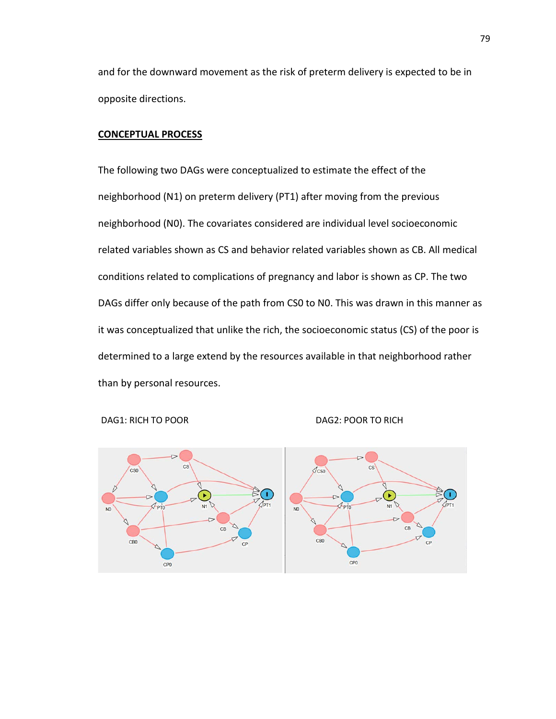and for the downward movement as the risk of preterm delivery is expected to be in opposite directions.

### **CONCEPTUAL PROCESS**

The following two DAGs were conceptualized to estimate the effect of the neighborhood (N1) on preterm delivery (PT1) after moving from the previous neighborhood (N0). The covariates considered are individual level socioeconomic related variables shown as CS and behavior related variables shown as CB. All medical conditions related to complications of pregnancy and labor is shown as CP. The two DAGs differ only because of the path from CS0 to N0. This was drawn in this manner as it was conceptualized that unlike the rich, the socioeconomic status (CS) of the poor is determined to a large extend by the resources available in that neighborhood rather than by personal resources.



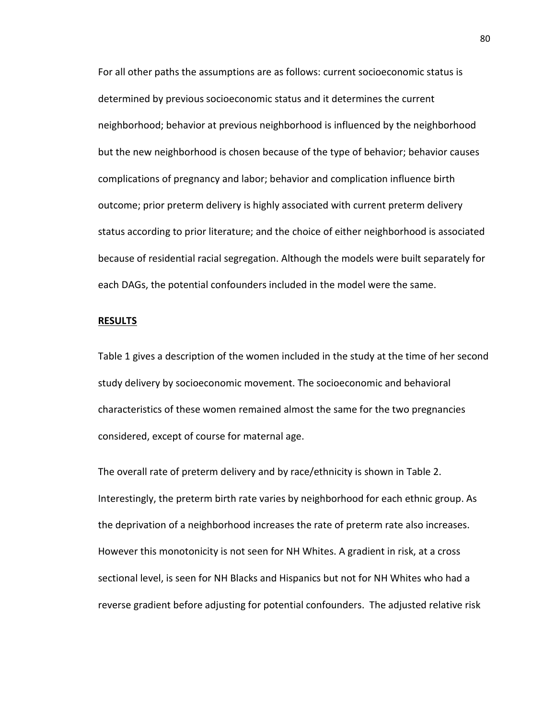For all other paths the assumptions are as follows: current socioeconomic status is determined by previous socioeconomic status and it determines the current neighborhood; behavior at previous neighborhood is influenced by the neighborhood but the new neighborhood is chosen because of the type of behavior; behavior causes complications of pregnancy and labor; behavior and complication influence birth outcome; prior preterm delivery is highly associated with current preterm delivery status according to prior literature; and the choice of either neighborhood is associated because of residential racial segregation. Although the models were built separately for each DAGs, the potential confounders included in the model were the same.

#### **RESULTS**

Table 1 gives a description of the women included in the study at the time of her second study delivery by socioeconomic movement. The socioeconomic and behavioral characteristics of these women remained almost the same for the two pregnancies considered, except of course for maternal age.

The overall rate of preterm delivery and by race/ethnicity is shown in Table 2. Interestingly, the preterm birth rate varies by neighborhood for each ethnic group. As the deprivation of a neighborhood increases the rate of preterm rate also increases. However this monotonicity is not seen for NH Whites. A gradient in risk, at a cross sectional level, is seen for NH Blacks and Hispanics but not for NH Whites who had a reverse gradient before adjusting for potential confounders. The adjusted relative risk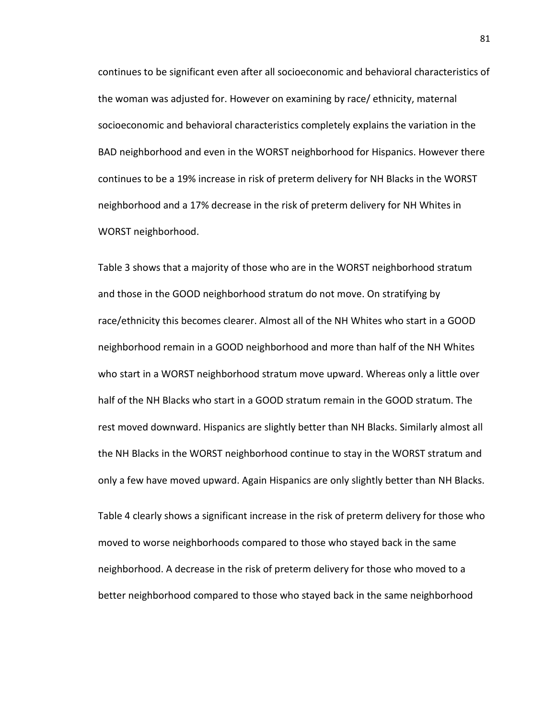continues to be significant even after all socioeconomic and behavioral characteristics of the woman was adjusted for. However on examining by race/ ethnicity, maternal socioeconomic and behavioral characteristics completely explains the variation in the BAD neighborhood and even in the WORST neighborhood for Hispanics. However there continues to be a 19% increase in risk of preterm delivery for NH Blacks in the WORST neighborhood and a 17% decrease in the risk of preterm delivery for NH Whites in WORST neighborhood.

Table 3 shows that a majority of those who are in the WORST neighborhood stratum and those in the GOOD neighborhood stratum do not move. On stratifying by race/ethnicity this becomes clearer. Almost all of the NH Whites who start in a GOOD neighborhood remain in a GOOD neighborhood and more than half of the NH Whites who start in a WORST neighborhood stratum move upward. Whereas only a little over half of the NH Blacks who start in a GOOD stratum remain in the GOOD stratum. The rest moved downward. Hispanics are slightly better than NH Blacks. Similarly almost all the NH Blacks in the WORST neighborhood continue to stay in the WORST stratum and only a few have moved upward. Again Hispanics are only slightly better than NH Blacks.

Table 4 clearly shows a significant increase in the risk of preterm delivery for those who moved to worse neighborhoods compared to those who stayed back in the same neighborhood. A decrease in the risk of preterm delivery for those who moved to a better neighborhood compared to those who stayed back in the same neighborhood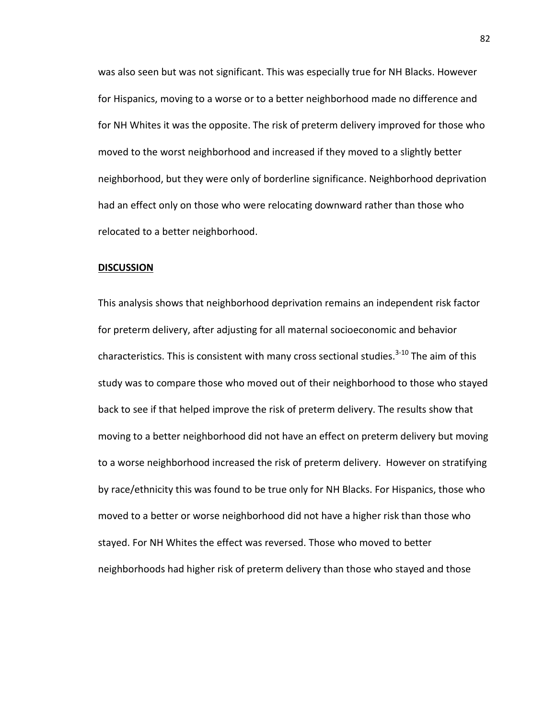was also seen but was not significant. This was especially true for NH Blacks. However for Hispanics, moving to a worse or to a better neighborhood made no difference and for NH Whites it was the opposite. The risk of preterm delivery improved for those who moved to the worst neighborhood and increased if they moved to a slightly better neighborhood, but they were only of borderline significance. Neighborhood deprivation had an effect only on those who were relocating downward rather than those who relocated to a better neighborhood.

#### **DISCUSSION**

This analysis shows that neighborhood deprivation remains an independent risk factor for preterm delivery, after adjusting for all maternal socioeconomic and behavior characteristics. This is consistent with many cross sectional studies.<sup>[3-10](#page-105-3)</sup> The aim of this study was to compare those who moved out of their neighborhood to those who stayed back to see if that helped improve the risk of preterm delivery. The results show that moving to a better neighborhood did not have an effect on preterm delivery but moving to a worse neighborhood increased the risk of preterm delivery. However on stratifying by race/ethnicity this was found to be true only for NH Blacks. For Hispanics, those who moved to a better or worse neighborhood did not have a higher risk than those who stayed. For NH Whites the effect was reversed. Those who moved to better neighborhoods had higher risk of preterm delivery than those who stayed and those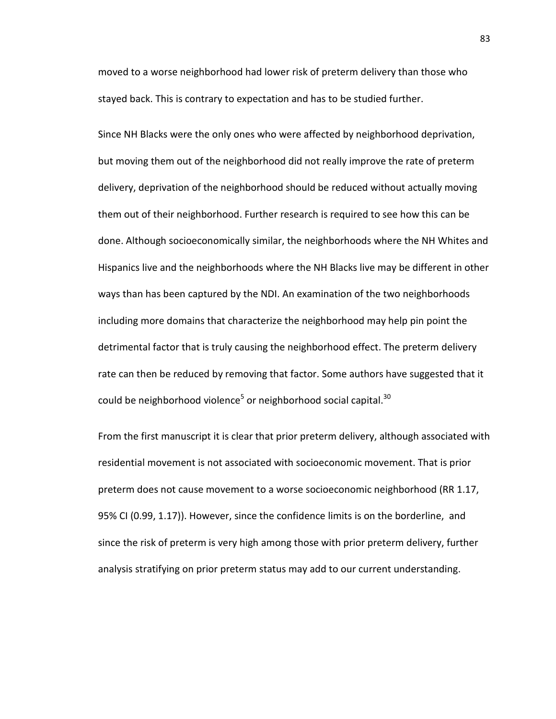moved to a worse neighborhood had lower risk of preterm delivery than those who stayed back. This is contrary to expectation and has to be studied further.

Since NH Blacks were the only ones who were affected by neighborhood deprivation, but moving them out of the neighborhood did not really improve the rate of preterm delivery, deprivation of the neighborhood should be reduced without actually moving them out of their neighborhood. Further research is required to see how this can be done. Although socioeconomically similar, the neighborhoods where the NH Whites and Hispanics live and the neighborhoods where the NH Blacks live may be different in other ways than has been captured by the NDI. An examination of the two neighborhoods including more domains that characterize the neighborhood may help pin point the detrimental factor that is truly causing the neighborhood effect. The preterm delivery rate can then be reduced by removing that factor. Some authors have suggested that it could be neighborhood violence<sup>[5](#page-105-5)</sup> or neighborhood social capital.<sup>30</sup>

From the first manuscript it is clear that prior preterm delivery, although associated with residential movement is not associated with socioeconomic movement. That is prior preterm does not cause movement to a worse socioeconomic neighborhood (RR 1.17, 95% CI (0.99, 1.17)). However, since the confidence limits is on the borderline, and since the risk of preterm is very high among those with prior preterm delivery, further analysis stratifying on prior preterm status may add to our current understanding.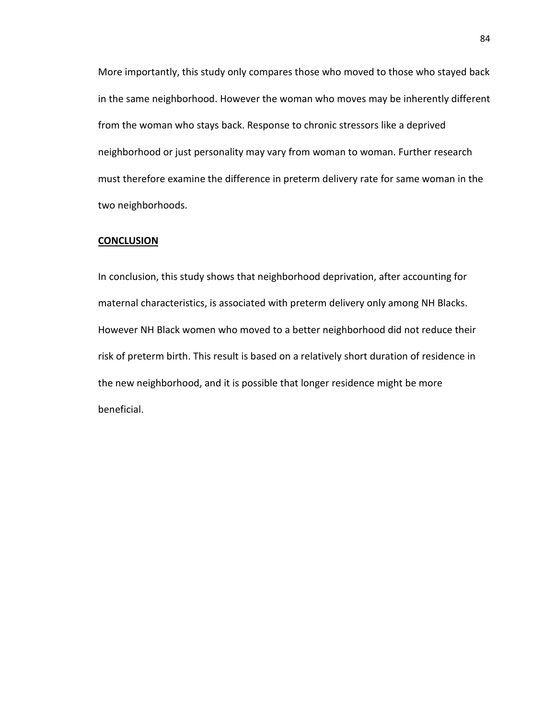More importantly, this study only compares those who moved to those who stayed back in the same neighborhood. However the woman who moves may be inherently different from the woman who stays back. Response to chronic stressors like a deprived neighborhood or just personality may vary from woman to woman. Further research must therefore examine the difference in preterm delivery rate for same woman in the two neighborhoods.

#### **CONCLUSION**

In conclusion, this study shows that neighborhood deprivation, after accounting for maternal characteristics, is associated with preterm delivery only among NH Blacks. However NH Black women who moved to a better neighborhood did not reduce their risk of preterm birth. This result is based on a relatively short duration of residence in the new neighborhood, and it is possible that longer residence might be more beneficial.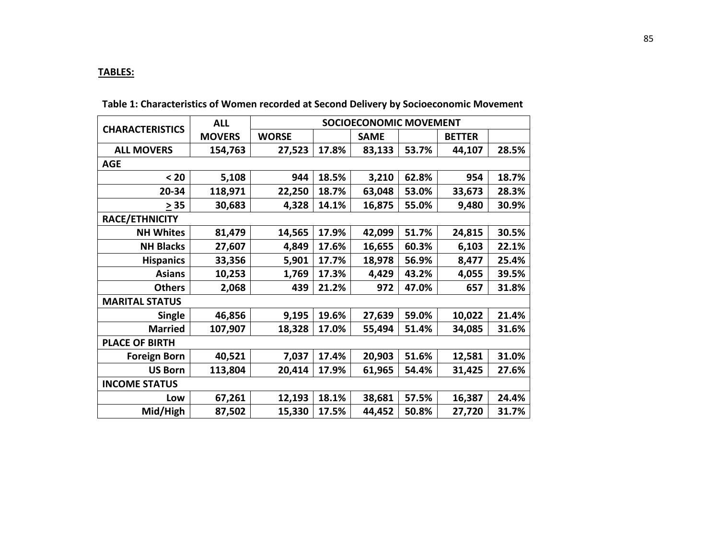# **TABLES:**

|                        | <b>ALL</b>    | <b>SOCIOECONOMIC MOVEMENT</b> |       |             |       |               |       |
|------------------------|---------------|-------------------------------|-------|-------------|-------|---------------|-------|
| <b>CHARACTERISTICS</b> | <b>MOVERS</b> | <b>WORSE</b>                  |       | <b>SAME</b> |       | <b>BETTER</b> |       |
| <b>ALL MOVERS</b>      | 154,763       | 27,523                        | 17.8% | 83,133      | 53.7% | 44,107        | 28.5% |
| <b>AGE</b>             |               |                               |       |             |       |               |       |
| $20$                   | 5,108         | 944                           | 18.5% | 3,210       | 62.8% | 954           | 18.7% |
| 20-34                  | 118,971       | 22,250                        | 18.7% | 63,048      | 53.0% | 33,673        | 28.3% |
| > 35                   | 30,683        | 4,328                         | 14.1% | 16,875      | 55.0% | 9,480         | 30.9% |
| <b>RACE/ETHNICITY</b>  |               |                               |       |             |       |               |       |
| <b>NH Whites</b>       | 81,479        | 14,565                        | 17.9% | 42,099      | 51.7% | 24,815        | 30.5% |
| <b>NH Blacks</b>       | 27,607        | 4,849                         | 17.6% | 16,655      | 60.3% | 6,103         | 22.1% |
| <b>Hispanics</b>       | 33,356        | 5,901                         | 17.7% | 18,978      | 56.9% | 8,477         | 25.4% |
| <b>Asians</b>          | 10,253        | 1,769                         | 17.3% | 4,429       | 43.2% | 4,055         | 39.5% |
| <b>Others</b>          | 2,068         | 439                           | 21.2% | 972         | 47.0% | 657           | 31.8% |
| <b>MARITAL STATUS</b>  |               |                               |       |             |       |               |       |
| <b>Single</b>          | 46,856        | 9,195                         | 19.6% | 27,639      | 59.0% | 10,022        | 21.4% |
| <b>Married</b>         | 107,907       | 18,328                        | 17.0% | 55,494      | 51.4% | 34,085        | 31.6% |
| <b>PLACE OF BIRTH</b>  |               |                               |       |             |       |               |       |
| <b>Foreign Born</b>    | 40,521        | 7,037                         | 17.4% | 20,903      | 51.6% | 12,581        | 31.0% |
| <b>US Born</b>         | 113,804       | 20,414                        | 17.9% | 61,965      | 54.4% | 31,425        | 27.6% |
| <b>INCOME STATUS</b>   |               |                               |       |             |       |               |       |
| Low                    | 67,261        | 12,193                        | 18.1% | 38,681      | 57.5% | 16,387        | 24.4% |
| Mid/High               | 87,502        | 15,330                        | 17.5% | 44,452      | 50.8% | 27,720        | 31.7% |

**Table 1: Characteristics of Women recorded at Second Delivery by Socioeconomic Movement**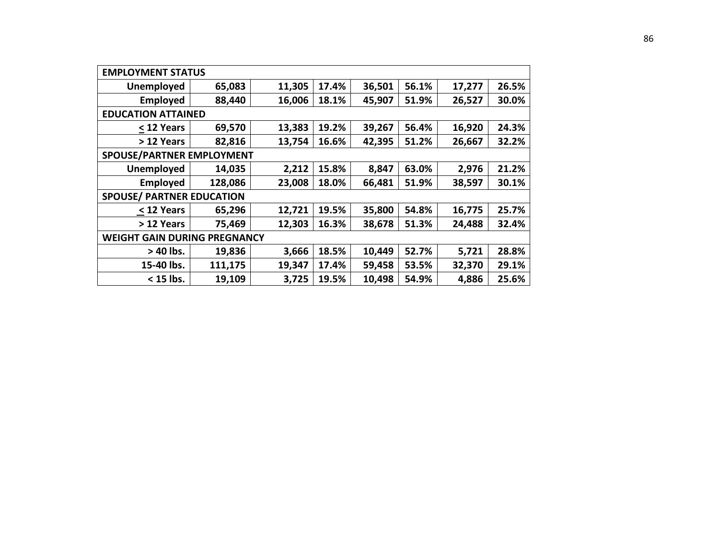| <b>EMPLOYMENT STATUS</b>            |         |        |       |        |       |        |       |  |
|-------------------------------------|---------|--------|-------|--------|-------|--------|-------|--|
| <b>Unemployed</b>                   | 65,083  | 11,305 | 17.4% | 36,501 | 56.1% | 17,277 | 26.5% |  |
| <b>Employed</b>                     | 88,440  | 16,006 | 18.1% | 45,907 | 51.9% | 26,527 | 30.0% |  |
| <b>EDUCATION ATTAINED</b>           |         |        |       |        |       |        |       |  |
| < 12 Years                          | 69,570  | 13,383 | 19.2% | 39,267 | 56.4% | 16,920 | 24.3% |  |
| > 12 Years                          | 82,816  | 13,754 | 16.6% | 42,395 | 51.2% | 26,667 | 32.2% |  |
| <b>SPOUSE/PARTNER EMPLOYMENT</b>    |         |        |       |        |       |        |       |  |
| <b>Unemployed</b>                   | 14,035  | 2,212  | 15.8% | 8,847  | 63.0% | 2,976  | 21.2% |  |
| <b>Employed</b>                     | 128,086 | 23,008 | 18.0% | 66,481 | 51.9% | 38,597 | 30.1% |  |
| <b>SPOUSE/ PARTNER EDUCATION</b>    |         |        |       |        |       |        |       |  |
| < 12 Years                          | 65,296  | 12,721 | 19.5% | 35,800 | 54.8% | 16,775 | 25.7% |  |
| > 12 Years                          | 75,469  | 12,303 | 16.3% | 38,678 | 51.3% | 24,488 | 32.4% |  |
| <b>WEIGHT GAIN DURING PREGNANCY</b> |         |        |       |        |       |        |       |  |
| > 40 lbs.                           | 19,836  | 3,666  | 18.5% | 10,449 | 52.7% | 5,721  | 28.8% |  |
| 15-40 lbs.                          | 111,175 | 19,347 | 17.4% | 59,458 | 53.5% | 32,370 | 29.1% |  |
| $<$ 15 lbs.                         | 19,109  | 3,725  | 19.5% | 10,498 | 54.9% | 4,886  | 25.6% |  |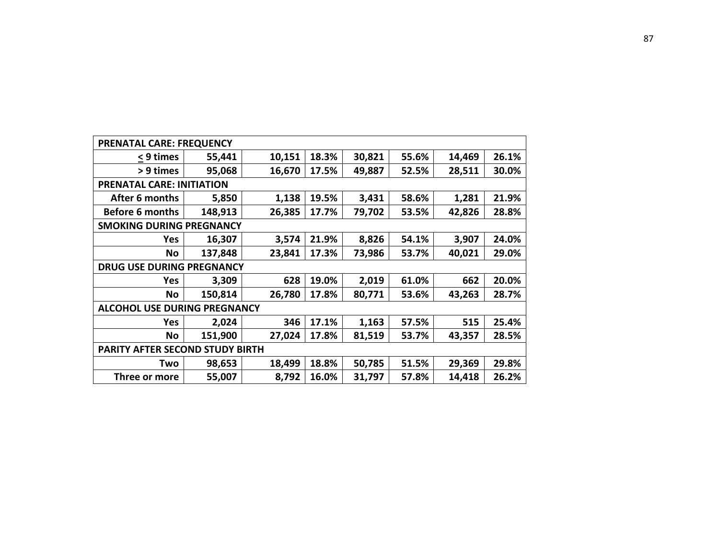| <b>PRENATAL CARE: FREQUENCY</b>        |         |        |       |        |       |        |       |  |
|----------------------------------------|---------|--------|-------|--------|-------|--------|-------|--|
| < 9 times                              | 55,441  | 10,151 | 18.3% | 30,821 | 55.6% | 14,469 | 26.1% |  |
| > 9 times                              | 95,068  | 16,670 | 17.5% | 49,887 | 52.5% | 28,511 | 30.0% |  |
| <b>PRENATAL CARE: INITIATION</b>       |         |        |       |        |       |        |       |  |
| After 6 months                         | 5,850   | 1,138  | 19.5% | 3,431  | 58.6% | 1,281  | 21.9% |  |
| <b>Before 6 months</b>                 | 148,913 | 26,385 | 17.7% | 79,702 | 53.5% | 42,826 | 28.8% |  |
| <b>SMOKING DURING PREGNANCY</b>        |         |        |       |        |       |        |       |  |
| <b>Yes</b>                             | 16,307  | 3,574  | 21.9% | 8,826  | 54.1% | 3,907  | 24.0% |  |
| <b>No</b>                              | 137,848 | 23,841 | 17.3% | 73,986 | 53.7% | 40,021 | 29.0% |  |
| <b>DRUG USE DURING PREGNANCY</b>       |         |        |       |        |       |        |       |  |
| <b>Yes</b>                             | 3,309   | 628    | 19.0% | 2,019  | 61.0% | 662    | 20.0% |  |
| <b>No</b>                              | 150,814 | 26,780 | 17.8% | 80,771 | 53.6% | 43,263 | 28.7% |  |
| <b>ALCOHOL USE DURING PREGNANCY</b>    |         |        |       |        |       |        |       |  |
| <b>Yes</b>                             | 2,024   | 346    | 17.1% | 1,163  | 57.5% | 515    | 25.4% |  |
| <b>No</b>                              | 151,900 | 27,024 | 17.8% | 81,519 | 53.7% | 43,357 | 28.5% |  |
| <b>PARITY AFTER SECOND STUDY BIRTH</b> |         |        |       |        |       |        |       |  |
| Two                                    | 98,653  | 18,499 | 18.8% | 50,785 | 51.5% | 29,369 | 29.8% |  |
| Three or more                          | 55,007  | 8,792  | 16.0% | 31,797 | 57.8% | 14,418 | 26.2% |  |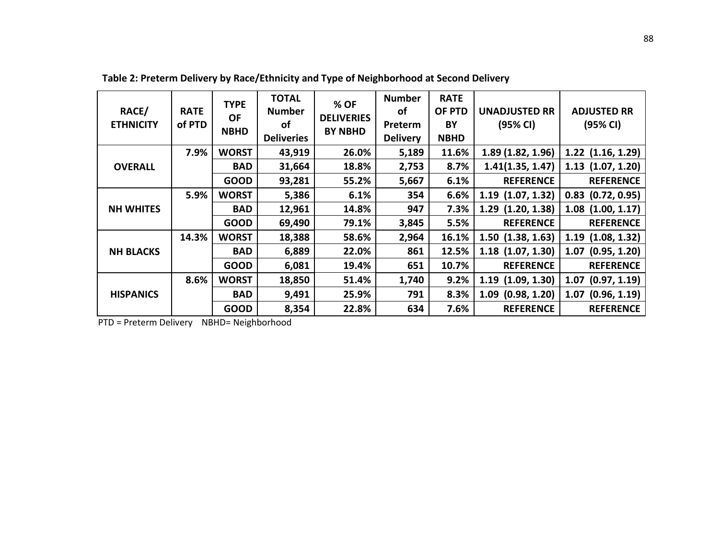| RACE/<br><b>ETHNICITY</b> | <b>RATE</b><br>of PTD | <b>TYPE</b><br><b>OF</b><br><b>NBHD</b> | <b>TOTAL</b><br><b>Number</b><br>οf<br><b>Deliveries</b> | % OF<br><b>DELIVERIES</b><br><b>BY NBHD</b> | <b>Number</b><br><b>of</b><br>Preterm<br><b>Delivery</b> | <b>RATE</b><br>OF PTD<br>BY<br><b>NBHD</b> | <b>UNADJUSTED RR</b><br>(95% CI) | <b>ADJUSTED RR</b><br>(95% CI) |
|---------------------------|-----------------------|-----------------------------------------|----------------------------------------------------------|---------------------------------------------|----------------------------------------------------------|--------------------------------------------|----------------------------------|--------------------------------|
|                           | 7.9%                  | <b>WORST</b>                            | 43,919                                                   | 26.0%                                       | 5,189                                                    | 11.6%                                      | 1.89 (1.82, 1.96)                | $1.22$ $(1.16, 1.29)$          |
| <b>OVERALL</b>            |                       | <b>BAD</b>                              | 31,664                                                   | 18.8%                                       | 2,753                                                    | 8.7%                                       | 1.41(1.35, 1.47)                 | $1.13$ $(1.07, 1.20)$          |
|                           |                       | <b>GOOD</b>                             | 93,281                                                   | 55.2%                                       | 5,667                                                    | 6.1%                                       | <b>REFERENCE</b>                 | <b>REFERENCE</b>               |
|                           | 5.9%                  | <b>WORST</b>                            | 5,386                                                    | 6.1%                                        | 354                                                      | 6.6%                                       | $1.19$ $(1.07, 1.32)$            | $0.83$ $(0.72, 0.95)$          |
| <b>NH WHITES</b>          |                       | <b>BAD</b>                              | 12,961                                                   | 14.8%                                       | 947                                                      | 7.3%                                       | $1.29$ $(1.20, 1.38)$            | $1.08$ $(1.00, 1.17)$          |
|                           |                       | <b>GOOD</b>                             | 69,490                                                   | 79.1%                                       | 3,845                                                    | 5.5%                                       | <b>REFERENCE</b>                 | <b>REFERENCE</b>               |
|                           | 14.3%                 | <b>WORST</b>                            | 18,388                                                   | 58.6%                                       | 2,964                                                    | 16.1%                                      | $1.50$ $(1.38, 1.63)$            | $1.19$ $(1.08, 1.32)$          |
| <b>NH BLACKS</b>          |                       | <b>BAD</b>                              | 6,889                                                    | 22.0%                                       | 861                                                      | 12.5%                                      | $1.18$ $(1.07, 1.30)$            | $1.07$ (0.95, 1.20)            |
|                           |                       | <b>GOOD</b>                             | 6,081                                                    | 19.4%                                       | 651                                                      | 10.7%                                      | <b>REFERENCE</b>                 | <b>REFERENCE</b>               |
|                           | 8.6%                  | <b>WORST</b>                            | 18,850                                                   | 51.4%                                       | 1,740                                                    | 9.2%                                       | $1.19$ $(1.09, 1.30)$            | $1.07$ $(0.97, 1.19)$          |
| <b>HISPANICS</b>          |                       | <b>BAD</b>                              | 9,491                                                    | 25.9%                                       | 791                                                      | 8.3%                                       | $1.09$ $(0.98, 1.20)$            | $1.07$ (0.96, 1.19)            |
|                           |                       | <b>GOOD</b>                             | 8,354                                                    | 22.8%                                       | 634                                                      | 7.6%                                       | <b>REFERENCE</b>                 | <b>REFERENCE</b>               |

**Table 2: Preterm Delivery by Race/Ethnicity and Type of Neighborhood at Second Delivery**

PTD = Preterm Delivery NBHD= Neighborhood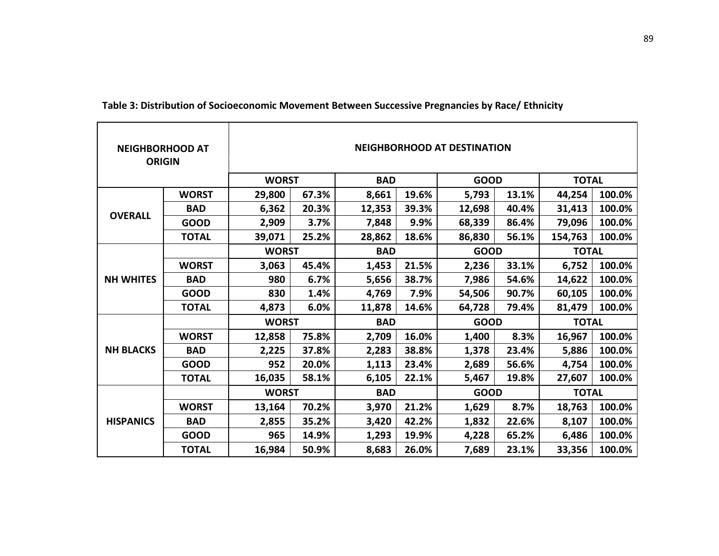| <b>NEIGHBORHOOD AT</b><br><b>ORIGIN</b> |              |              |       |            |       | <b>NEIGHBORHOOD AT DESTINATION</b> |             |              |              |  |
|-----------------------------------------|--------------|--------------|-------|------------|-------|------------------------------------|-------------|--------------|--------------|--|
|                                         |              | <b>WORST</b> |       | <b>BAD</b> |       | <b>GOOD</b>                        |             | <b>TOTAL</b> |              |  |
|                                         | <b>WORST</b> | 29,800       | 67.3% | 8,661      | 19.6% | 5,793                              | 13.1%       | 44,254       | 100.0%       |  |
|                                         | <b>BAD</b>   | 6,362        | 20.3% | 12,353     | 39.3% | 12,698                             | 40.4%       | 31,413       | 100.0%       |  |
| <b>OVERALL</b>                          | <b>GOOD</b>  | 2,909        | 3.7%  | 7,848      | 9.9%  | 68,339                             | 86.4%       | 79,096       | 100.0%       |  |
|                                         | <b>TOTAL</b> | 39,071       | 25.2% | 28,862     | 18.6% | 86,830                             | 56.1%       | 154,763      | 100.0%       |  |
|                                         |              | <b>WORST</b> |       | <b>BAD</b> |       |                                    | <b>GOOD</b> |              | <b>TOTAL</b> |  |
|                                         | <b>WORST</b> | 3,063        | 45.4% | 1,453      | 21.5% | 2,236                              | 33.1%       | 6,752        | 100.0%       |  |
| <b>NH WHITES</b>                        | <b>BAD</b>   | 980          | 6.7%  | 5,656      | 38.7% | 7,986                              | 54.6%       | 14,622       | 100.0%       |  |
|                                         | <b>GOOD</b>  | 830          | 1.4%  | 4,769      | 7.9%  | 54,506                             | 90.7%       | 60,105       | 100.0%       |  |
|                                         | <b>TOTAL</b> | 4,873        | 6.0%  | 11,878     | 14.6% | 64,728                             | 79.4%       | 81,479       | 100.0%       |  |
|                                         |              | <b>WORST</b> |       | <b>BAD</b> |       | <b>GOOD</b>                        |             | <b>TOTAL</b> |              |  |
|                                         | <b>WORST</b> | 12,858       | 75.8% | 2,709      | 16.0% | 1,400                              | 8.3%        | 16,967       | 100.0%       |  |
| <b>NH BLACKS</b>                        | <b>BAD</b>   | 2,225        | 37.8% | 2,283      | 38.8% | 1,378                              | 23.4%       | 5,886        | 100.0%       |  |
|                                         | <b>GOOD</b>  | 952          | 20.0% | 1,113      | 23.4% | 2,689                              | 56.6%       | 4,754        | 100.0%       |  |
|                                         | <b>TOTAL</b> | 16,035       | 58.1% | 6,105      | 22.1% | 5,467                              | 19.8%       | 27,607       | 100.0%       |  |
|                                         |              | <b>WORST</b> |       | <b>BAD</b> |       | <b>GOOD</b>                        |             | <b>TOTAL</b> |              |  |
|                                         | <b>WORST</b> | 13,164       | 70.2% | 3,970      | 21.2% | 1,629                              | 8.7%        | 18,763       | 100.0%       |  |
| <b>HISPANICS</b>                        | <b>BAD</b>   | 2,855        | 35.2% | 3,420      | 42.2% | 1,832                              | 22.6%       | 8,107        | 100.0%       |  |
|                                         | <b>GOOD</b>  | 965          | 14.9% | 1,293      | 19.9% | 4,228                              | 65.2%       | 6,486        | 100.0%       |  |
|                                         | TOTAL        | 16,984       | 50.9% | 8,683      | 26.0% | 7,689                              | 23.1%       | 33,356       | 100.0%       |  |

**Table 3: Distribution of Socioeconomic Movement Between Successive Pregnancies by Race/ Ethnicity**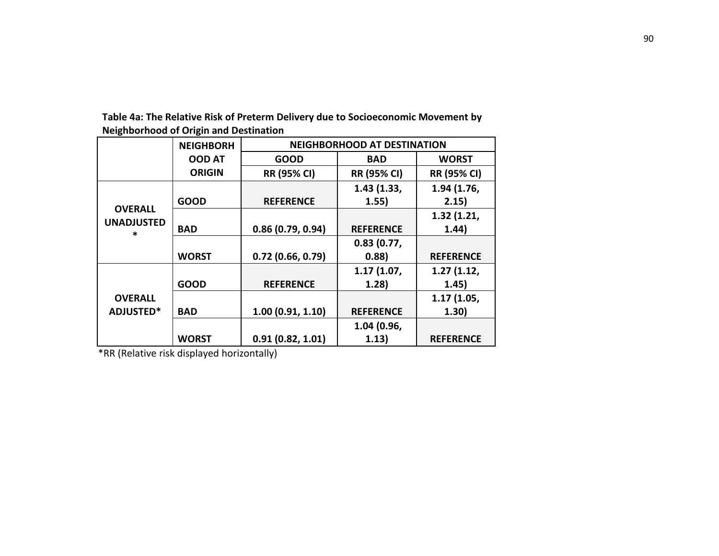|                        | <b>NEIGHBORH</b> | <b>NEIGHBORHOOD AT DESTINATION</b> |                    |                    |  |  |  |
|------------------------|------------------|------------------------------------|--------------------|--------------------|--|--|--|
|                        | <b>OOD AT</b>    | <b>GOOD</b>                        | <b>BAD</b>         | <b>WORST</b>       |  |  |  |
|                        | <b>ORIGIN</b>    | <b>RR (95% CI)</b>                 | <b>RR (95% CI)</b> | <b>RR (95% CI)</b> |  |  |  |
|                        |                  |                                    | 1.43(1.33,         | 1.94 (1.76,        |  |  |  |
|                        | <b>GOOD</b>      | <b>REFERENCE</b>                   | 1.55)              | 2.15)              |  |  |  |
| <b>OVERALL</b>         |                  |                                    |                    | 1.32(1.21,         |  |  |  |
| <b>UNADJUSTED</b><br>× | <b>BAD</b>       | 0.86(0.79, 0.94)                   | <b>REFERENCE</b>   | 1.44)              |  |  |  |
|                        |                  |                                    | 0.83(0.77,         |                    |  |  |  |
|                        | <b>WORST</b>     | 0.72(0.66, 0.79)                   | 0.88)              | <b>REFERENCE</b>   |  |  |  |
|                        |                  |                                    | 1.17(1.07)         | 1.27(1.12,         |  |  |  |
|                        | <b>GOOD</b>      | <b>REFERENCE</b>                   | 1.28)              | 1.45)              |  |  |  |
| <b>OVERALL</b>         |                  |                                    |                    | 1.17(1.05,         |  |  |  |
| <b>ADJUSTED*</b>       | <b>BAD</b>       | 1.00(0.91, 1.10)                   | <b>REFERENCE</b>   | 1.30)              |  |  |  |
|                        |                  |                                    | 1.04 (0.96,        |                    |  |  |  |
|                        | <b>WORST</b>     | 0.91(0.82, 1.01)                   | 1.13)              | <b>REFERENCE</b>   |  |  |  |

**Table 4a: The Relative Risk of Preterm Delivery due to Socioeconomic Movement by Neighborhood of Origin and Destination**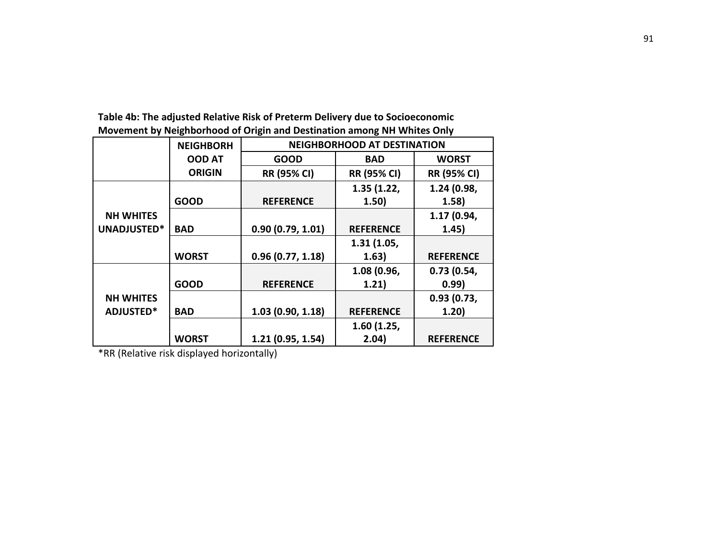|                  | <b>NEIGHBORH</b> | <b>NEIGHBORHOOD AT DESTINATION</b> |                    |                    |  |  |  |
|------------------|------------------|------------------------------------|--------------------|--------------------|--|--|--|
|                  | <b>OOD AT</b>    | <b>GOOD</b>                        | <b>BAD</b>         | <b>WORST</b>       |  |  |  |
|                  | <b>ORIGIN</b>    | <b>RR (95% CI)</b>                 | <b>RR (95% CI)</b> | <b>RR (95% CI)</b> |  |  |  |
|                  |                  |                                    | 1.35(1.22,         | 1.24 (0.98,        |  |  |  |
|                  | <b>GOOD</b>      | <b>REFERENCE</b>                   | 1.50)              | 1.58)              |  |  |  |
| <b>NH WHITES</b> |                  |                                    |                    | 1.17 (0.94,        |  |  |  |
| UNADJUSTED*      | <b>BAD</b>       | 0.90(0.79, 1.01)                   | <b>REFERENCE</b>   | 1.45)              |  |  |  |
|                  |                  |                                    | 1.31(1.05,         |                    |  |  |  |
|                  | <b>WORST</b>     | 0.96(0.77, 1.18)                   | 1.63)              | <b>REFERENCE</b>   |  |  |  |
|                  |                  |                                    | 1.08 (0.96,        | 0.73(0.54,         |  |  |  |
|                  | <b>GOOD</b>      | <b>REFERENCE</b>                   | 1.21)              | 0.99)              |  |  |  |
| <b>NH WHITES</b> |                  |                                    |                    | 0.93(0.73,         |  |  |  |
| <b>ADJUSTED*</b> | <b>BAD</b>       | 1.03(0.90, 1.18)                   | <b>REFERENCE</b>   | 1.20)              |  |  |  |
|                  |                  |                                    | 1.60(1.25,         |                    |  |  |  |
|                  | <b>WORST</b>     | 1.21(0.95, 1.54)                   | 2.04)              | <b>REFERENCE</b>   |  |  |  |

**Table 4b: The adjusted Relative Risk of Preterm Delivery due to Socioeconomic Movement by Neighborhood of Origin and Destination among NH Whites Only**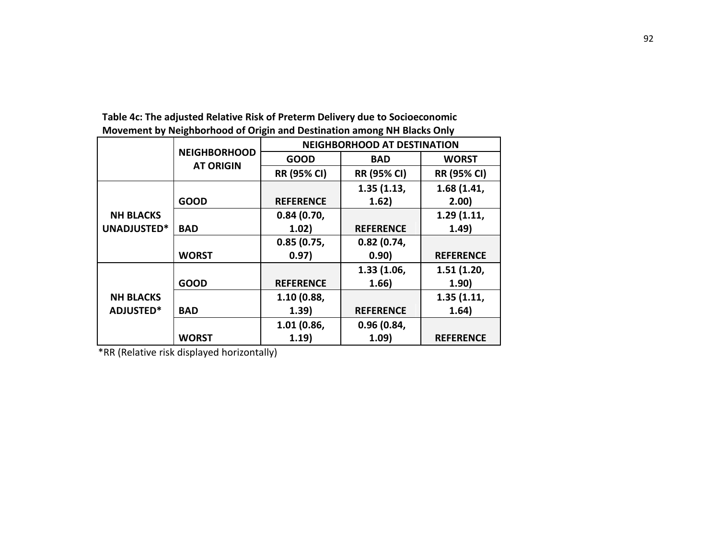|                  |                                         | <b>NEIGHBORHOOD AT DESTINATION</b> |                    |                    |  |  |
|------------------|-----------------------------------------|------------------------------------|--------------------|--------------------|--|--|
|                  | <b>NEIGHBORHOOD</b><br><b>AT ORIGIN</b> | <b>GOOD</b>                        | <b>BAD</b>         | <b>WORST</b>       |  |  |
|                  |                                         | <b>RR (95% CI)</b>                 | <b>RR (95% CI)</b> | <b>RR (95% CI)</b> |  |  |
|                  |                                         |                                    | 1.35(1.13,         | 1.68 (1.41,        |  |  |
|                  | <b>GOOD</b>                             | <b>REFERENCE</b>                   | 1.62)              | 2.00)              |  |  |
| <b>NH BLACKS</b> |                                         | 0.84(0.70,                         |                    | 1.29(1.11,         |  |  |
| UNADJUSTED*      | <b>BAD</b>                              | 1.02)                              | <b>REFERENCE</b>   | 1.49)              |  |  |
|                  |                                         | 0.85(0.75,                         | 0.82(0.74,         |                    |  |  |
|                  | <b>WORST</b>                            | 0.97)                              | 0.90)              | <b>REFERENCE</b>   |  |  |
|                  |                                         |                                    | 1.33(1.06,         | 1.51(1.20,         |  |  |
|                  | <b>GOOD</b>                             | <b>REFERENCE</b>                   | 1.66)              | 1.90)              |  |  |
| <b>NH BLACKS</b> |                                         | 1.10 (0.88,                        |                    | 1.35(1.11,         |  |  |
| <b>ADJUSTED*</b> | <b>BAD</b>                              | 1.39)                              | <b>REFERENCE</b>   | 1.64)              |  |  |
|                  |                                         | 1.01(0.86,                         | 0.96(0.84,         |                    |  |  |
|                  | <b>WORST</b>                            | 1.19)                              | 1.09)              | <b>REFERENCE</b>   |  |  |

**Table 4c: The adjusted Relative Risk of Preterm Delivery due to Socioeconomic Movement by Neighborhood of Origin and Destination among NH Blacks Only**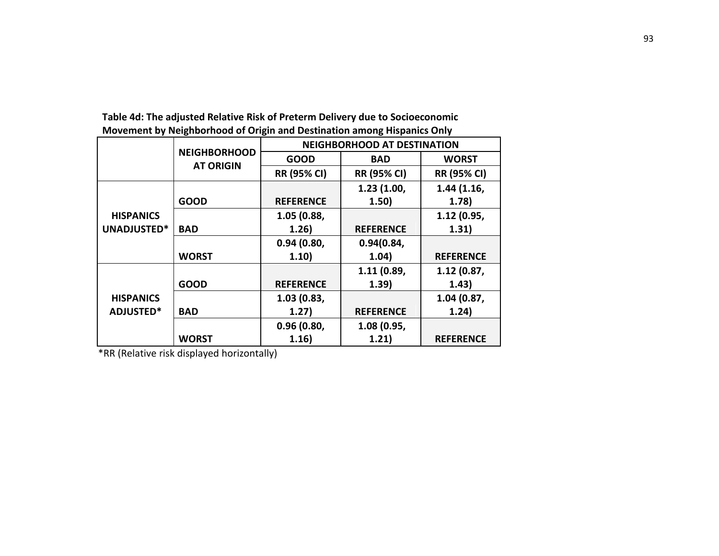|                  |                                         | <b>NEIGHBORHOOD AT DESTINATION</b> |                    |                    |  |  |
|------------------|-----------------------------------------|------------------------------------|--------------------|--------------------|--|--|
|                  | <b>NEIGHBORHOOD</b><br><b>AT ORIGIN</b> | <b>GOOD</b>                        | <b>BAD</b>         | <b>WORST</b>       |  |  |
|                  |                                         | <b>RR (95% CI)</b>                 | <b>RR (95% CI)</b> | <b>RR (95% CI)</b> |  |  |
|                  |                                         |                                    | 1.23(1.00,         | 1.44(1.16,         |  |  |
|                  | <b>GOOD</b>                             | <b>REFERENCE</b>                   | 1.50)              | 1.78)              |  |  |
| <b>HISPANICS</b> |                                         | 1.05 (0.88,                        |                    | 1.12 (0.95,        |  |  |
| UNADJUSTED*      | <b>BAD</b>                              | 1.26)                              | <b>REFERENCE</b>   | 1.31)              |  |  |
|                  |                                         | 0.94(0.80,                         | 0.94(0.84,         |                    |  |  |
|                  | <b>WORST</b>                            | 1.10)                              | 1.04)              | <b>REFERENCE</b>   |  |  |
|                  |                                         |                                    | 1.11(0.89,         | 1.12(0.87,         |  |  |
|                  | <b>GOOD</b>                             | <b>REFERENCE</b>                   | 1.39)              | 1.43)              |  |  |
| <b>HISPANICS</b> |                                         | 1.03(0.83,                         |                    | 1.04 (0.87,        |  |  |
| <b>ADJUSTED*</b> | <b>BAD</b>                              | 1.27)                              | <b>REFERENCE</b>   | 1.24)              |  |  |
|                  |                                         | 0.96(0.80,                         | 1.08 (0.95,        |                    |  |  |
|                  | <b>WORST</b>                            | 1.16)                              | 1.21)              | <b>REFERENCE</b>   |  |  |

**Table 4d: The adjusted Relative Risk of Preterm Delivery due to Socioeconomic Movement by Neighborhood of Origin and Destination among Hispanics Only**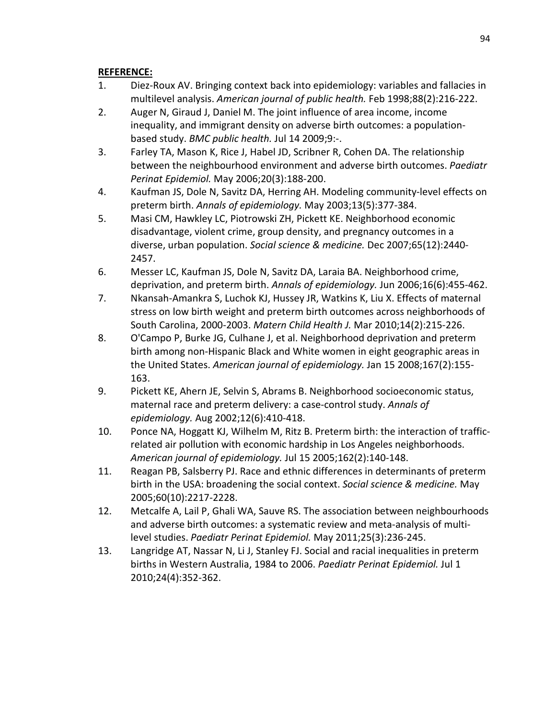# **REFERENCE:**

- <span id="page-105-0"></span>1. Diez-Roux AV. Bringing context back into epidemiology: variables and fallacies in multilevel analysis. *American journal of public health.* Feb 1998;88(2):216-222.
- <span id="page-105-1"></span>2. Auger N, Giraud J, Daniel M. The joint influence of area income, income inequality, and immigrant density on adverse birth outcomes: a populationbased study. *BMC public health.* Jul 14 2009;9:-.
- <span id="page-105-3"></span>3. Farley TA, Mason K, Rice J, Habel JD, Scribner R, Cohen DA. The relationship between the neighbourhood environment and adverse birth outcomes. *Paediatr Perinat Epidemiol.* May 2006;20(3):188-200.
- 4. Kaufman JS, Dole N, Savitz DA, Herring AH. Modeling community-level effects on preterm birth. *Annals of epidemiology.* May 2003;13(5):377-384.
- <span id="page-105-5"></span>5. Masi CM, Hawkley LC, Piotrowski ZH, Pickett KE. Neighborhood economic disadvantage, violent crime, group density, and pregnancy outcomes in a diverse, urban population. *Social science & medicine.* Dec 2007;65(12):2440- 2457.
- 6. Messer LC, Kaufman JS, Dole N, Savitz DA, Laraia BA. Neighborhood crime, deprivation, and preterm birth. *Annals of epidemiology.* Jun 2006;16(6):455-462.
- 7. Nkansah-Amankra S, Luchok KJ, Hussey JR, Watkins K, Liu X. Effects of maternal stress on low birth weight and preterm birth outcomes across neighborhoods of South Carolina, 2000-2003. *Matern Child Health J.* Mar 2010;14(2):215-226.
- 8. O'Campo P, Burke JG, Culhane J, et al. Neighborhood deprivation and preterm birth among non-Hispanic Black and White women in eight geographic areas in the United States. *American journal of epidemiology.* Jan 15 2008;167(2):155- 163.
- 9. Pickett KE, Ahern JE, Selvin S, Abrams B. Neighborhood socioeconomic status, maternal race and preterm delivery: a case-control study. *Annals of epidemiology.* Aug 2002;12(6):410-418.
- 10. Ponce NA, Hoggatt KJ, Wilhelm M, Ritz B. Preterm birth: the interaction of trafficrelated air pollution with economic hardship in Los Angeles neighborhoods. *American journal of epidemiology.* Jul 15 2005;162(2):140-148.
- 11. Reagan PB, Salsberry PJ. Race and ethnic differences in determinants of preterm birth in the USA: broadening the social context. *Social science & medicine.* May 2005;60(10):2217-2228.
- <span id="page-105-2"></span>12. Metcalfe A, Lail P, Ghali WA, Sauve RS. The association between neighbourhoods and adverse birth outcomes: a systematic review and meta-analysis of multilevel studies. *Paediatr Perinat Epidemiol.* May 2011;25(3):236-245.
- <span id="page-105-4"></span>13. Langridge AT, Nassar N, Li J, Stanley FJ. Social and racial inequalities in preterm births in Western Australia, 1984 to 2006. *Paediatr Perinat Epidemiol.* Jul 1 2010;24(4):352-362.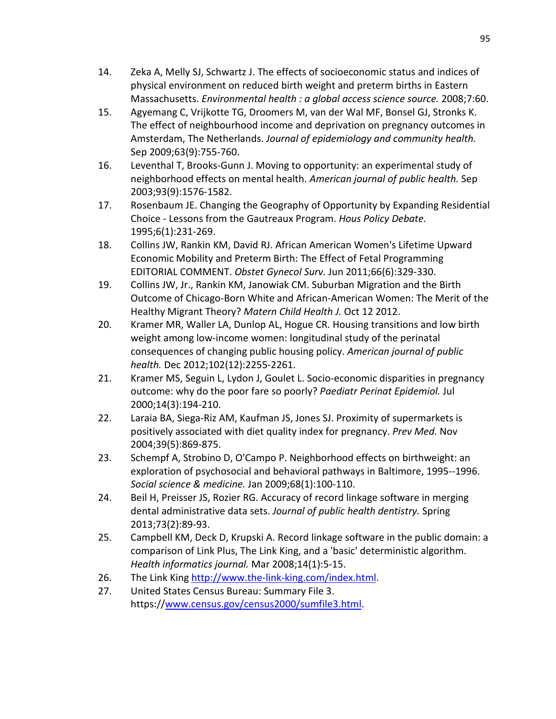- 14. Zeka A, Melly SJ, Schwartz J. The effects of socioeconomic status and indices of physical environment on reduced birth weight and preterm births in Eastern Massachusetts. *Environmental health : a global access science source.* 2008;7:60.
- 15. Agyemang C, Vrijkotte TG, Droomers M, van der Wal MF, Bonsel GJ, Stronks K. The effect of neighbourhood income and deprivation on pregnancy outcomes in Amsterdam, The Netherlands. *Journal of epidemiology and community health.*  Sep 2009;63(9):755-760.
- <span id="page-106-0"></span>16. Leventhal T, Brooks-Gunn J. Moving to opportunity: an experimental study of neighborhood effects on mental health. *American journal of public health.* Sep 2003;93(9):1576-1582.
- <span id="page-106-1"></span>17. Rosenbaum JE. Changing the Geography of Opportunity by Expanding Residential Choice - Lessons from the Gautreaux Program. *Hous Policy Debate.*  1995;6(1):231-269.
- <span id="page-106-2"></span>18. Collins JW, Rankin KM, David RJ. African American Women's Lifetime Upward Economic Mobility and Preterm Birth: The Effect of Fetal Programming EDITORIAL COMMENT. *Obstet Gynecol Surv.* Jun 2011;66(6):329-330.
- <span id="page-106-3"></span>19. Collins JW, Jr., Rankin KM, Janowiak CM. Suburban Migration and the Birth Outcome of Chicago-Born White and African-American Women: The Merit of the Healthy Migrant Theory? *Matern Child Health J.* Oct 12 2012.
- <span id="page-106-4"></span>20. Kramer MR, Waller LA, Dunlop AL, Hogue CR. Housing transitions and low birth weight among low-income women: longitudinal study of the perinatal consequences of changing public housing policy. *American journal of public health.* Dec 2012;102(12):2255-2261.
- <span id="page-106-5"></span>21. Kramer MS, Seguin L, Lydon J, Goulet L. Socio-economic disparities in pregnancy outcome: why do the poor fare so poorly? *Paediatr Perinat Epidemiol.* Jul 2000;14(3):194-210.
- <span id="page-106-6"></span>22. Laraia BA, Siega-Riz AM, Kaufman JS, Jones SJ. Proximity of supermarkets is positively associated with diet quality index for pregnancy. *Prev Med.* Nov 2004;39(5):869-875.
- <span id="page-106-7"></span>23. Schempf A, Strobino D, O'Campo P. Neighborhood effects on birthweight: an exploration of psychosocial and behavioral pathways in Baltimore, 1995--1996. *Social science & medicine.* Jan 2009;68(1):100-110.
- <span id="page-106-8"></span>24. Beil H, Preisser JS, Rozier RG. Accuracy of record linkage software in merging dental administrative data sets. *Journal of public health dentistry.* Spring 2013;73(2):89-93.
- <span id="page-106-9"></span>25. Campbell KM, Deck D, Krupski A. Record linkage software in the public domain: a comparison of Link Plus, The Link King, and a 'basic' deterministic algorithm. *Health informatics journal.* Mar 2008;14(1):5-15.
- <span id="page-106-10"></span>26. The Link King [http://www.the-link-king.com/index.html.](http://www.the-link-king.com/index.html)
- <span id="page-106-11"></span>27. United States Census Bureau: Summary File 3. https:/[/www.census.gov/census2000/sumfile3.html.](http://www.census.gov/census2000/sumfile3.html)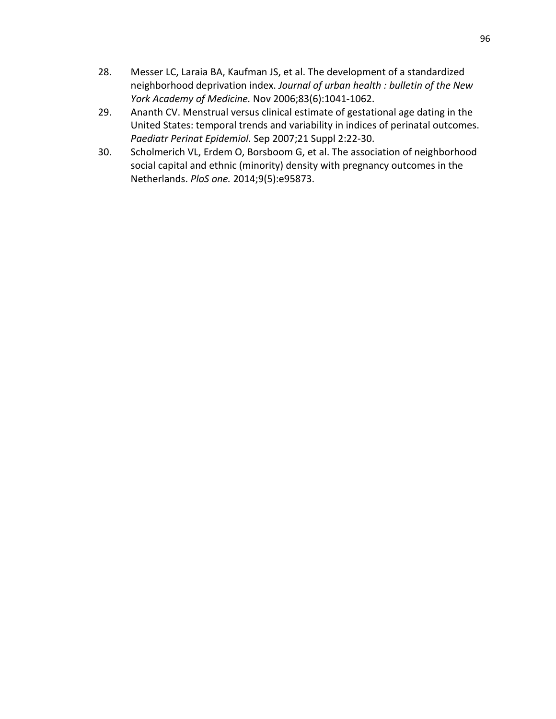- <span id="page-107-0"></span>28. Messer LC, Laraia BA, Kaufman JS, et al. The development of a standardized neighborhood deprivation index. *Journal of urban health : bulletin of the New York Academy of Medicine.* Nov 2006;83(6):1041-1062.
- <span id="page-107-1"></span>29. Ananth CV. Menstrual versus clinical estimate of gestational age dating in the United States: temporal trends and variability in indices of perinatal outcomes. *Paediatr Perinat Epidemiol.* Sep 2007;21 Suppl 2:22-30.
- <span id="page-107-2"></span>30. Scholmerich VL, Erdem O, Borsboom G, et al. The association of neighborhood social capital and ethnic (minority) density with pregnancy outcomes in the Netherlands. *PloS one.* 2014;9(5):e95873.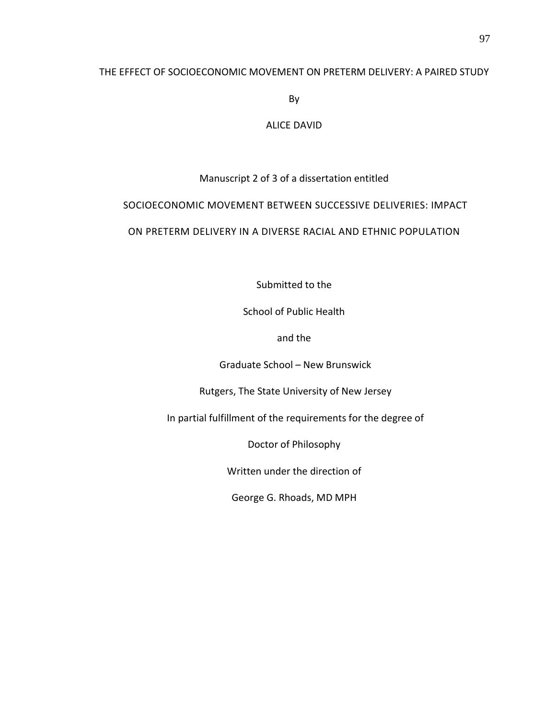## THE EFFECT OF SOCIOECONOMIC MOVEMENT ON PRETERM DELIVERY: A PAIRED STUDY

By

## ALICE DAVID

# Manuscript 2 of 3 of a dissertation entitled

# SOCIOECONOMIC MOVEMENT BETWEEN SUCCESSIVE DELIVERIES: IMPACT

# ON PRETERM DELIVERY IN A DIVERSE RACIAL AND ETHNIC POPULATION

Submitted to the

School of Public Health

and the

Graduate School – New Brunswick

Rutgers, The State University of New Jersey

In partial fulfillment of the requirements for the degree of

Doctor of Philosophy

Written under the direction of

George G. Rhoads, MD MPH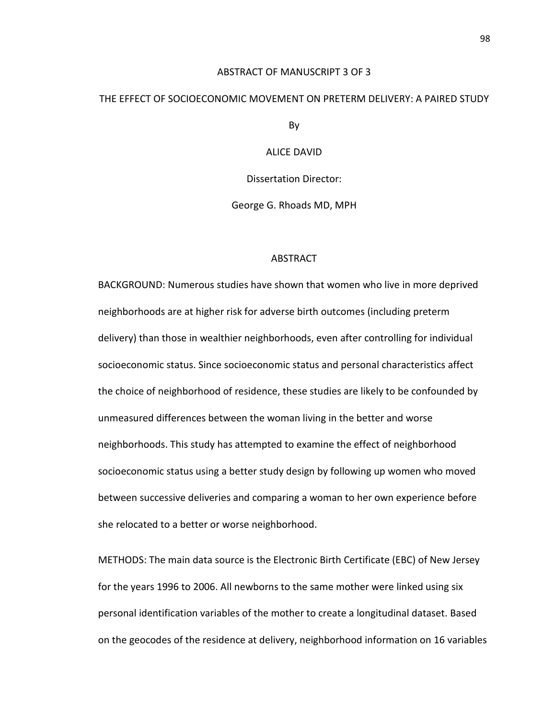### ABSTRACT OF MANUSCRIPT 3 OF 3

#### THE EFFECT OF SOCIOECONOMIC MOVEMENT ON PRETERM DELIVERY: A PAIRED STUDY

By

ALICE DAVID

Dissertation Director:

George G. Rhoads MD, MPH

### ABSTRACT

BACKGROUND: Numerous studies have shown that women who live in more deprived neighborhoods are at higher risk for adverse birth outcomes (including preterm delivery) than those in wealthier neighborhoods, even after controlling for individual socioeconomic status. Since socioeconomic status and personal characteristics affect the choice of neighborhood of residence, these studies are likely to be confounded by unmeasured differences between the woman living in the better and worse neighborhoods. This study has attempted to examine the effect of neighborhood socioeconomic status using a better study design by following up women who moved between successive deliveries and comparing a woman to her own experience before she relocated to a better or worse neighborhood.

METHODS: The main data source is the Electronic Birth Certificate (EBC) of New Jersey for the years 1996 to 2006. All newborns to the same mother were linked using six personal identification variables of the mother to create a longitudinal dataset. Based on the geocodes of the residence at delivery, neighborhood information on 16 variables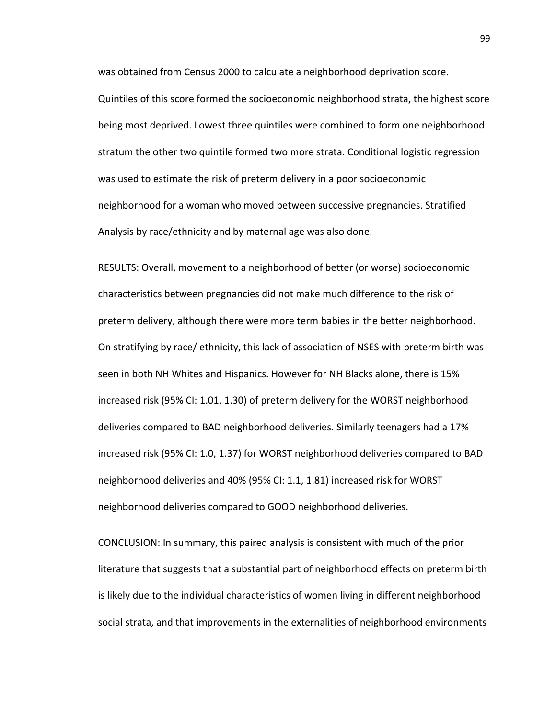was obtained from Census 2000 to calculate a neighborhood deprivation score.

Quintiles of this score formed the socioeconomic neighborhood strata, the highest score being most deprived. Lowest three quintiles were combined to form one neighborhood stratum the other two quintile formed two more strata. Conditional logistic regression was used to estimate the risk of preterm delivery in a poor socioeconomic neighborhood for a woman who moved between successive pregnancies. Stratified Analysis by race/ethnicity and by maternal age was also done.

RESULTS: Overall, movement to a neighborhood of better (or worse) socioeconomic characteristics between pregnancies did not make much difference to the risk of preterm delivery, although there were more term babies in the better neighborhood. On stratifying by race/ ethnicity, this lack of association of NSES with preterm birth was seen in both NH Whites and Hispanics. However for NH Blacks alone, there is 15% increased risk (95% CI: 1.01, 1.30) of preterm delivery for the WORST neighborhood deliveries compared to BAD neighborhood deliveries. Similarly teenagers had a 17% increased risk (95% CI: 1.0, 1.37) for WORST neighborhood deliveries compared to BAD neighborhood deliveries and 40% (95% CI: 1.1, 1.81) increased risk for WORST neighborhood deliveries compared to GOOD neighborhood deliveries.

CONCLUSION: In summary, this paired analysis is consistent with much of the prior literature that suggests that a substantial part of neighborhood effects on preterm birth is likely due to the individual characteristics of women living in different neighborhood social strata, and that improvements in the externalities of neighborhood environments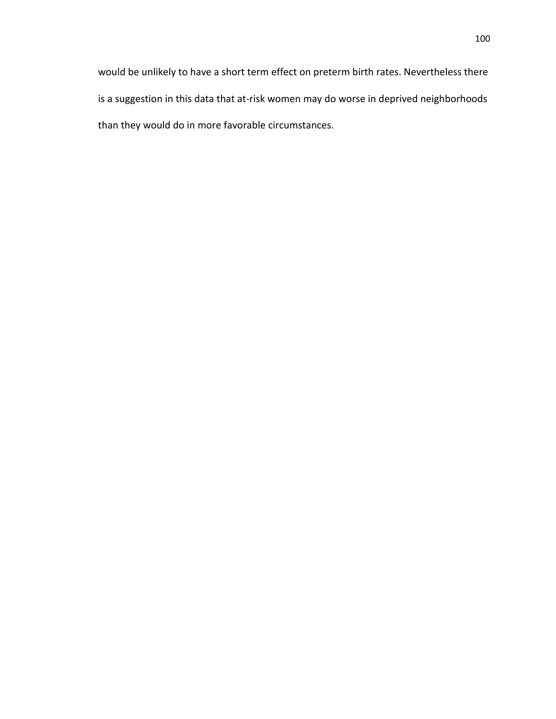would be unlikely to have a short term effect on preterm birth rates. Nevertheless there is a suggestion in this data that at-risk women may do worse in deprived neighborhoods than they would do in more favorable circumstances.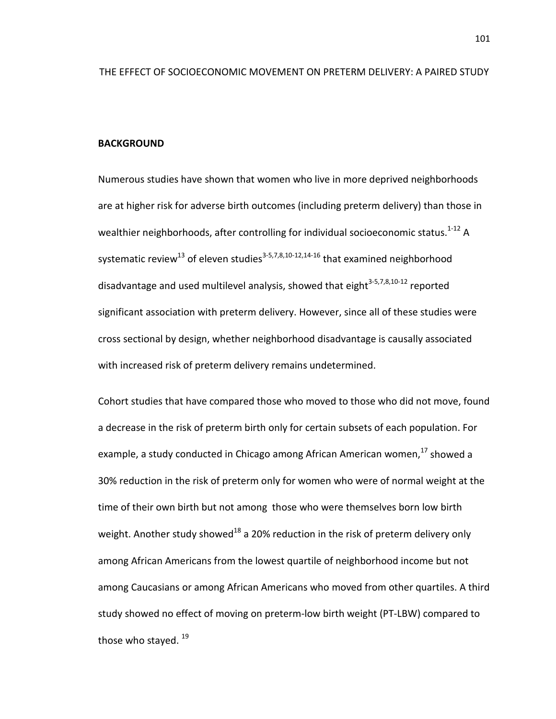#### **BACKGROUND**

Numerous studies have shown that women who live in more deprived neighborhoods are at higher risk for adverse birth outcomes (including preterm delivery) than those in wealthier neighborhoods, after controlling for individual socioeconomic status.<sup>1-12</sup> A systematic review<sup>13</sup> of eleven studies<sup>3-5,[7,](#page-128-3)[8,](#page-128-4)[10-12,](#page-128-5)[14-16](#page-128-6)</sup> that examined neighborhood disadvantage and used multilevel analysis, showed that eight $3-5,7,8,10-12$  $3-5,7,8,10-12$  $3-5,7,8,10-12$  $3-5,7,8,10-12$  reported significant association with preterm delivery. However, since all of these studies were cross sectional by design, whether neighborhood disadvantage is causally associated with increased risk of preterm delivery remains undetermined.

Cohort studies that have compared those who moved to those who did not move, found a decrease in the risk of preterm birth only for certain subsets of each population. For example, a study conducted in Chicago among African American women,<sup>[17](#page-129-0)</sup> showed a 30% reduction in the risk of preterm only for women who were of normal weight at the time of their own birth but not among those who were themselves born low birth weight. Another study showed<sup>[18](#page-129-1)</sup> a 20% reduction in the risk of preterm delivery only among African Americans from the lowest quartile of neighborhood income but not among Caucasians or among African Americans who moved from other quartiles. A third study showed no effect of moving on preterm-low birth weight (PT-LBW) compared to those who stayed.  $19$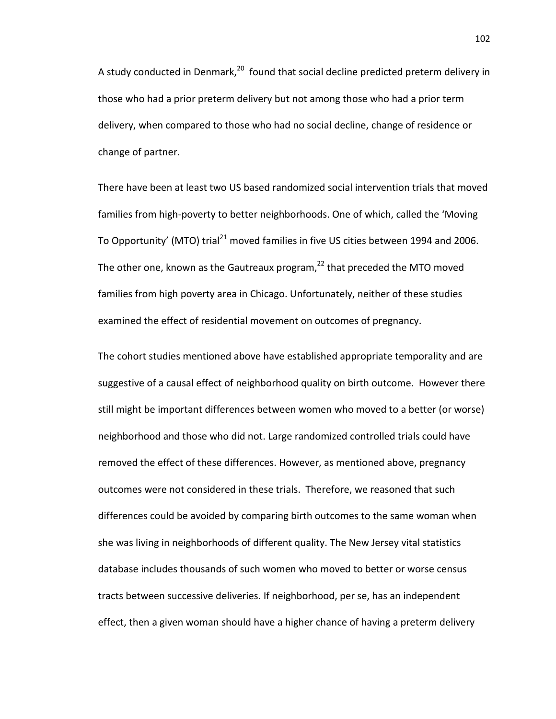A study conducted in Denmark,<sup>20</sup> found that social decline predicted preterm delivery in those who had a prior preterm delivery but not among those who had a prior term delivery, when compared to those who had no social decline, change of residence or change of partner.

There have been at least two US based randomized social intervention trials that moved families from high-poverty to better neighborhoods. One of which, called the 'Moving To Opportunity' (MTO) trial<sup>[21](#page-129-4)</sup> moved families in five US cities between 1994 and 2006. The other one, known as the Gautreaux program, $^{22}$  that preceded the MTO moved families from high poverty area in Chicago. Unfortunately, neither of these studies examined the effect of residential movement on outcomes of pregnancy.

The cohort studies mentioned above have established appropriate temporality and are suggestive of a causal effect of neighborhood quality on birth outcome. However there still might be important differences between women who moved to a better (or worse) neighborhood and those who did not. Large randomized controlled trials could have removed the effect of these differences. However, as mentioned above, pregnancy outcomes were not considered in these trials. Therefore, we reasoned that such differences could be avoided by comparing birth outcomes to the same woman when she was living in neighborhoods of different quality. The New Jersey vital statistics database includes thousands of such women who moved to better or worse census tracts between successive deliveries. If neighborhood, per se, has an independent effect, then a given woman should have a higher chance of having a preterm delivery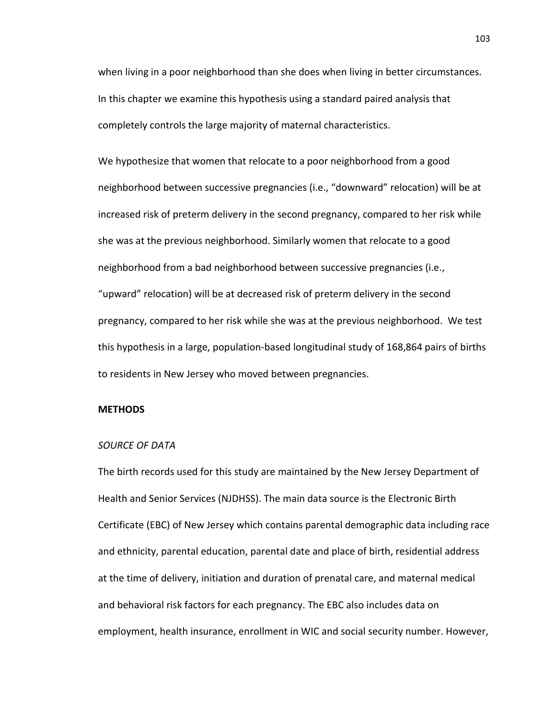when living in a poor neighborhood than she does when living in better circumstances. In this chapter we examine this hypothesis using a standard paired analysis that completely controls the large majority of maternal characteristics.

We hypothesize that women that relocate to a poor neighborhood from a good neighborhood between successive pregnancies (i.e., "downward" relocation) will be at increased risk of preterm delivery in the second pregnancy, compared to her risk while she was at the previous neighborhood. Similarly women that relocate to a good neighborhood from a bad neighborhood between successive pregnancies (i.e., "upward" relocation) will be at decreased risk of preterm delivery in the second pregnancy, compared to her risk while she was at the previous neighborhood. We test this hypothesis in a large, population-based longitudinal study of 168,864 pairs of births to residents in New Jersey who moved between pregnancies.

## **METHODS**

### *SOURCE OF DATA*

The birth records used for this study are maintained by the New Jersey Department of Health and Senior Services (NJDHSS). The main data source is the Electronic Birth Certificate (EBC) of New Jersey which contains parental demographic data including race and ethnicity, parental education, parental date and place of birth, residential address at the time of delivery, initiation and duration of prenatal care, and maternal medical and behavioral risk factors for each pregnancy. The EBC also includes data on employment, health insurance, enrollment in WIC and social security number. However,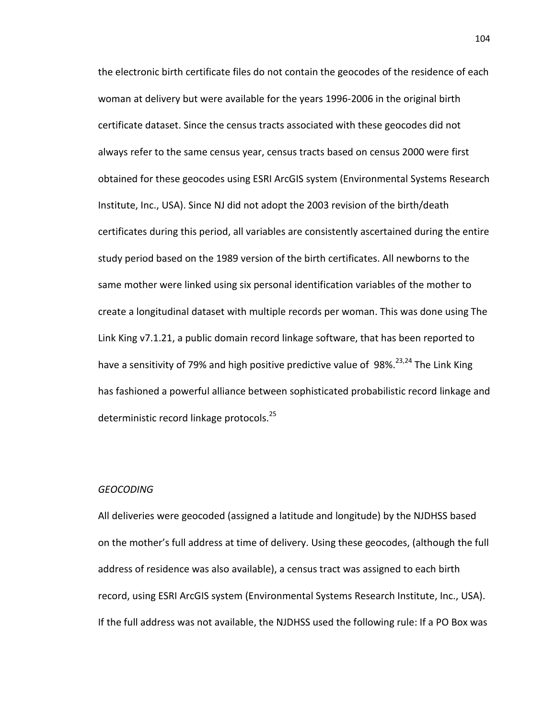the electronic birth certificate files do not contain the geocodes of the residence of each woman at delivery but were available for the years 1996-2006 in the original birth certificate dataset. Since the census tracts associated with these geocodes did not always refer to the same census year, census tracts based on census 2000 were first obtained for these geocodes using ESRI ArcGIS system (Environmental Systems Research Institute, Inc., USA). Since NJ did not adopt the 2003 revision of the birth/death certificates during this period, all variables are consistently ascertained during the entire study period based on the 1989 version of the birth certificates. All newborns to the same mother were linked using six personal identification variables of the mother to create a longitudinal dataset with multiple records per woman. This was done using The Link King v7.1.21, a public domain record linkage software, that has been reported to have a sensitivity of 79% and high positive predictive value of  $98\%^{23,24}$  $98\%^{23,24}$  $98\%^{23,24}$  The Link King has fashioned a powerful alliance between sophisticated probabilistic record linkage and deterministic record linkage protocols.<sup>25</sup>

### *GEOCODING*

All deliveries were geocoded (assigned a latitude and longitude) by the NJDHSS based on the mother's full address at time of delivery. Using these geocodes, (although the full address of residence was also available), a census tract was assigned to each birth record, using ESRI ArcGIS system (Environmental Systems Research Institute, Inc., USA). If the full address was not available, the NJDHSS used the following rule: If a PO Box was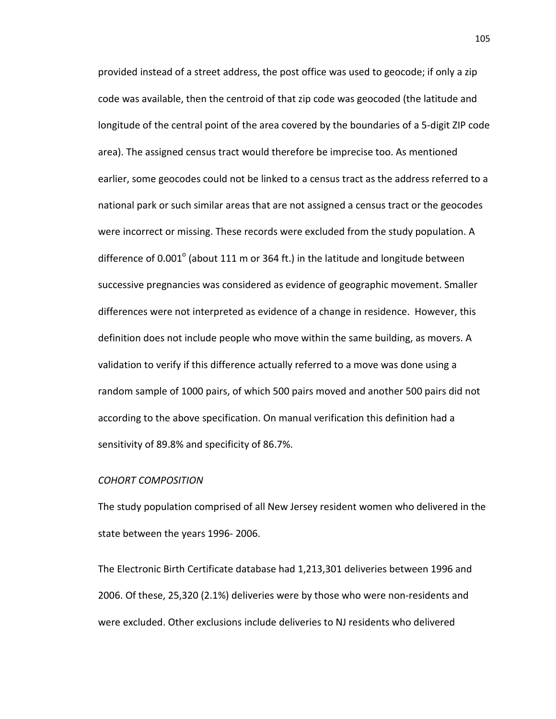provided instead of a street address, the post office was used to geocode; if only a zip code was available, then the centroid of that zip code was geocoded (the latitude and longitude of the central point of the area covered by the boundaries of a 5-digit ZIP code area). The assigned census tract would therefore be imprecise too. As mentioned earlier, some geocodes could not be linked to a census tract as the address referred to a national park or such similar areas that are not assigned a census tract or the geocodes were incorrect or missing. These records were excluded from the study population. A difference of  $0.001^{\circ}$  (about 111 m or 364 ft.) in the latitude and longitude between successive pregnancies was considered as evidence of geographic movement. Smaller differences were not interpreted as evidence of a change in residence. However, this definition does not include people who move within the same building, as movers. A validation to verify if this difference actually referred to a move was done using a random sample of 1000 pairs, of which 500 pairs moved and another 500 pairs did not according to the above specification. On manual verification this definition had a sensitivity of 89.8% and specificity of 86.7%.

### *COHORT COMPOSITION*

The study population comprised of all New Jersey resident women who delivered in the state between the years 1996- 2006.

The Electronic Birth Certificate database had 1,213,301 deliveries between 1996 and 2006. Of these, 25,320 (2.1%) deliveries were by those who were non-residents and were excluded. Other exclusions include deliveries to NJ residents who delivered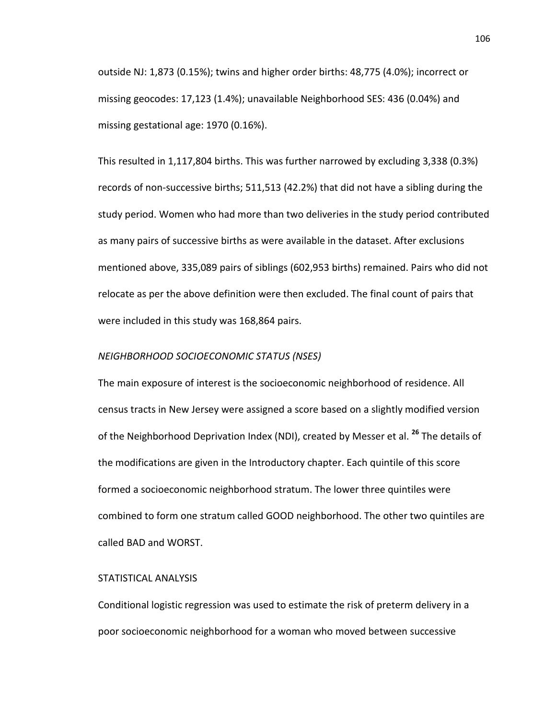outside NJ: 1,873 (0.15%); twins and higher order births: 48,775 (4.0%); incorrect or missing geocodes: 17,123 (1.4%); unavailable Neighborhood SES: 436 (0.04%) and missing gestational age: 1970 (0.16%).

This resulted in 1,117,804 births. This was further narrowed by excluding 3,338 (0.3%) records of non-successive births; 511,513 (42.2%) that did not have a sibling during the study period. Women who had more than two deliveries in the study period contributed as many pairs of successive births as were available in the dataset. After exclusions mentioned above, 335,089 pairs of siblings (602,953 births) remained. Pairs who did not relocate as per the above definition were then excluded. The final count of pairs that were included in this study was 168,864 pairs.

### *NEIGHBORHOOD SOCIOECONOMIC STATUS (NSES)*

The main exposure of interest is the socioeconomic neighborhood of residence. All census tracts in New Jersey were assigned a score based on a slightly modified version of the Neighborhood Deprivation Index (NDI), created by Messer et al. **[26](#page-129-9)** The details of the modifications are given in the Introductory chapter. Each quintile of this score formed a socioeconomic neighborhood stratum. The lower three quintiles were combined to form one stratum called GOOD neighborhood. The other two quintiles are called BAD and WORST.

### STATISTICAL ANALYSIS

Conditional logistic regression was used to estimate the risk of preterm delivery in a poor socioeconomic neighborhood for a woman who moved between successive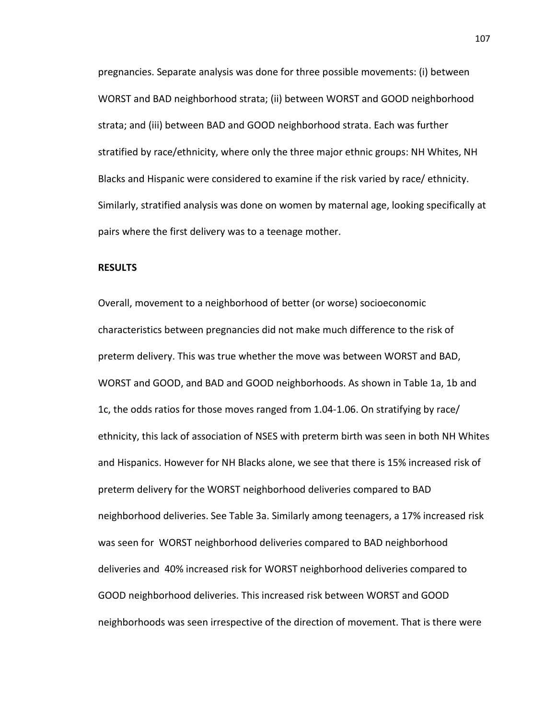pregnancies. Separate analysis was done for three possible movements: (i) between WORST and BAD neighborhood strata; (ii) between WORST and GOOD neighborhood strata; and (iii) between BAD and GOOD neighborhood strata. Each was further stratified by race/ethnicity, where only the three major ethnic groups: NH Whites, NH Blacks and Hispanic were considered to examine if the risk varied by race/ ethnicity. Similarly, stratified analysis was done on women by maternal age, looking specifically at pairs where the first delivery was to a teenage mother.

#### **RESULTS**

Overall, movement to a neighborhood of better (or worse) socioeconomic characteristics between pregnancies did not make much difference to the risk of preterm delivery. This was true whether the move was between WORST and BAD, WORST and GOOD, and BAD and GOOD neighborhoods. As shown in Table 1a, 1b and 1c, the odds ratios for those moves ranged from 1.04-1.06. On stratifying by race/ ethnicity, this lack of association of NSES with preterm birth was seen in both NH Whites and Hispanics. However for NH Blacks alone, we see that there is 15% increased risk of preterm delivery for the WORST neighborhood deliveries compared to BAD neighborhood deliveries. See Table 3a. Similarly among teenagers, a 17% increased risk was seen for WORST neighborhood deliveries compared to BAD neighborhood deliveries and 40% increased risk for WORST neighborhood deliveries compared to GOOD neighborhood deliveries. This increased risk between WORST and GOOD neighborhoods was seen irrespective of the direction of movement. That is there were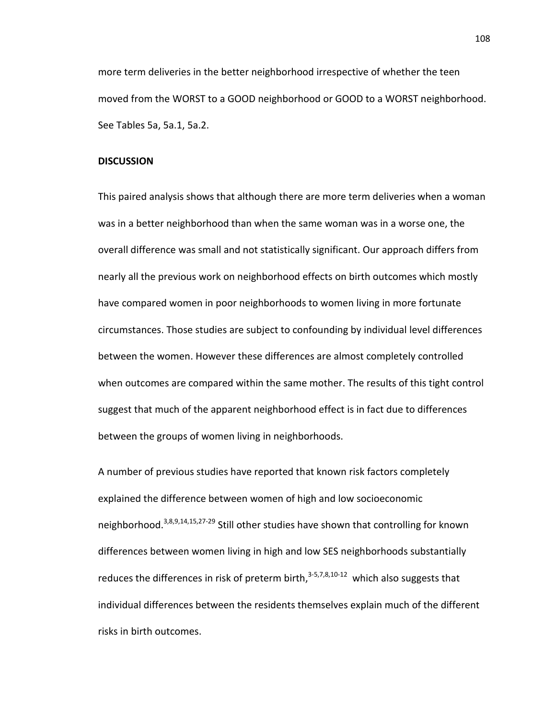more term deliveries in the better neighborhood irrespective of whether the teen moved from the WORST to a GOOD neighborhood or GOOD to a WORST neighborhood. See Tables 5a, 5a.1, 5a.2.

### **DISCUSSION**

This paired analysis shows that although there are more term deliveries when a woman was in a better neighborhood than when the same woman was in a worse one, the overall difference was small and not statistically significant. Our approach differs from nearly all the previous work on neighborhood effects on birth outcomes which mostly have compared women in poor neighborhoods to women living in more fortunate circumstances. Those studies are subject to confounding by individual level differences between the women. However these differences are almost completely controlled when outcomes are compared within the same mother. The results of this tight control suggest that much of the apparent neighborhood effect is in fact due to differences between the groups of women living in neighborhoods.

A number of previous studies have reported that known risk factors completely explained the difference between women of high and low socioeconomic neighborhood[.3](#page-128-2)[,8](#page-128-4)[,9](#page-128-7)[,14,](#page-128-6)[15,](#page-129-10)[27-29](#page-129-11) Still other studies have shown that controlling for known differences between women living in high and low SES neighborhoods substantially reduces the differences in risk of preterm birth, $3-5,7,8,10-12$  $3-5,7,8,10-12$  $3-5,7,8,10-12$  $3-5,7,8,10-12$  which also suggests that individual differences between the residents themselves explain much of the different risks in birth outcomes.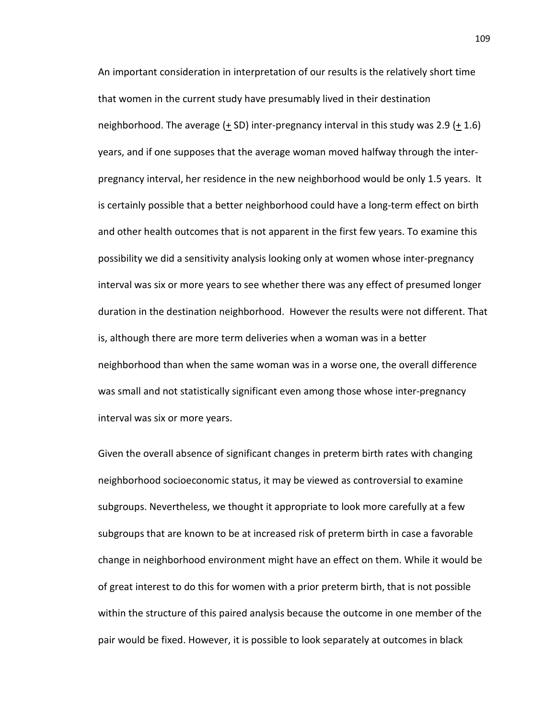An important consideration in interpretation of our results is the relatively short time that women in the current study have presumably lived in their destination neighborhood. The average (+ SD) inter-pregnancy interval in this study was 2.9 (+ 1.6) years, and if one supposes that the average woman moved halfway through the interpregnancy interval, her residence in the new neighborhood would be only 1.5 years. It is certainly possible that a better neighborhood could have a long-term effect on birth and other health outcomes that is not apparent in the first few years. To examine this possibility we did a sensitivity analysis looking only at women whose inter-pregnancy interval was six or more years to see whether there was any effect of presumed longer duration in the destination neighborhood. However the results were not different. That is, although there are more term deliveries when a woman was in a better neighborhood than when the same woman was in a worse one, the overall difference was small and not statistically significant even among those whose inter-pregnancy interval was six or more years.

Given the overall absence of significant changes in preterm birth rates with changing neighborhood socioeconomic status, it may be viewed as controversial to examine subgroups. Nevertheless, we thought it appropriate to look more carefully at a few subgroups that are known to be at increased risk of preterm birth in case a favorable change in neighborhood environment might have an effect on them. While it would be of great interest to do this for women with a prior preterm birth, that is not possible within the structure of this paired analysis because the outcome in one member of the pair would be fixed. However, it is possible to look separately at outcomes in black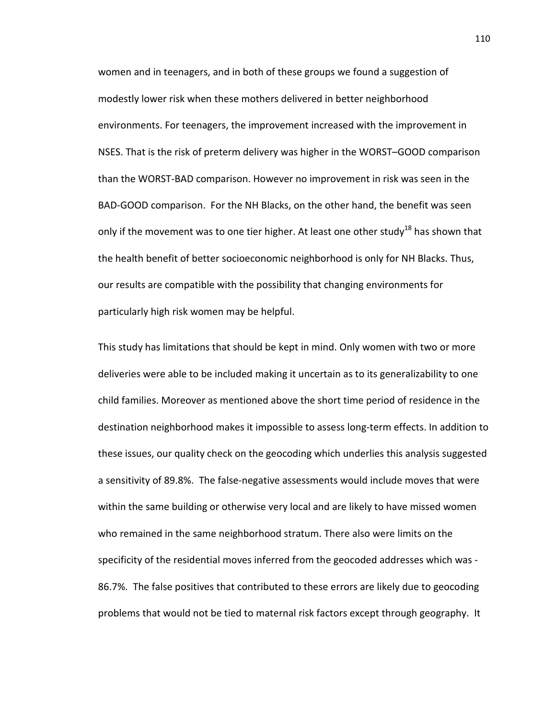women and in teenagers, and in both of these groups we found a suggestion of modestly lower risk when these mothers delivered in better neighborhood environments. For teenagers, the improvement increased with the improvement in NSES. That is the risk of preterm delivery was higher in the WORST–GOOD comparison than the WORST-BAD comparison. However no improvement in risk was seen in the BAD-GOOD comparison. For the NH Blacks, on the other hand, the benefit was seen only if the movement was to one tier higher. At least one other study<sup>18</sup> has shown that the health benefit of better socioeconomic neighborhood is only for NH Blacks. Thus, our results are compatible with the possibility that changing environments for particularly high risk women may be helpful.

This study has limitations that should be kept in mind. Only women with two or more deliveries were able to be included making it uncertain as to its generalizability to one child families. Moreover as mentioned above the short time period of residence in the destination neighborhood makes it impossible to assess long-term effects. In addition to these issues, our quality check on the geocoding which underlies this analysis suggested a sensitivity of 89.8%. The false-negative assessments would include moves that were within the same building or otherwise very local and are likely to have missed women who remained in the same neighborhood stratum. There also were limits on the specificity of the residential moves inferred from the geocoded addresses which was - 86.7%. The false positives that contributed to these errors are likely due to geocoding problems that would not be tied to maternal risk factors except through geography. It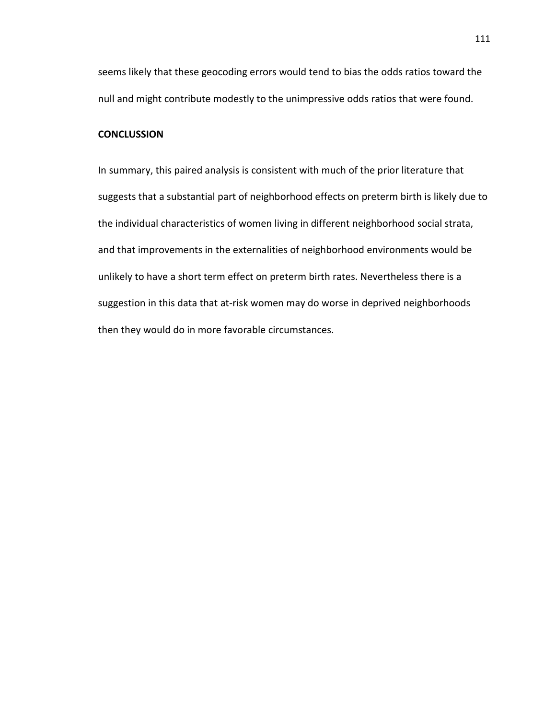seems likely that these geocoding errors would tend to bias the odds ratios toward the null and might contribute modestly to the unimpressive odds ratios that were found.

## **CONCLUSSION**

In summary, this paired analysis is consistent with much of the prior literature that suggests that a substantial part of neighborhood effects on preterm birth is likely due to the individual characteristics of women living in different neighborhood social strata, and that improvements in the externalities of neighborhood environments would be unlikely to have a short term effect on preterm birth rates. Nevertheless there is a suggestion in this data that at-risk women may do worse in deprived neighborhoods then they would do in more favorable circumstances.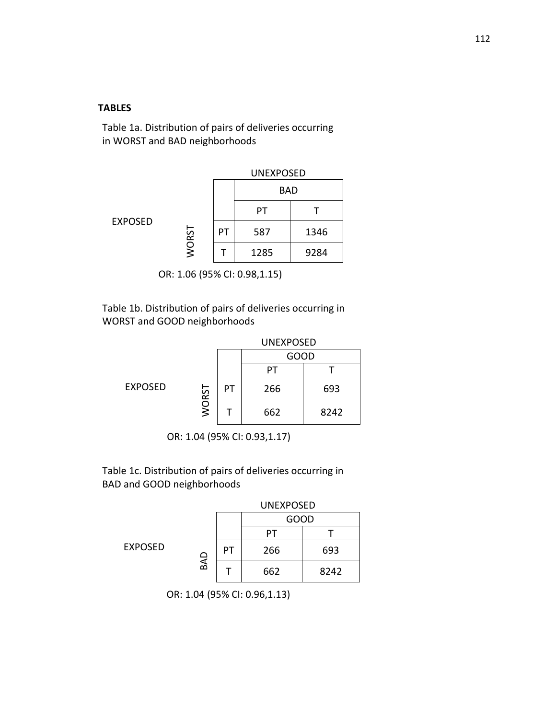### **TABLES**

Table 1a. Distribution of pairs of deliveries occurring in WORST and BAD neighborhoods

|                |       |    | <b>UNEXPOSED</b> |      |  |  |  |
|----------------|-------|----|------------------|------|--|--|--|
|                |       |    | <b>BAD</b>       |      |  |  |  |
| <b>EXPOSED</b> |       |    | PТ               |      |  |  |  |
|                | WORST | PТ | 587              | 1346 |  |  |  |
|                |       |    | 1285             | 9284 |  |  |  |

OR: 1.06 (95% CI: 0.98,1.15)

Table 1b. Distribution of pairs of deliveries occurring in WORST and GOOD neighborhoods

|                |       |    | <b>UNEXPOSED</b> |      |  |  |
|----------------|-------|----|------------------|------|--|--|
|                |       |    | GOOD             |      |  |  |
| <b>EXPOSED</b> |       |    | PТ               |      |  |  |
|                |       | PТ | 266              | 693  |  |  |
|                | WORST |    | 662              | 8242 |  |  |

OR: 1.04 (95% CI: 0.93,1.17)

Table 1c. Distribution of pairs of deliveries occurring in BAD and GOOD neighborhoods

|                |            | <b>UNEXPOSED</b> |      |      |  |  |
|----------------|------------|------------------|------|------|--|--|
|                |            |                  | GOOD |      |  |  |
|                | <b>GAD</b> |                  |      |      |  |  |
| <b>EXPOSED</b> |            | PТ               | 266  | 693  |  |  |
|                |            |                  | 662  | 8242 |  |  |

OR: 1.04 (95% CI: 0.96,1.13)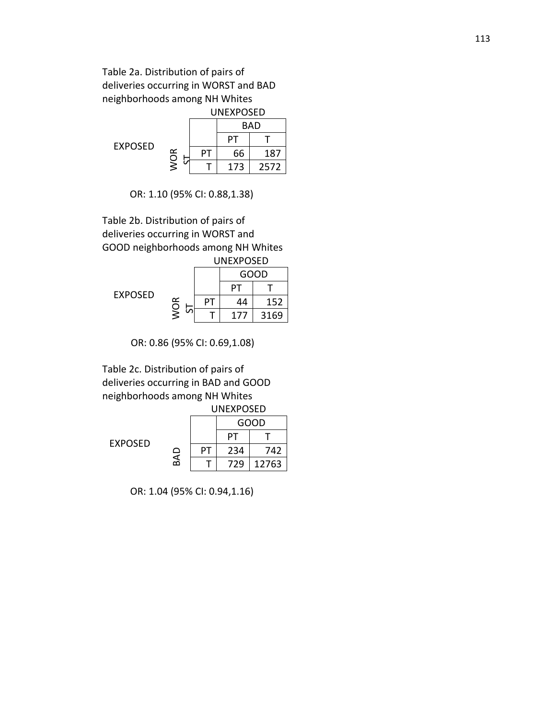## Table 2a. Distribution of pairs of deliveries occurring in WORST and BAD neighborhoods among NH Whites

|                |   | <b>UNFXPOSFD</b> |     |            |  |  |
|----------------|---|------------------|-----|------------|--|--|
|                |   |                  |     | <b>BAD</b> |  |  |
| <b>FXPOSFD</b> |   |                  | PТ  |            |  |  |
|                | ≃ | PТ               | 66  | 187        |  |  |
|                | š |                  | 173 | 2572       |  |  |

OR: 1.10 (95% CI: 0.88,1.38)

Table 2b. Distribution of pairs of deliveries occurring in WORST and GOOD neighborhoods among NH Whites

|         |                    | UNEXPOSED |     |      |  |  |
|---------|--------------------|-----------|-----|------|--|--|
|         |                    |           |     | GOOD |  |  |
| EXPOSED | ≃<br>$\frac{1}{2}$ |           |     |      |  |  |
|         |                    | PТ        | 44  | 152  |  |  |
|         |                    |           | 177 | 3169 |  |  |

OR: 0.86 (95% CI: 0.69,1.08)

Table 2c. Distribution of pairs of deliveries occurring in BAD and GOOD neighborhoods among NH Whites

|                |            | <b>UNFXPOSFD</b> |      |       |  |
|----------------|------------|------------------|------|-------|--|
|                |            |                  | GOOD |       |  |
| <b>FXPOSFD</b> | <b>GAD</b> |                  | PТ   |       |  |
|                |            | РT               | 234  | 742   |  |
|                |            |                  | 729  | 12763 |  |

OR: 1.04 (95% CI: 0.94,1.16)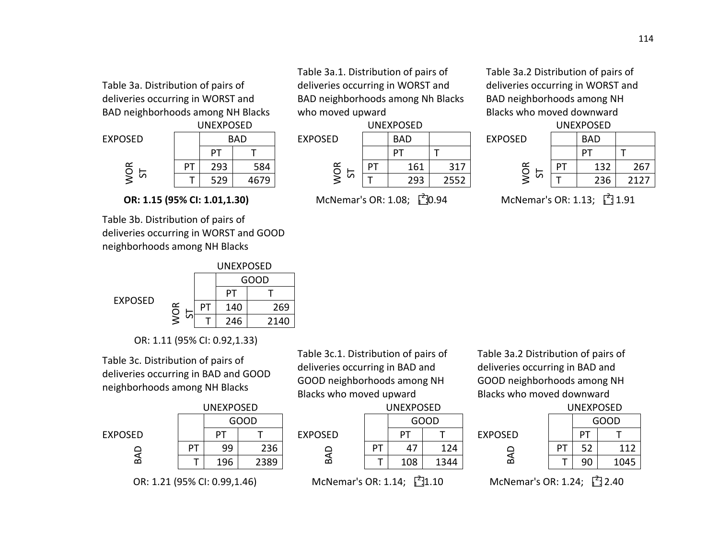Table 3a. Distribution of pairs of deliveries occurring in WORST and BAD neighborhoods among NH Blacks



**OR: 1.15 (95% CI: 1.01,1.30)** 

Table 3b. Distribution of pairs of deliveries occurring in WORST and GOOD neighborhoods among NH Blacks



OR: 1.11 (95% CI: 0.92,1.33)

Table 3c. Distribution of pairs of deliveries occurring in BAD and GOOD neighborhoods among NH Blacks



Table 3c.1. Distribution of pairs of deliveries occurring in BAD and GOOD neighborhoods among NH Blacks who moved upward

Table 3a.1. Distribution of pairs of deliveries occurring in WORST and BAD neighborhoods among Nh Blacks

McNemar's OR: 1.08; [20.94]

who moved upward



OR: 1.21 (95% CI: 0.99,1.46) McNemar's OR: 1.14;  $\int_{0}^{2}$ 



 $\frac{1}{2}1.10$  McNemar's OR: 1.24;  $\frac{1}{2}$  2.40

Table 3a.2 Distribution of pairs of deliveries occurring in BAD and GOOD neighborhoods among NH Blacks who moved downward

| ----------- |            |                |    | ----------- |      |                |    | ----------- |      |
|-------------|------------|----------------|----|-------------|------|----------------|----|-------------|------|
|             | <b>BAD</b> | <b>EXPOSED</b> |    | <b>BAD</b>  |      | <b>EXPOSED</b> |    | <b>BAD</b>  |      |
| DТ          |            |                |    | DТ          |      |                |    | DТ          |      |
| 293         | 584        | یہ<br>O        | ÞТ | 161         | 317  | $\propto$<br>O | DТ | 132         | 267  |
| 529         | 4679       | iη             |    | 293         | 2552 | S              |    | 236         | 2127 |
|             |            |                |    |             |      |                |    |             |      |

 $\frac{1}{2}0.94$  McNemar's OR: 1.13;  $\frac{2}{1}1.91$ 

Table 3a.2 Distribution of pairs of deliveries occurring in WORST and BAD neighborhoods among NH Blacks who moved downward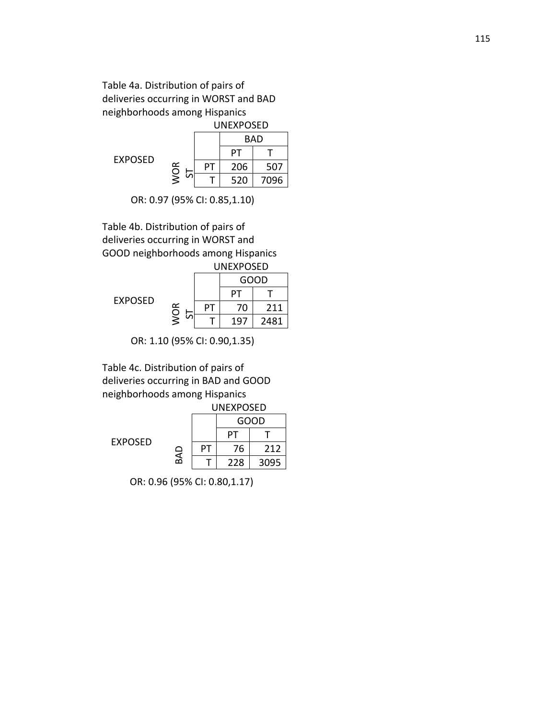# Table 4a. Distribution of pairs of deliveries occurring in WORST and BAD neighborhoods among Hispanics

|         | <b>UNEXPOSED</b> |    |     |      |  |
|---------|------------------|----|-----|------|--|
|         |                  |    |     | BAD  |  |
| EXPOSED |                  |    | PТ  |      |  |
|         | <b>WOR</b><br>5  | PТ | 206 | 507  |  |
|         |                  |    | 520 | 7096 |  |

OR: 0.97 (95% CI: 0.85,1.10)

Table 4b. Distribution of pairs of deliveries occurring in WORST and GOOD neighborhoods among Hispanics UNEXPOSED

|                |            |    |     | GOOD |  |  |
|----------------|------------|----|-----|------|--|--|
| <b>EXPOSED</b> |            |    | DТ  |      |  |  |
|                | <b>WOR</b> | ΡΙ | 70  | 211  |  |  |
|                | in         |    | 197 | 2481 |  |  |

OR: 1.10 (95% CI: 0.90,1.35)

Table 4c. Distribution of pairs of deliveries occurring in BAD and GOOD neighborhoods among Hispanics

|                |         |    | <b>UNEXPOSED</b> |      |  |  |
|----------------|---------|----|------------------|------|--|--|
|                |         |    | GOOD             |      |  |  |
| <b>EXPOSED</b> | ❏<br>БĀ |    |                  |      |  |  |
|                |         | PТ | 76               | 212  |  |  |
|                |         |    | 228              | 3095 |  |  |

OR: 0.96 (95% CI: 0.80,1.17)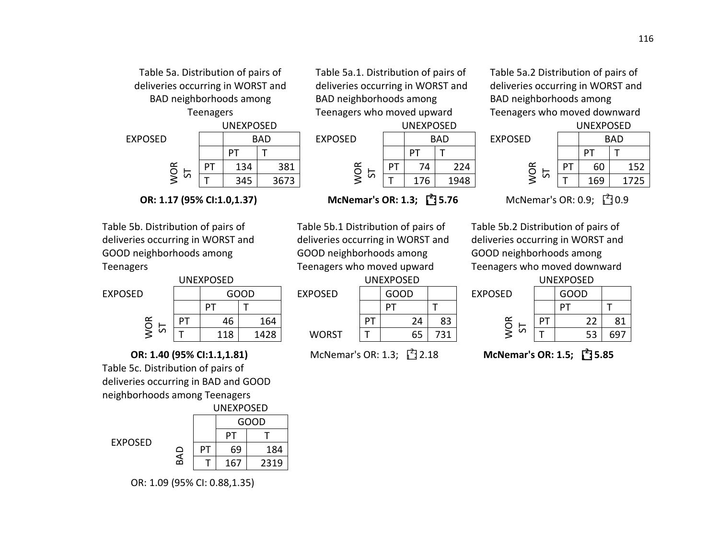

**OR: 1.17 (95% CI:1.0,1.37)** 

Table 5b. Distribution of pairs of deliveries occurring in WORST and GOOD neighborhoods among Teenagers



**OR: 1.40 (95% CI:1.1,1.81)** Table 5c. Distribution of pairs of

deliveries occurring in BAD and GOOD neighborhoods among Teenagers



OR: 1.09 (95% CI: 0.88,1.35)

Table 5a.1. Distribution of pairs of deliveries occurring in WORST and BAD neighborhoods among Teenagers who moved upward



**McNemar's OR: 1.3;**  $\begin{bmatrix} 2 \\ 1 \end{bmatrix}$  5.76

Table 5b.1 Distribution of pairs of deliveries occurring in WORST and GOOD neighborhoods among Teenagers who moved upward



McNemar's OR: 1.3;  $\begin{bmatrix} 2 \\ 2.18 \end{bmatrix}$ 

Table 5a.2 Distribution of pairs of deliveries occurring in WORST and BAD neighborhoods among Teenagers who moved downward



**35.76** McNemar's OR: 0.9; <u>1</u> 0.9

Table 5b.2 Distribution of pairs of deliveries occurring in WORST and GOOD neighborhoods among Teenagers who moved downward

|    | UNEXPOSED |      |                |    | <b>UNEXPOSED</b> |     |                |    | UNEXPOSED |           |
|----|-----------|------|----------------|----|------------------|-----|----------------|----|-----------|-----------|
|    |           | GOOD | <b>EXPOSED</b> |    | GOOD             |     | <b>EXPOSED</b> |    | GOOD      |           |
|    | ÞТ        |      |                |    | D٦               |     |                |    |           |           |
| PT | 46        | 164  |                | DТ | 24               | 83  | $\alpha$<br>O  | PТ | ີ         | O 1<br>ОT |
|    | 118       | 1428 | <b>WORST</b>   |    | 65               | 731 | S              |    | 53        | 697       |

: 2.18 **McNemar's OR: 1.5; <sup>1</sup> 2 : 5.85**

**WORST**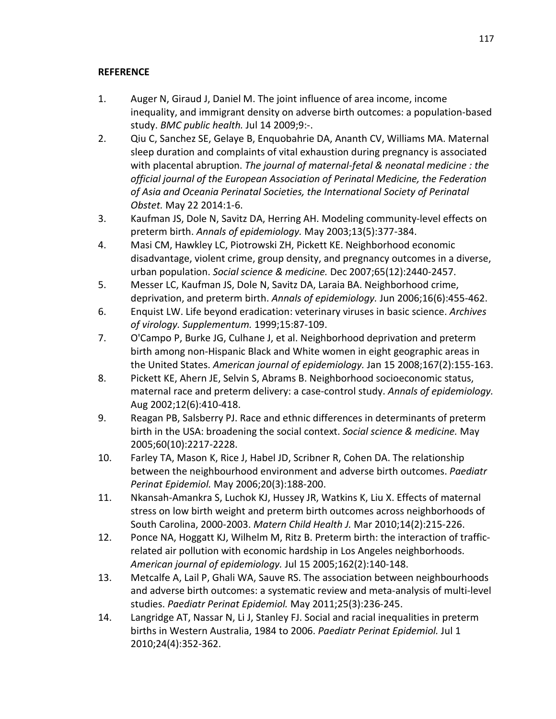## **REFERENCE**

- <span id="page-128-0"></span>1. Auger N, Giraud J, Daniel M. The joint influence of area income, income inequality, and immigrant density on adverse birth outcomes: a population-based study. *BMC public health.* Jul 14 2009;9:-.
- 2. Qiu C, Sanchez SE, Gelaye B, Enquobahrie DA, Ananth CV, Williams MA. Maternal sleep duration and complaints of vital exhaustion during pregnancy is associated with placental abruption. *The journal of maternal-fetal & neonatal medicine : the official journal of the European Association of Perinatal Medicine, the Federation of Asia and Oceania Perinatal Societies, the International Society of Perinatal Obstet.* May 22 2014:1-6.
- <span id="page-128-2"></span>3. Kaufman JS, Dole N, Savitz DA, Herring AH. Modeling community-level effects on preterm birth. *Annals of epidemiology.* May 2003;13(5):377-384.
- 4. Masi CM, Hawkley LC, Piotrowski ZH, Pickett KE. Neighborhood economic disadvantage, violent crime, group density, and pregnancy outcomes in a diverse, urban population. *Social science & medicine.* Dec 2007;65(12):2440-2457.
- 5. Messer LC, Kaufman JS, Dole N, Savitz DA, Laraia BA. Neighborhood crime, deprivation, and preterm birth. *Annals of epidemiology.* Jun 2006;16(6):455-462.
- 6. Enquist LW. Life beyond eradication: veterinary viruses in basic science. *Archives of virology. Supplementum.* 1999;15:87-109.
- <span id="page-128-3"></span>7. O'Campo P, Burke JG, Culhane J, et al. Neighborhood deprivation and preterm birth among non-Hispanic Black and White women in eight geographic areas in the United States. *American journal of epidemiology.* Jan 15 2008;167(2):155-163.
- <span id="page-128-4"></span>8. Pickett KE, Ahern JE, Selvin S, Abrams B. Neighborhood socioeconomic status, maternal race and preterm delivery: a case-control study. *Annals of epidemiology.*  Aug 2002;12(6):410-418.
- <span id="page-128-7"></span>9. Reagan PB, Salsberry PJ. Race and ethnic differences in determinants of preterm birth in the USA: broadening the social context. *Social science & medicine.* May 2005;60(10):2217-2228.
- <span id="page-128-5"></span>10. Farley TA, Mason K, Rice J, Habel JD, Scribner R, Cohen DA. The relationship between the neighbourhood environment and adverse birth outcomes. *Paediatr Perinat Epidemiol.* May 2006;20(3):188-200.
- 11. Nkansah-Amankra S, Luchok KJ, Hussey JR, Watkins K, Liu X. Effects of maternal stress on low birth weight and preterm birth outcomes across neighborhoods of South Carolina, 2000-2003. *Matern Child Health J.* Mar 2010;14(2):215-226.
- 12. Ponce NA, Hoggatt KJ, Wilhelm M, Ritz B. Preterm birth: the interaction of trafficrelated air pollution with economic hardship in Los Angeles neighborhoods. *American journal of epidemiology.* Jul 15 2005;162(2):140-148.
- <span id="page-128-1"></span>13. Metcalfe A, Lail P, Ghali WA, Sauve RS. The association between neighbourhoods and adverse birth outcomes: a systematic review and meta-analysis of multi-level studies. *Paediatr Perinat Epidemiol.* May 2011;25(3):236-245.
- <span id="page-128-6"></span>14. Langridge AT, Nassar N, Li J, Stanley FJ. Social and racial inequalities in preterm births in Western Australia, 1984 to 2006. *Paediatr Perinat Epidemiol.* Jul 1 2010;24(4):352-362.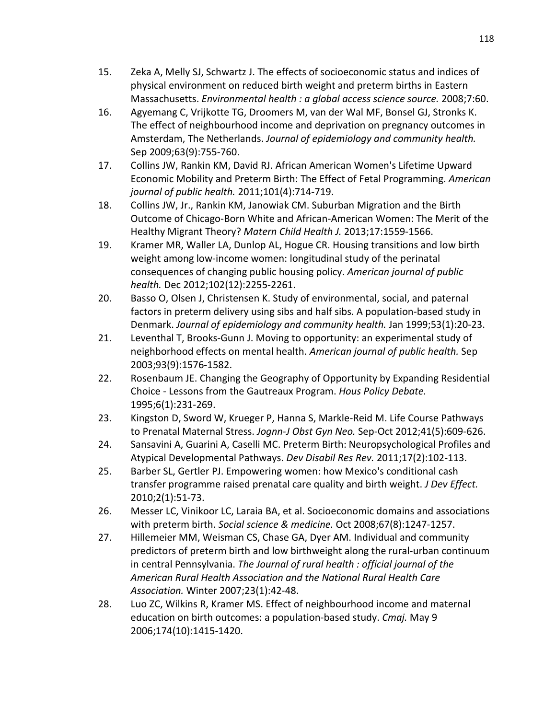- <span id="page-129-10"></span>15. Zeka A, Melly SJ, Schwartz J. The effects of socioeconomic status and indices of physical environment on reduced birth weight and preterm births in Eastern Massachusetts. *Environmental health : a global access science source.* 2008;7:60.
- 16. Agyemang C, Vrijkotte TG, Droomers M, van der Wal MF, Bonsel GJ, Stronks K. The effect of neighbourhood income and deprivation on pregnancy outcomes in Amsterdam, The Netherlands. *Journal of epidemiology and community health.*  Sep 2009;63(9):755-760.
- <span id="page-129-0"></span>17. Collins JW, Rankin KM, David RJ. African American Women's Lifetime Upward Economic Mobility and Preterm Birth: The Effect of Fetal Programming. *American journal of public health.* 2011;101(4):714-719.
- <span id="page-129-1"></span>18. Collins JW, Jr., Rankin KM, Janowiak CM. Suburban Migration and the Birth Outcome of Chicago-Born White and African-American Women: The Merit of the Healthy Migrant Theory? *Matern Child Health J.* 2013;17:1559-1566.
- <span id="page-129-2"></span>19. Kramer MR, Waller LA, Dunlop AL, Hogue CR. Housing transitions and low birth weight among low-income women: longitudinal study of the perinatal consequences of changing public housing policy. *American journal of public health.* Dec 2012;102(12):2255-2261.
- <span id="page-129-3"></span>20. Basso O, Olsen J, Christensen K. Study of environmental, social, and paternal factors in preterm delivery using sibs and half sibs. A population-based study in Denmark. *Journal of epidemiology and community health.* Jan 1999;53(1):20-23.
- <span id="page-129-4"></span>21. Leventhal T, Brooks-Gunn J. Moving to opportunity: an experimental study of neighborhood effects on mental health. *American journal of public health.* Sep 2003;93(9):1576-1582.
- <span id="page-129-5"></span>22. Rosenbaum JE. Changing the Geography of Opportunity by Expanding Residential Choice - Lessons from the Gautreaux Program. *Hous Policy Debate.*  1995;6(1):231-269.
- <span id="page-129-6"></span>23. Kingston D, Sword W, Krueger P, Hanna S, Markle-Reid M. Life Course Pathways to Prenatal Maternal Stress. *Jognn-J Obst Gyn Neo.* Sep-Oct 2012;41(5):609-626.
- <span id="page-129-7"></span>24. Sansavini A, Guarini A, Caselli MC. Preterm Birth: Neuropsychological Profiles and Atypical Developmental Pathways. *Dev Disabil Res Rev.* 2011;17(2):102-113.
- <span id="page-129-8"></span>25. Barber SL, Gertler PJ. Empowering women: how Mexico's conditional cash transfer programme raised prenatal care quality and birth weight. *J Dev Effect.*  2010;2(1):51-73.
- <span id="page-129-9"></span>26. Messer LC, Vinikoor LC, Laraia BA, et al. Socioeconomic domains and associations with preterm birth. *Social science & medicine.* Oct 2008;67(8):1247-1257.
- <span id="page-129-11"></span>27. Hillemeier MM, Weisman CS, Chase GA, Dyer AM. Individual and community predictors of preterm birth and low birthweight along the rural-urban continuum in central Pennsylvania. *The Journal of rural health : official journal of the American Rural Health Association and the National Rural Health Care Association.* Winter 2007;23(1):42-48.
- 28. Luo ZC, Wilkins R, Kramer MS. Effect of neighbourhood income and maternal education on birth outcomes: a population-based study. *Cmaj.* May 9 2006;174(10):1415-1420.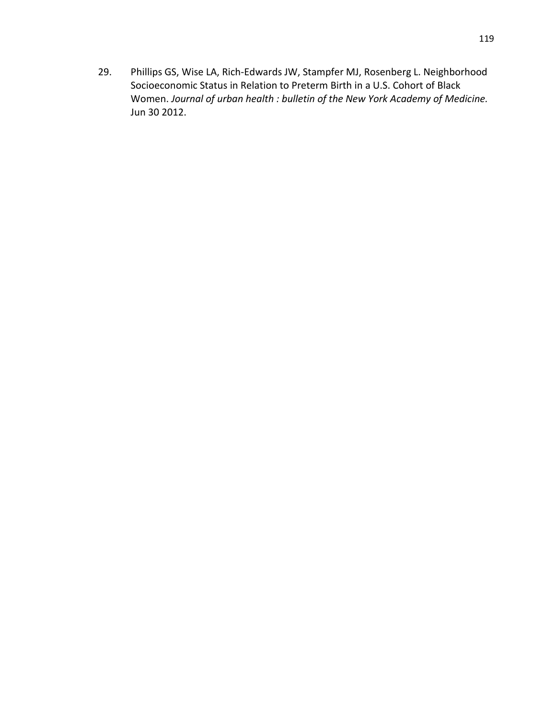29. Phillips GS, Wise LA, Rich-Edwards JW, Stampfer MJ, Rosenberg L. Neighborhood Socioeconomic Status in Relation to Preterm Birth in a U.S. Cohort of Black Women. *Journal of urban health : bulletin of the New York Academy of Medicine.*  Jun 30 2012.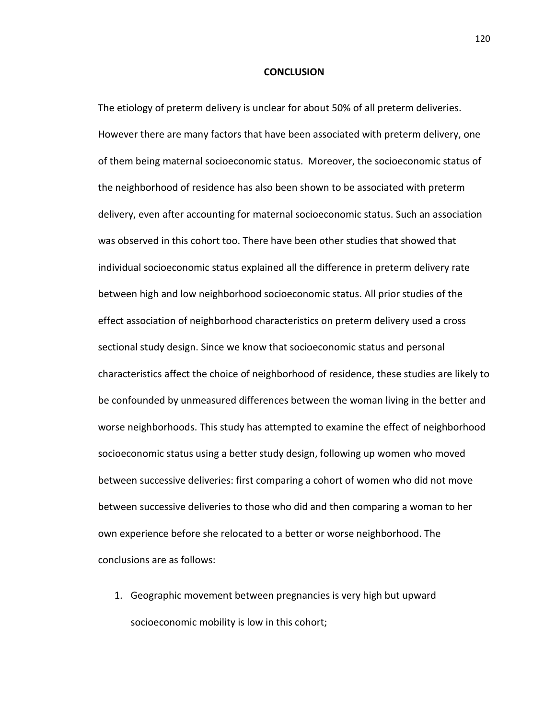#### **CONCLUSION**

The etiology of preterm delivery is unclear for about 50% of all preterm deliveries. However there are many factors that have been associated with preterm delivery, one of them being maternal socioeconomic status. Moreover, the socioeconomic status of the neighborhood of residence has also been shown to be associated with preterm delivery, even after accounting for maternal socioeconomic status. Such an association was observed in this cohort too. There have been other studies that showed that individual socioeconomic status explained all the difference in preterm delivery rate between high and low neighborhood socioeconomic status. All prior studies of the effect association of neighborhood characteristics on preterm delivery used a cross sectional study design. Since we know that socioeconomic status and personal characteristics affect the choice of neighborhood of residence, these studies are likely to be confounded by unmeasured differences between the woman living in the better and worse neighborhoods. This study has attempted to examine the effect of neighborhood socioeconomic status using a better study design, following up women who moved between successive deliveries: first comparing a cohort of women who did not move between successive deliveries to those who did and then comparing a woman to her own experience before she relocated to a better or worse neighborhood. The conclusions are as follows:

1. Geographic movement between pregnancies is very high but upward socioeconomic mobility is low in this cohort;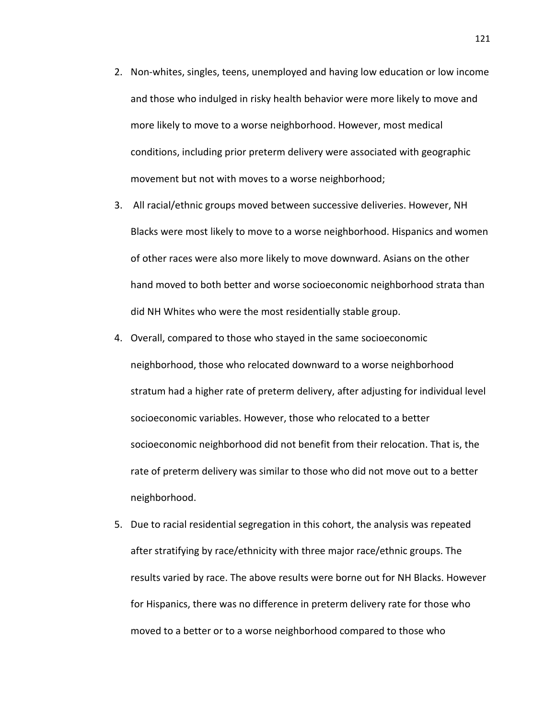- 2. Non-whites, singles, teens, unemployed and having low education or low income and those who indulged in risky health behavior were more likely to move and more likely to move to a worse neighborhood. However, most medical conditions, including prior preterm delivery were associated with geographic movement but not with moves to a worse neighborhood;
- 3. All racial/ethnic groups moved between successive deliveries. However, NH Blacks were most likely to move to a worse neighborhood. Hispanics and women of other races were also more likely to move downward. Asians on the other hand moved to both better and worse socioeconomic neighborhood strata than did NH Whites who were the most residentially stable group.
- 4. Overall, compared to those who stayed in the same socioeconomic neighborhood, those who relocated downward to a worse neighborhood stratum had a higher rate of preterm delivery, after adjusting for individual level socioeconomic variables. However, those who relocated to a better socioeconomic neighborhood did not benefit from their relocation. That is, the rate of preterm delivery was similar to those who did not move out to a better neighborhood.
- 5. Due to racial residential segregation in this cohort, the analysis was repeated after stratifying by race/ethnicity with three major race/ethnic groups. The results varied by race. The above results were borne out for NH Blacks. However for Hispanics, there was no difference in preterm delivery rate for those who moved to a better or to a worse neighborhood compared to those who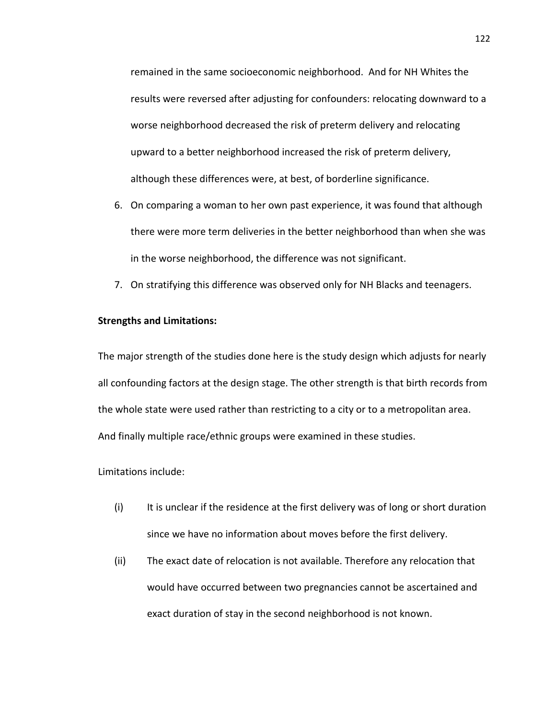remained in the same socioeconomic neighborhood. And for NH Whites the results were reversed after adjusting for confounders: relocating downward to a worse neighborhood decreased the risk of preterm delivery and relocating upward to a better neighborhood increased the risk of preterm delivery, although these differences were, at best, of borderline significance.

- 6. On comparing a woman to her own past experience, it was found that although there were more term deliveries in the better neighborhood than when she was in the worse neighborhood, the difference was not significant.
- 7. On stratifying this difference was observed only for NH Blacks and teenagers.

## **Strengths and Limitations:**

The major strength of the studies done here is the study design which adjusts for nearly all confounding factors at the design stage. The other strength is that birth records from the whole state were used rather than restricting to a city or to a metropolitan area. And finally multiple race/ethnic groups were examined in these studies.

### Limitations include:

- (i) It is unclear if the residence at the first delivery was of long or short duration since we have no information about moves before the first delivery.
- (ii) The exact date of relocation is not available. Therefore any relocation that would have occurred between two pregnancies cannot be ascertained and exact duration of stay in the second neighborhood is not known.